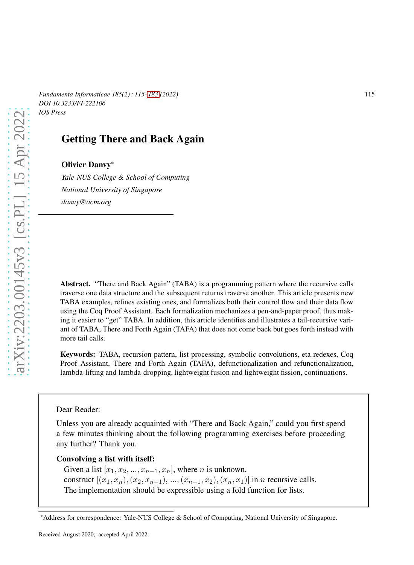*Fundamenta Informaticae 185(2) : 115–183 (2022)* 115 *DOI 10.3233/FI-222106 IOS Press*

# Getting There and Back Again

## Olivier Danvy\*

*Yale-NUS College & School of Computing National University of Singapore danvy@acm.org*

Abstract. "There and Back Again" (TABA) is a programming pattern where the recursive calls traverse one data structure and the subsequent returns traverse another. This article presents new TABA examples, refines existing ones, and formalizes both their control flow and their data flow using the Coq Proof Assistant. Each formalization mechanizes a pen-and-paper proof, thus making it easier to "get" TABA. In addition, this article identifies and illustrates a tail-recursive variant of TABA, There and Forth Again (TAFA) that does not come back but goes forth instead with more tail calls.

Keywords: TABA, recursion pattern, list processing, symbolic convolutions, eta redexes, Coq Proof Assistant, There and Forth Again (TAFA), defunctionalization and refunctionalization, lambda-lifting and lambda-dropping, lightweight fusion and lightweight fission, continuations.

Dear Reader:

Unless you are already acquainted with "There and Back Again," could you first spend a few minutes thinking about the following programming exercises before proceeding any further? Thank you.

Convolving a list with itself:

Given a list  $[x_1, x_2, ..., x_{n-1}, x_n]$ , where *n* is unknown, construct  $[(x_1, x_n), (x_2, x_{n-1}), ..., (x_{n-1}, x_2), (x_n, x_1)]$  in *n* recursive calls. The implementation should be expressible using a fold function for lists.

<sup>\*</sup>Address for correspondence: Yale-NUS College & School of Computing, National University of Singapore.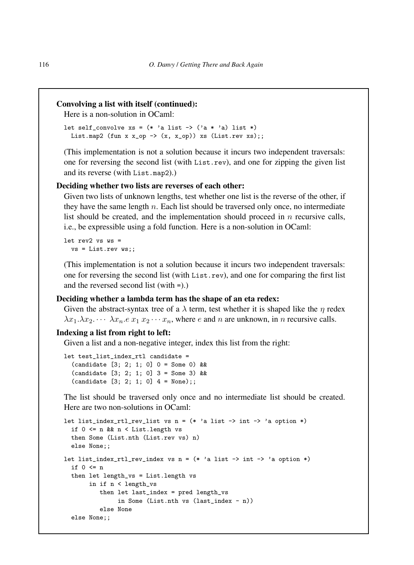### Convolving a list with itself (continued):

Here is a non-solution in OCaml:

```
let self_convolve xs = (* 'a list -> ('a * 'a) list *)List.map2 (fun x x_op -> (x, x_op)) xs (List.rev xs);;
```
(This implementation is not a solution because it incurs two independent traversals: one for reversing the second list (with List.rev), and one for zipping the given list and its reverse (with List.map2).)

#### Deciding whether two lists are reverses of each other:

Given two lists of unknown lengths, test whether one list is the reverse of the other, if they have the same length  $n$ . Each list should be traversed only once, no intermediate list should be created, and the implementation should proceed in  $n$  recursive calls, i.e., be expressible using a fold function. Here is a non-solution in OCaml:

let  $rev2$  vs  $ws =$ vs = List.rev ws;;

(This implementation is not a solution because it incurs two independent traversals: one for reversing the second list (with List.rev), and one for comparing the first list and the reversed second list (with =).)

#### Deciding whether a lambda term has the shape of an eta redex:

Given the abstract-syntax tree of a  $\lambda$  term, test whether it is shaped like the  $\eta$  redex  $\lambda x_1 \cdot \lambda x_2 \cdot \cdot \cdot \lambda x_n \cdot e \cdot x_1 \cdot x_2 \cdot \cdot \cdot x_n$ , where *e* and *n* are unknown, in *n* recursive calls.

#### Indexing a list from right to left:

Given a list and a non-negative integer, index this list from the right:

```
let test_list_index_rtl candidate =
  (candidate [3; 2; 1; 0] 0 = Some 0) &&
  (candidate [3; 2; 1; 0] 3 = Some 3) &&
  (candidate [3; 2; 1; 0] 4 = None);
```
The list should be traversed only once and no intermediate list should be created. Here are two non-solutions in OCaml.

```
let list_index_rtl_rev_list vs n = (* 'a list \rightarrow int \rightarrow 'a option *)if 0 <= n && n < List.length vs
  then Some (List.nth (List.rev vs) n)
  else None;;
let list_index_rtl_rev_index vs n = (* 'a list \rightarrow int \rightarrow 'a option *)if 0 \leq nthen let length_vs = List.length vs
       in if n < length_vs
           then let last_index = pred length_vs
                in Some (List.nth vs (last_index - n))
           else None
  else None;;
```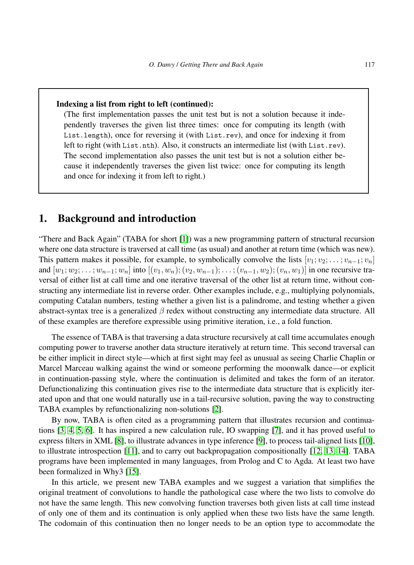#### Indexing a list from right to left (continued):

(The first implementation passes the unit test but is not a solution because it independently traverses the given list three times: once for computing its length (with List.length), once for reversing it (with List.rev), and once for indexing it from left to right (with List.nth). Also, it constructs an intermediate list (with List.rev). The second implementation also passes the unit test but is not a solution either because it independently traverses the given list twice: once for computing its length and once for indexing it from left to right.)

# <span id="page-2-0"></span>1. Background and introduction

"There and Back Again" (TABA for short [\[1\]](#page-51-0)) was a new programming pattern of structural recursion where one data structure is traversed at call time (as usual) and another at return time (which was new). This pattern makes it possible, for example, to symbolically convolve the lists  $[v_1; v_2; \dots; v_{n-1}; v_n]$ and  $[w_1; w_2; \ldots; w_{n-1}; w_n]$  into  $[(v_1, w_n); (v_2, w_{n-1}); \ldots; (v_{n-1}, w_2); (v_n, w_1)]$  in one recursive traversal of either list at call time and one iterative traversal of the other list at return time, without constructing any intermediate list in reverse order. Other examples include, e.g., multiplying polynomials, computing Catalan numbers, testing whether a given list is a palindrome, and testing whether a given abstract-syntax tree is a generalized  $\beta$  redex without constructing any intermediate data structure. All of these examples are therefore expressible using primitive iteration, i.e., a fold function.

The essence of TABA is that traversing a data structure recursively at call time accumulates enough computing power to traverse another data structure iteratively at return time. This second traversal can be either implicit in direct style—which at first sight may feel as unusual as seeing Charlie Chaplin or Marcel Marceau walking against the wind or someone performing the moonwalk dance—or explicit in continuation-passing style, where the continuation is delimited and takes the form of an iterator. Defunctionalizing this continuation gives rise to the intermediate data structure that is explicitly iterated upon and that one would naturally use in a tail-recursive solution, paving the way to constructing TABA examples by refunctionalizing non-solutions [\[2\]](#page-51-1).

By now, TABA is often cited as a programming pattern that illustrates recursion and continuations [\[3,](#page-51-2) [4,](#page-51-3) [5,](#page-51-4) [6\]](#page-52-0). It has inspired a new calculation rule, IO swapping [\[7\]](#page-52-1), and it has proved useful to express filters in XML [\[8\]](#page-52-2), to illustrate advances in type inference [\[9\]](#page-52-3), to process tail-aligned lists [\[10\]](#page-52-4), to illustrate introspection [\[11\]](#page-52-5), and to carry out backpropagation compositionally [\[12,](#page-52-6) [13,](#page-52-7) [14\]](#page-52-8). TABA programs have been implemented in many languages, from Prolog and C to Agda. At least two have been formalized in Why3 [\[15\]](#page-52-9).

In this article, we present new TABA examples and we suggest a variation that simplifies the original treatment of convolutions to handle the pathological case where the two lists to convolve do not have the same length. This new convolving function traverses both given lists at call time instead of only one of them and its continuation is only applied when these two lists have the same length. The codomain of this continuation then no longer needs to be an option type to accommodate the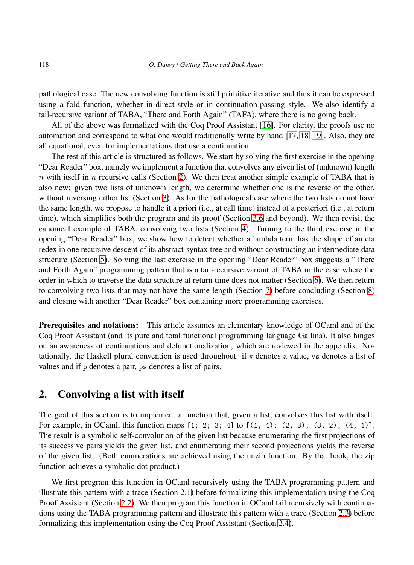pathological case. The new convolving function is still primitive iterative and thus it can be expressed using a fold function, whether in direct style or in continuation-passing style. We also identify a tail-recursive variant of TABA, "There and Forth Again" (TAFA), where there is no going back.

All of the above was formalized with the Coq Proof Assistant [\[16\]](#page-52-10). For clarity, the proofs use no automation and correspond to what one would traditionally write by hand [\[17,](#page-52-11) [18,](#page-52-12) [19\]](#page-52-13). Also, they are all equational, even for implementations that use a continuation.

The rest of this article is structured as follows. We start by solving the first exercise in the opening "Dear Reader" box, namely we implement a function that convolves any given list of (unknown) length  $n$  with itself in n recursive calls (Section [2\)](#page-3-0). We then treat another simple example of TABA that is also new: given two lists of unknown length, we determine whether one is the reverse of the other, without reversing either list (Section [3\)](#page-8-0). As for the pathological case where the two lists do not have the same length, we propose to handle it a priori (i.e., at call time) instead of a posteriori (i.e., at return time), which simplifies both the program and its proof (Section [3.6](#page-16-0) and beyond). We then revisit the canonical example of TABA, convolving two lists (Section [4\)](#page-22-0). Turning to the third exercise in the opening "Dear Reader" box, we show how to detect whether a lambda term has the shape of an eta redex in one recursive descent of its abstract-syntax tree and without constructing an intermediate data structure (Section [5\)](#page-34-0). Solving the last exercise in the opening "Dear Reader" box suggests a "There and Forth Again" programming pattern that is a tail-recursive variant of TABA in the case where the order in which to traverse the data structure at return time does not matter (Section [6\)](#page-42-0). We then return to convolving two lists that may not have the same length (Section [7\)](#page-50-0) before concluding (Section [8\)](#page-50-1) and closing with another "Dear Reader" box containing more programming exercises.

Prerequisites and notations: This article assumes an elementary knowledge of OCaml and of the Coq Proof Assistant (and its pure and total functional programming language Gallina). It also hinges on an awareness of continuations and defunctionalization, which are reviewed in the appendix. Notationally, the Haskell plural convention is used throughout: if v denotes a value, vs denotes a list of values and if p denotes a pair, ps denotes a list of pairs.

# <span id="page-3-0"></span>2. Convolving a list with itself

The goal of this section is to implement a function that, given a list, convolves this list with itself. For example, in OCaml, this function maps  $[1; 2; 3; 4]$  to  $[(1, 4); (2, 3); (3, 2); (4, 1)].$ The result is a symbolic self-convolution of the given list because enumerating the first projections of its successive pairs yields the given list, and enumerating their second projections yields the reverse of the given list. (Both enumerations are achieved using the unzip function. By that book, the zip function achieves a symbolic dot product.)

We first program this function in OCaml recursively using the TABA programming pattern and illustrate this pattern with a trace (Section [2.1\)](#page-4-0) before formalizing this implementation using the Coq Proof Assistant (Section [2.2\)](#page-5-0). We then program this function in OCaml tail recursively with continuations using the TABA programming pattern and illustrate this pattern with a trace (Section [2.3\)](#page-6-0) before formalizing this implementation using the Coq Proof Assistant (Section [2.4\)](#page-7-0).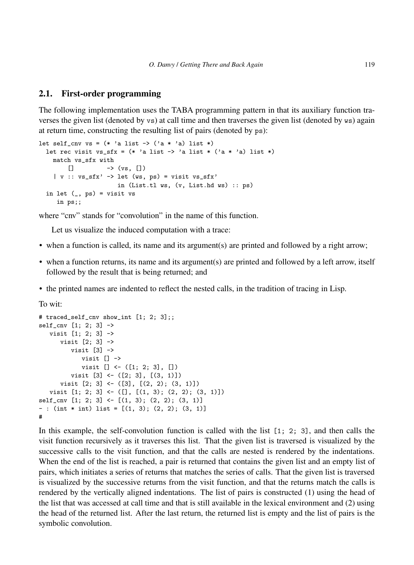## <span id="page-4-0"></span>2.1. First-order programming

The following implementation uses the TABA programming pattern in that its auxiliary function traverses the given list (denoted by vs) at call time and then traverses the given list (denoted by ws) again at return time, constructing the resulting list of pairs (denoted by ps):

```
let self_cnv vs = (* 'a list \rightarrow ('a * 'a) list *)let rec visit vs_sfx = (* 'a list -> 'a list * ('a * 'a) list *)match vs_sfx with
        \lbrack \rbrack -> (vs, [])
    | v : : vs\_sfx' \rightarrow let (ws, ps) = visit vs\_sfx'in (List.tl ws, (v, List.hd ws) :: ps)
  in let (, ps) = visit vs
     in ps;;
```
where "cnv" stands for "convolution" in the name of this function.

Let us visualize the induced computation with a trace:

- when a function is called, its name and its argument(s) are printed and followed by a right arrow;
- when a function returns, its name and its argument(s) are printed and followed by a left arrow, itself followed by the result that is being returned; and
- the printed names are indented to reflect the nested calls, in the tradition of tracing in Lisp.

To wit:

```
# traced_self_cnv show_int [1; 2; 3];;
self_{cnv} [1; 2; 3] \rightarrowvisit [1; 2; 3] ->
      visit [2; 3] ->
         visit [3] ->
            visit [] ->
            visit [] \leftarrow ([1; 2; 3], [])visit [3] <- ([2; 3], [(3, 1)])
      visit [2; 3] <- ([3], [(2, 2); (3, 1)])visit [1; 2; 3] <- ([], [(1, 3); (2, 2); (3, 1)])
self_cnv [1; 2; 3] <- [(1, 3); (2, 2); (3, 1)]
- : (int * int) list = [(1, 3); (2, 2); (3, 1)]
#
```
In this example, the self-convolution function is called with the list [1; 2; 3], and then calls the visit function recursively as it traverses this list. That the given list is traversed is visualized by the successive calls to the visit function, and that the calls are nested is rendered by the indentations. When the end of the list is reached, a pair is returned that contains the given list and an empty list of pairs, which initiates a series of returns that matches the series of calls. That the given list is traversed is visualized by the successive returns from the visit function, and that the returns match the calls is rendered by the vertically aligned indentations. The list of pairs is constructed (1) using the head of the list that was accessed at call time and that is still available in the lexical environment and (2) using the head of the returned list. After the last return, the returned list is empty and the list of pairs is the symbolic convolution.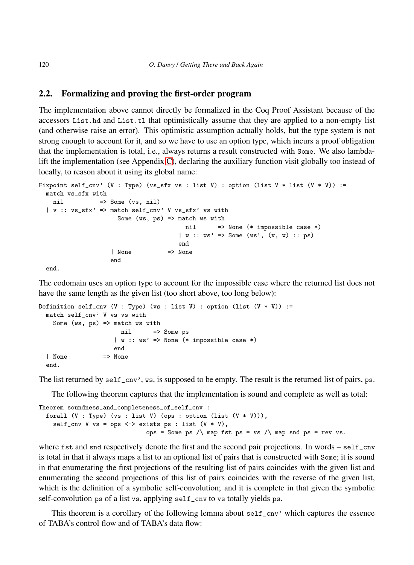## <span id="page-5-0"></span>2.2. Formalizing and proving the first-order program

The implementation above cannot directly be formalized in the Coq Proof Assistant because of the accessors List.hd and List.tl that optimistically assume that they are applied to a non-empty list (and otherwise raise an error). This optimistic assumption actually holds, but the type system is not strong enough to account for it, and so we have to use an option type, which incurs a proof obligation that the implementation is total, i.e., always returns a result constructed with Some. We also lambdalift the implementation (see Appendix [C\)](#page-58-0), declaring the auxiliary function visit globally too instead of locally, to reason about it using its global name:

```
Fixpoint self_cnv' (V : Type) (vs_sfx vs : list V) : option (list V * list (V * V)) :=
 match vs_sfx with
   nil => Some (vs, nil)
  | v :: vs_sfx' => match self_cnv' V vs_sfx' vs with
                     Some (ws, ps) \Rightarrow match ws with
                                        nil => None (* impossible case *)
                                      | w :: w s' \implies Some (w s', (v, w) :: p s)end
                   | None => None
                   end
 end.
```
The codomain uses an option type to account for the impossible case where the returned list does not have the same length as the given list (too short above, too long below):

```
Definition self_cnv (V : Type) (vs : list V) : option (list (V * V)) :=
 match self cnv' V vs vs with
   Some (ws, ps) \Rightarrow match ws with
                      nil => Some ps
                     | w :: ws' => None (* impossible case *)
                    end
  | None => None
 end.
```
The list returned by self\_cnv', ws, is supposed to be empty. The result is the returned list of pairs, ps.

The following theorem captures that the implementation is sound and complete as well as total:

```
Theorem soundness_and_completeness_of_self_cnv :
 forall (V : Type) (vs : list V) (ops : option (list (V * V))),
   self_cnv V vs = ops <-> exists ps : list (V * V),
                               ops = Some ps \land map fst ps = vs \land map snd ps = rev vs.
```
where fst and snd respectively denote the first and the second pair projections. In words – self\_cnv is total in that it always maps a list to an optional list of pairs that is constructed with Some; it is sound in that enumerating the first projections of the resulting list of pairs coincides with the given list and enumerating the second projections of this list of pairs coincides with the reverse of the given list, which is the definition of a symbolic self-convolution; and it is complete in that given the symbolic self-convolution ps of a list vs, applying self\_cnv to vs totally yields ps.

This theorem is a corollary of the following lemma about self\_cnv' which captures the essence of TABA's control flow and of TABA's data flow: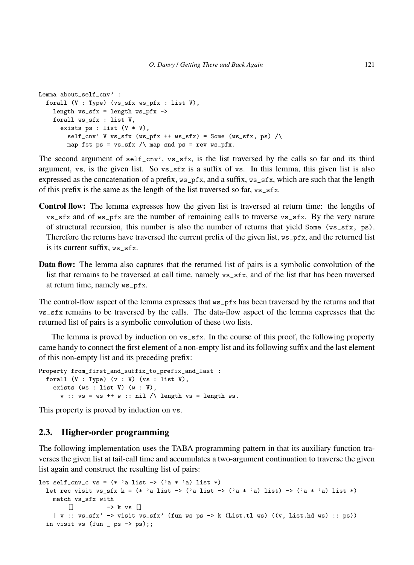```
Lemma about_self_cnv' :
  forall (V : Type) (vs_sfx ws_pfx : list V),
    length vs\_sfx = length ws_pfx \rightarrowforall ws_sfx : list V,
      exists ps : list (V * V),
        self\_cnv' V vs_sfx (ws_pfx ++ ws_sfx) = Some (ws_sfx, ps) /\
        map fst ps = vs\_sfx / map snd ps = rev ws\_pfx.
```
The second argument of  $\text{self\_cnv'}$ ,  $\text{vs\_sfx}$ , is the list traversed by the calls so far and its third argument, vs, is the given list. So vs\_sfx is a suffix of vs. In this lemma, this given list is also expressed as the concatenation of a prefix,  $ws_pfx$ , and a suffix,  $ws_sfx$ , which are such that the length of this prefix is the same as the length of the list traversed so far, vs\_sfx.

- Control flow: The lemma expresses how the given list is traversed at return time: the lengths of vs\_sfx and of ws\_pfx are the number of remaining calls to traverse vs\_sfx. By the very nature of structural recursion, this number is also the number of returns that yield Some ( $\text{ws\_sfx}$ , ps). Therefore the returns have traversed the current prefix of the given list, ws\_pfx, and the returned list is its current suffix, ws\_sfx.
- **Data flow:** The lemma also captures that the returned list of pairs is a symbolic convolution of the list that remains to be traversed at call time, namely vs\_sfx, and of the list that has been traversed at return time, namely ws\_pfx.

The control-flow aspect of the lemma expresses that ws\_pfx has been traversed by the returns and that vs\_sfx remains to be traversed by the calls. The data-flow aspect of the lemma expresses that the returned list of pairs is a symbolic convolution of these two lists.

The lemma is proved by induction on vs\_sfx. In the course of this proof, the following property came handy to connect the first element of a non-empty list and its following suffix and the last element of this non-empty list and its preceding prefix:

```
Property from_first_and_suffix_to_prefix_and_last :
 forall (V : Type) (v : V) (vs : list V),
   exists (ws : list V) (w : V),
      v :: vs = ws ++ w :: nil / \ length vs = length ws.
```
This property is proved by induction on vs.

## <span id="page-6-0"></span>2.3. Higher-order programming

The following implementation uses the TABA programming pattern in that its auxiliary function traverses the given list at tail-call time and accumulates a two-argument continuation to traverse the given list again and construct the resulting list of pairs:

```
let self_cnv_c vs = (* 'a list -> ('a * 'a) list *)let rec visit vs_sfx k = (* 'a list -> ('a list -> ('a * 'a) list) -> ('a * 'a) list *)
   match vs_sfx with
       [] -> k vs []
    | v :: vs_sfx' -> visit vs_sfx' (fun ws ps -> k (List.tl ws) ((v, List.hd ws) :: ps))
 in visit vs (fun - ps -> ps);;
```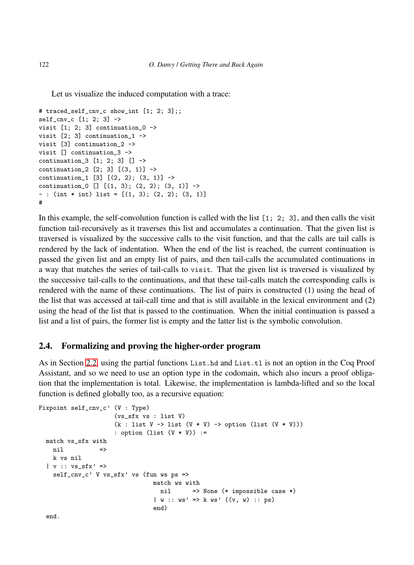Let us visualize the induced computation with a trace:

```
# traced_self_cnv_c show_int [1; 2; 3];;
self_cnv_c [1; 2; 3] ->
visit [1; 2; 3] continuation_0 ->
visit [2; 3] continuation_1 ->
visit [3] continuation_2 ->
visit [] continuation_3 ->
continuation_3 [1; 2; 3] [] ->
continuation_2 [2; 3] [(3, 1)] ->
continuation_1 [3] [(2, 2); (3, 1)] ->
continuation [0] [ (1, 3); (2, 2); (3, 1) ] ->
- : (int * int) list = [(1, 3); (2, 2); (3, 1)]
#
```
In this example, the self-convolution function is called with the list [1; 2; 3], and then calls the visit function tail-recursively as it traverses this list and accumulates a continuation. That the given list is traversed is visualized by the successive calls to the visit function, and that the calls are tail calls is rendered by the lack of indentation. When the end of the list is reached, the current continuation is passed the given list and an empty list of pairs, and then tail-calls the accumulated continuations in a way that matches the series of tail-calls to visit. That the given list is traversed is visualized by the successive tail-calls to the continuations, and that these tail-calls match the corresponding calls is rendered with the name of these continuations. The list of pairs is constructed (1) using the head of the list that was accessed at tail-call time and that is still available in the lexical environment and (2) using the head of the list that is passed to the continuation. When the initial continuation is passed a list and a list of pairs, the former list is empty and the latter list is the symbolic convolution.

## <span id="page-7-0"></span>2.4. Formalizing and proving the higher-order program

As in Section [2.2,](#page-5-0) using the partial functions List.hd and List.tl is not an option in the Coq Proof Assistant, and so we need to use an option type in the codomain, which also incurs a proof obligation that the implementation is total. Likewise, the implementation is lambda-lifted and so the local function is defined globally too, as a recursive equation:

```
Fixpoint self_cnv_c' (V : Type)
                        (vs_sfx vs : list V)
                        (k : list V \rightarrow list (V * V) \rightarrow option (list (V * V)))
                        : option (list (V * V)) :=
  match vs_sfx with
   \overline{\phantom{a}}nil \overline{\phantom{a}}k vs nil
  | v : : vs\_sfx' >self_cnv_c' V vs_sfx' vs (fun ws ps =>
                                     match ws with
                                       nil => None (* impossible case *)
                                     | w :: ws' \implies k ws' ((v, w) :: ps)end)
```
end.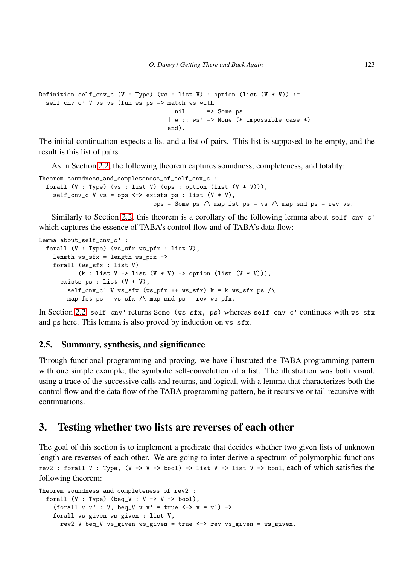```
Definition self_cnv_c (V : Type) (vs : list V) : option (list (V * V)) :=
  self_cnv_c' V vs vs (fun ws ps => match ws with
                                    nil => Some ps
                                   | w :: ws' => None (* impossible case *)
                                   end).
```
The initial continuation expects a list and a list of pairs. This list is supposed to be empty, and the result is this list of pairs.

As in Section [2.2,](#page-5-0) the following theorem captures soundness, completeness, and totality:

```
Theorem soundness_and_completeness_of_self_cnv_c :
 forall (V : Type) (vs : list V) (ops : option (list (V * V))),
   self_cnv_c V vs = ops <-> exists ps : list (V * V),
                                ops = Some ps \land map fst ps = vs \land map snd ps = rev vs.
```
Similarly to Section [2.2,](#page-5-0) this theorem is a corollary of the following lemma about self\_cnv\_c' which captures the essence of TABA's control flow and of TABA's data flow:

```
Lemma about_self_cnv_c' :
  forall (V : Type) (vs_sfx ws_pfx : list V),
    length vs\_sfx = length ws_pfx \rightarrowforall (ws_sfx : list V)
            (k : list V \rightarrow list (V * V) \rightarrow option (list (V * V)),
      exists ps : list (V * V),
        self\_cnv\_c' V vs_sfx (ws_pfx ++ ws_sfx) k = k ws_sfx ps /\
        map fst ps = vs\_sfx / map snd ps = rev ws\_pfx.
```
In Section [2.2,](#page-5-0) self\_cnv' returns Some (ws\_sfx, ps) whereas self\_cnv\_c' continues with ws\_sfx and ps here. This lemma is also proved by induction on vs\_sfx.

## 2.5. Summary, synthesis, and significance

Through functional programming and proving, we have illustrated the TABA programming pattern with one simple example, the symbolic self-convolution of a list. The illustration was both visual, using a trace of the successive calls and returns, and logical, with a lemma that characterizes both the control flow and the data flow of the TABA programming pattern, be it recursive or tail-recursive with continuations.

# <span id="page-8-0"></span>3. Testing whether two lists are reverses of each other

The goal of this section is to implement a predicate that decides whether two given lists of unknown length are reverses of each other. We are going to inter-derive a spectrum of polymorphic functions rev2 : forall V : Type,  $(V \rightarrow V \rightarrow bool) \rightarrow list V \rightarrow list V \rightarrow bool$ , each of which satisfies the following theorem:

```
Theorem soundness_and_completeness_of_rev2 :
  forall (V : Type) (beq_V : V -> V -> bool),
    (forall v v' : V, beq_V v v' = true \leftarrow > v = v') ->
    forall vs_given ws_given : list V,
      rev2 V beq_V vs_given ws_given = true <-> rev vs_given = ws_given.
```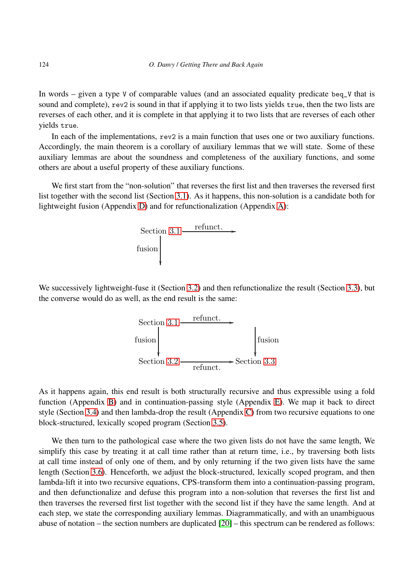In words – given a type V of comparable values (and an associated equality predicate beq\_V that is sound and complete), rev2 is sound in that if applying it to two lists yields true, then the two lists are reverses of each other, and it is complete in that applying it to two lists that are reverses of each other yields true.

In each of the implementations, rev2 is a main function that uses one or two auxiliary functions. Accordingly, the main theorem is a corollary of auxiliary lemmas that we will state. Some of these auxiliary lemmas are about the soundness and completeness of the auxiliary functions, and some others are about a useful property of these auxiliary functions.

We first start from the "non-solution" that reverses the first list and then traverses the reversed first list together with the second list (Section [3.1\)](#page-21-0). As it happens, this non-solution is a candidate both for lightweight fusion (Appendix [D\)](#page-59-0) and for refunctionalization (Appendix [A\)](#page-54-0):



We successively lightweight-fuse it (Section [3.2\)](#page-20-0) and then refunctionalize the result (Section [3.3\)](#page-19-0), but the converse would do as well, as the end result is the same:



As it happens again, this end result is both structurally recursive and thus expressible using a fold function (Appendix [B\)](#page-57-0) and in continuation-passing style (Appendix [E\)](#page-62-0). We map it back to direct style (Section [3.4\)](#page-19-1) and then lambda-drop the result (Appendix [C\)](#page-58-0) from two recursive equations to one block-structured, lexically scoped program (Section [3.5\)](#page-17-0).

We then turn to the pathological case where the two given lists do not have the same length, We simplify this case by treating it at call time rather than at return time, i.e., by traversing both lists at call time instead of only one of them, and by only returning if the two given lists have the same length (Section [3.6\)](#page-16-0). Henceforth, we adjust the block-structured, lexically scoped program, and then lambda-lift it into two recursive equations, CPS-transform them into a continuation-passing program, and then defunctionalize and defuse this program into a non-solution that reverses the first list and then traverses the reversed first list together with the second list if they have the same length. And at each step, we state the corresponding auxiliary lemmas. Diagrammatically, and with an unambiguous abuse of notation – the section numbers are duplicated [\[20\]](#page-52-14) – this spectrum can be rendered as follows: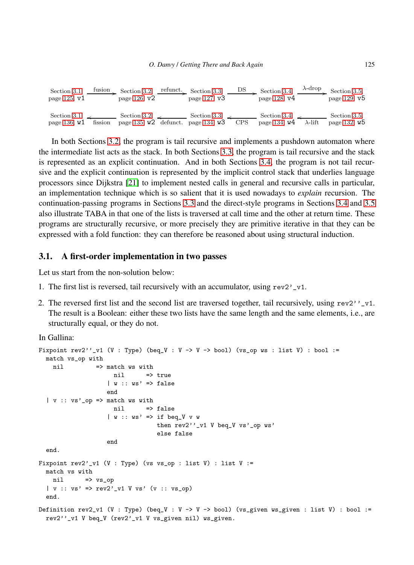| Section 3.1.<br>page $125, v1$          | tusion  | Section 3.2,<br>page $126, v2$                                | refunct. Section 3.3,<br>page 127, v3 | DS.        | Section 3.4,<br>page $128, v4$        | $\lambda$ -drop | Section 3.5,<br>page 129, v <sub>5</sub> |
|-----------------------------------------|---------|---------------------------------------------------------------|---------------------------------------|------------|---------------------------------------|-----------------|------------------------------------------|
| Section 3.1, $\angle$<br>page 136, $W1$ | fission | Section 3.2, $\sim$<br>page 135, $W2$ defunct. page 134, $W3$ | Section 3.3, $\sim$                   | <b>CPS</b> | Section 3.4, $\sim$<br>page 134, $W4$ | $\lambda$ -lift | Section 3.5.<br>page 132, w <sub>5</sub> |

In both Sections [3.2,](#page-20-0) the program is tail recursive and implements a pushdown automaton where the intermediate list acts as the stack. In both Sections [3.3,](#page-19-0) the program is tail recursive and the stack is represented as an explicit continuation. And in both Sections [3.4,](#page-19-1) the program is not tail recursive and the explicit continuation is represented by the implicit control stack that underlies language processors since Dijkstra [\[21\]](#page-52-15) to implement nested calls in general and recursive calls in particular, an implementation technique which is so salient that it is used nowadays to *explain* recursion. The continuation-passing programs in Sections [3.3](#page-19-0) and the direct-style programs in Sections [3.4](#page-19-1) and [3.5](#page-17-0) also illustrate TABA in that one of the lists is traversed at call time and the other at return time. These programs are structurally recursive, or more precisely they are primitive iterative in that they can be expressed with a fold function: they can therefore be reasoned about using structural induction.

#### 3.1. A first-order implementation in two passes

Let us start from the non-solution below:

- 1. The first list is reversed, tail recursively with an accumulator, using rev2'\_v1.
- 2. The reversed first list and the second list are traversed together, tail recursively, using  $rev2'$ '\_v1. The result is a Boolean: either these two lists have the same length and the same elements, i.e., are structurally equal, or they do not.

In Gallina:

```
Fixpoint rev2''_v1 (V : Type) (beq_V : V -> V -> bool) (vs_op ws : list V) : bool :=
  match vs_op with
   nil \Rightarrow match ws with
                    nil => true
                   | w :: ws' \Rightarrow falseend
  | v :: vs'_op => match ws with
                    nil => false
                   | w :: ws' => if beq_V v w
                                 then rev2''_v1 V beq_V vs'_op ws'
                                 else false
                   end
  end.
Fixpoint rev2'_v1 (V : Type) (vs vs_op : list V) : list V :=
  match vs with
   nil => vs_op
  | v :: v s' \implies rev2' v1 V v s' (v :: v s \text{0})end.
Definition rev2_v1 (V : Type) (beq_V : V -> V -> bool) (vs_given ws_given : list V) : bool :=
  rev2''_v1 V beq_V (rev2'_v1 V vs_given nil) ws_given.
```
λ-drop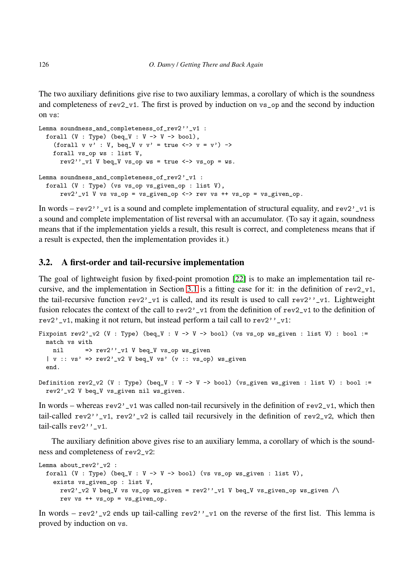The two auxiliary definitions give rise to two auxiliary lemmas, a corollary of which is the soundness and completeness of rev2\_v1. The first is proved by induction on vs\_op and the second by induction on vs:

```
Lemma soundness_and_completeness_of_rev2''_v1 :
  forall (V : Type) (beq_V : V \rightarrow V \rightarrow bool),
    (forall v v' : V, beg_V v v' = true \iff v = v') ->
    forall vs_op ws : list V,
      rev2''_v1 V beq_V vs_op ws = true <-> vs_op = ws.
Lemma soundness_and_completeness_of_rev2'_v1 :
  forall (V : Type) (vs vs_op vs_given_op : list V),
      rev2'-v1 V vs vs_op = vs_given_op <-> rev vs ++ vs_op = vs_given_op.
```
In words – rev2'' v1 is a sound and complete implementation of structural equality, and rev2' v1 is a sound and complete implementation of list reversal with an accumulator. (To say it again, soundness means that if the implementation yields a result, this result is correct, and completeness means that if a result is expected, then the implementation provides it.)

#### 3.2. A first-order and tail-recursive implementation

The goal of lightweight fusion by fixed-point promotion [\[22\]](#page-52-16) is to make an implementation tail re-cursive, and the implementation in Section [3.1](#page-21-0) is a fitting case for it: in the definition of  $rev2_v1$ , the tail-recursive function rev2'\_v1 is called, and its result is used to call rev2''\_v1. Lightweight fusion relocates the context of the call to rev2'\_v1 from the definition of rev2\_v1 to the definition of rev2'\_v1, making it not return, but instead perform a tail call to rev2''\_v1:

```
Fixpoint rev2' v2 (V : Type) (beq_V : V -> V -> bool) (vs vs_op ws_given : list V) : bool :=
  match vs with
   nil = = rev2', vt V beq_V vs_op ws_given
  | v :: v s' \implies rev2'_v2 V beq_V vs' (v :: vs_op) ws_given
  end.
Definition rev2_v2 (V : Type) (beq_V : V -> V -> bool) (vs_given ws_given : list V) : bool :=
  rev2'_v2 V beq_V vs_given nil ws_given.
```
In words – whereas  $rev2'_{\nu}$  was called non-tail recursively in the definition of  $rev2_{\nu}$ , which then tail-called rev2''\_v1, rev2'\_v2 is called tail recursively in the definition of rev2\_v2, which then tail-calls rev2''\_v1.

The auxiliary definition above gives rise to an auxiliary lemma, a corollary of which is the soundness and completeness of rev2\_v2:

```
Lemma about rev2' v2 :
  forall (V : Type) (beq_V : V -> V -> bool) (vs vs_op ws_given : list V),
    exists vs_given_op : list V,
      rev2'_v2 V beq_V vs vs_op ws_given = rev2''_v1 V beq_V vs_given_op ws_given /\
      rev vs + + vs \t{op} = vs \t{given \t{op}}.
```
In words – rev2'\_v2 ends up tail-calling rev2''\_v1 on the reverse of the first list. This lemma is proved by induction on vs.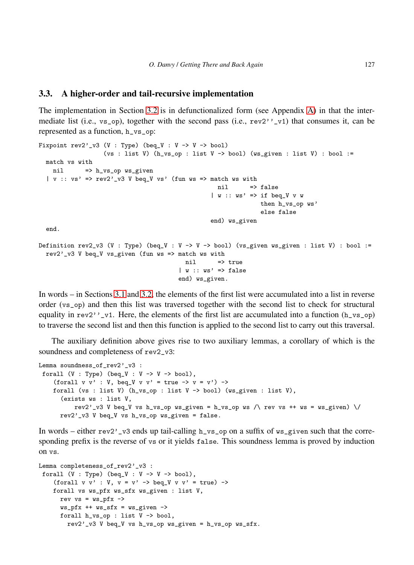#### 3.3. A higher-order and tail-recursive implementation

The implementation in Section [3.2](#page-20-0) is in defunctionalized form (see Appendix [A\)](#page-54-0) in that the intermediate list (i.e.,  $v_s$  op), together with the second pass (i.e.,  $rev2'$ )  $-v1$ ) that consumes it, can be represented as a function, h\_vs\_op:

```
Fixpoint rev2'_v3 (V : Type) (beq_V : V -> V -> bool)
                  (vs : list V) (h_vs_op : list V -> bool) (ws_given : list V) : bool :=
 match vs with
   nil => h_vs_op ws_given
  | v : : v s' \implies rev2' v3 V beq V vs' (fun ws => match ws with
                                                  nil => false
                                                 | w :: ws' \implies if beg_V wthen h_vs_op ws'
                                                               else false
                                                 end) ws_given
 end.
Definition rev2_v3 (V : Type) (beq_V : V -> V -> bool) (vs_given ws_given : list V) : bool :=
 rev2'_v3 V beq_V vs_given (fun ws => match ws with
                                         nil => true
                                       | w :: ws' \Rightarrow falseend) ws_given.
```
In words – in Sections [3.1](#page-21-0) and [3.2,](#page-20-0) the elements of the first list were accumulated into a list in reverse order (vs\_op) and then this list was traversed together with the second list to check for structural equality in  $rev2'$ ,  $-v1$ . Here, the elements of the first list are accumulated into a function (h\_vs\_op) to traverse the second list and then this function is applied to the second list to carry out this traversal.

The auxiliary definition above gives rise to two auxiliary lemmas, a corollary of which is the soundness and completeness of rev2\_v3:

```
Lemma soundness_of_rev2'_v3 :
forall (V : Type) (beq_V : V -> V -> bool),
    (forall v v' : V, beq_V v v' = true -> v = v') ->
   forall (vs : list V) (h_vs_op : list V -> bool) (ws_given : list V),
      (exists ws : list V,
          rev2'_v3 V beq_V vs h_vs_op ws_given = h_vs_op ws /\ rev vs ++ ws = ws_given) \/
     rev2'_v3 V beq_V vs h_vs_op ws_given = false.
```
In words – either  $rev2'$  v3 ends up tail-calling  $h_v s_p$  on a suffix of  $ws_g$  ven such that the corresponding prefix is the reverse of vs or it yields false. This soundness lemma is proved by induction on vs.

```
Lemma completeness_of_rev2'_v3 :
forall (V : Type) (beq_V : V \rightarrow V \rightarrow bool),
    (forall v v' : V, v = v' \rightarrow beq_V v v' = true) ->
    forall vs ws_pfx ws_sfx ws_given : list V,
      rev vs = ws_pfx \rightarrowws_pfx ++ ws_sfx = ws_give ->
      forall h_vs_op : list V -> bool,
        rev2'_v3 V beq_V vs h_vs_op ws_given = h_vs_op ws_sfx.
```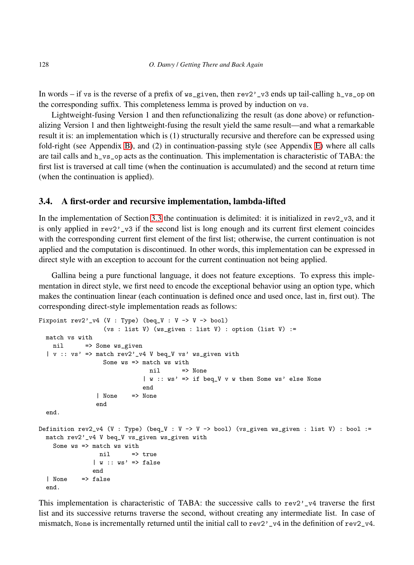In words – if vs is the reverse of a prefix of  $ws$ -given, then rev2'\_v3 ends up tail-calling h\_vs\_op on the corresponding suffix. This completeness lemma is proved by induction on vs.

Lightweight-fusing Version 1 and then refunctionalizing the result (as done above) or refunctionalizing Version 1 and then lightweight-fusing the result yield the same result—and what a remarkable result it is: an implementation which is (1) structurally recursive and therefore can be expressed using fold-right (see Appendix [B\)](#page-57-0), and (2) in continuation-passing style (see Appendix [E\)](#page-62-0) where all calls are tail calls and h\_vs\_op acts as the continuation. This implementation is characteristic of TABA: the first list is traversed at call time (when the continuation is accumulated) and the second at return time (when the continuation is applied).

## 3.4. A first-order and recursive implementation, lambda-lifted

In the implementation of Section [3.3](#page-19-0) the continuation is delimited: it is initialized in  $rev2_v3$ , and it is only applied in  $rev2'$  v3 if the second list is long enough and its current first element coincides with the corresponding current first element of the first list; otherwise, the current continuation is not applied and the computation is discontinued. In other words, this implementation can be expressed in direct style with an exception to account for the current continuation not being applied.

Gallina being a pure functional language, it does not feature exceptions. To express this implementation in direct style, we first need to encode the exceptional behavior using an option type, which makes the continuation linear (each continuation is defined once and used once, last in, first out). The corresponding direct-style implementation reads as follows:

```
Fixpoint rev2'_v4 (V : Type) (beq_V : V -> V -> bool)
                  (vs : list V) (ws_given : list V) : option (list V) :=
 match vs with
   nil => Some ws_given
  | v :: v s' \implies \text{match rev2'}_V4 V \text{ beq}_V vs' ws_given with
                  Some ws => match ws with
                               nil => None
                             | w :: ws' => if beq_V v w then Some ws' else None
                             end
                | None => None
                end
 end.
Definition rev2_v4 (V : Type) (beq_V : V -> V -> bool) (vs_given ws_given : list V) : bool :=
 match rev2'_v4 V beq_V vs_given ws_given with
   Some ws => match ws with
                nil => true
               | w : : ws' \implies falseend
  | None => false
 end.
```
This implementation is characteristic of TABA: the successive calls to rev2'<sub>-v4</sub> traverse the first list and its successive returns traverse the second, without creating any intermediate list. In case of mismatch, None is incrementally returned until the initial call to rev2'\_v4 in the definition of  $rev2_V4$ .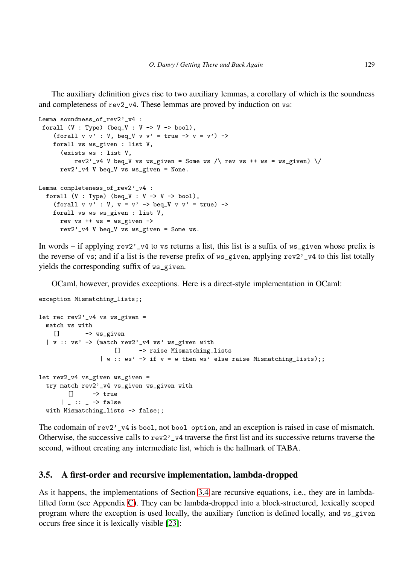The auxiliary definition gives rise to two auxiliary lemmas, a corollary of which is the soundness and completeness of rev2\_v4. These lemmas are proved by induction on vs:

```
Lemma soundness_of_rev2'_v4 :
forall (V : Type) (beq_V : V -> V -> bool),
    (forall v v' : V, beq_V v v' = true -> v = v') ->
    forall vs ws_given : list V,
      (exists ws : list V,
          rev2'_v4 V beq_V vs ws_given = Some ws /\ rev vs ++ ws = ws_given) \/
      rev2'-v4 V beq-V vs ws-given = None.
Lemma completeness_of_rev2'_v4 :
  forall (V : Type) (beq_V : V \rightarrow V \rightarrow bool),
    (forall v v' : V, v = v' \rightarrow beg_V v v' = true) ->
    forall vs ws ws_given : list V,
      rev vs ++ ws = ws_given ->
      rev2' v<sup>4</sup> V beq V vs ws given = Some ws.
```
In words – if applying  $rev2'$ , v<sub>4</sub> to vs returns a list, this list is a suffix of ws given whose prefix is the reverse of vs; and if a list is the reverse prefix of ws\_given, applying rev2'\_v4 to this list totally yields the corresponding suffix of ws\_given.

OCaml, however, provides exceptions. Here is a direct-style implementation in OCaml:

exception Mismatching\_lists;;

```
let rec rev2'-v4 vs ws-given =
 match vs with
   [] -> ws_given
  | v :: vs' -> (match rev2'_v4 vs' ws_given with
                    [] -> raise Mismatching_lists
                 | w : : ws' \rightarrow if v = w then ws' else raise Mismatching_lists);;
let rev2_v4 vs_given ws_given =
 try match rev2'_v4 vs_given ws_given with
        [] -> true
      | \_ : : \_ \rightarrow falsewith Mismatching_lists -> false;;
```
The codomain of rev2'\_v4 is bool, not bool option, and an exception is raised in case of mismatch. Otherwise, the successive calls to rev2'\_v4 traverse the first list and its successive returns traverse the second, without creating any intermediate list, which is the hallmark of TABA.

## 3.5. A first-order and recursive implementation, lambda-dropped

As it happens, the implementations of Section [3.4](#page-19-1) are recursive equations, i.e., they are in lambdalifted form (see Appendix [C\)](#page-58-0). They can be lambda-dropped into a block-structured, lexically scoped program where the exception is used locally, the auxiliary function is defined locally, and ws\_given occurs free since it is lexically visible [\[23\]](#page-53-0):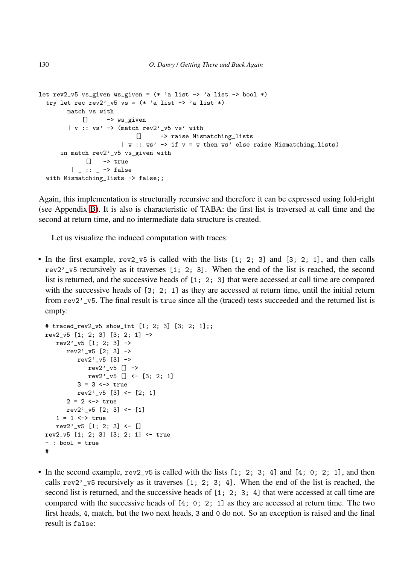```
let rev2_v5 vs_given ws_given = (* 'a list -> 'a list -> bool *)try let rec rev2'_v5 vs = (* 'a list -> 'a list *)match vs with
             [] -> ws_given
        | v :: v s' \rightarrow (match rev2'_v5 vs' with
                             [] -> raise Mismatching_lists
                         | w : : ws' \rightarrow if v = w then ws' else raise Mismatching_lists)
      in match rev2'_v5 vs_given with
              \Box \rightarrow \text{true}| \angle :: \angle -> false
  with Mismatching_lists -> false;;
```
Again, this implementation is structurally recursive and therefore it can be expressed using fold-right (see Appendix [B\)](#page-57-0). It is also is characteristic of TABA: the first list is traversed at call time and the second at return time, and no intermediate data structure is created.

Let us visualize the induced computation with traces:

• In the first example, rev2 v5 is called with the lists [1; 2; 3] and [3; 2; 1], and then calls rev2'\_v5 recursively as it traverses [1; 2; 3]. When the end of the list is reached, the second list is returned, and the successive heads of [1; 2; 3] that were accessed at call time are compared with the successive heads of [3; 2; 1] as they are accessed at return time, until the initial return from rev2'\_v5. The final result is true since all the (traced) tests succeeded and the returned list is empty:

```
# traced_rev2_v5 show_int [1; 2; 3] [3; 2; 1];;
rev2_v5 [1; 2; 3] [3; 2; 1] ->
   rev2'<sub>-v5</sub> [1; 2; 3] \rightarrowrev2' -v5 [2; 3] \rightarrowrev2'_v5 [3] ->
              rev2' -v5 [] \rightarrowrev2'_v5 [] <- [3; 2; 1]
           3 = 3 \leftarrow \times \text{true}rev2'<sub>-v5</sub> [3] <- [2; 1]2 = 2 \leftrightarrow truerev2'_v5 [2; 3] <- [1]
   1 = 1 \leftrightarrow truerev2'_v5 [1; 2; 3] <- []
rev2_v5 [1; 2; 3] [3; 2; 1] <- true
- : bool = true
#
```
• In the second example,  $rev2_v5$  is called with the lists [1; 2; 3; 4] and [4; 0; 2; 1], and then calls  $rev2'$  v5 recursively as it traverses  $[1; 2; 3; 4]$ . When the end of the list is reached, the second list is returned, and the successive heads of [1; 2; 3; 4] that were accessed at call time are compared with the successive heads of [4; 0; 2; 1] as they are accessed at return time. The two first heads, 4, match, but the two next heads, 3 and 0 do not. So an exception is raised and the final result is false: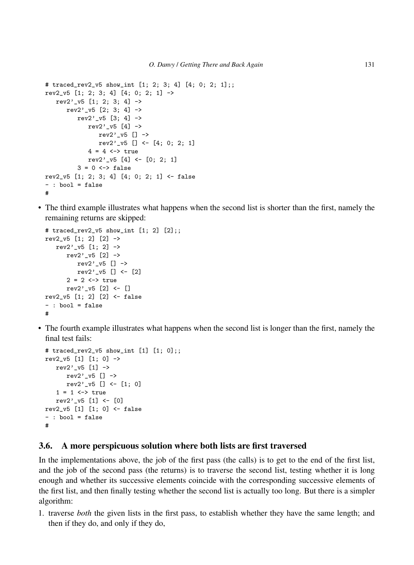```
# traced rev2 v5 show int [1; 2; 3; 4] [4; 0; 2; 1];rev2_v5 [1; 2; 3; 4] [4; 0; 2; 1] ->
   rev2'<sub>-V</sub>5 [1; 2; 3; 4] ->
       rev2'<sub>-v5</sub> [2; 3; 4] ->
           rev2'<sub>-V</sub>5 [3; 4] ->
               rev2'<sub>-V</sub>5 [4] ->
                   rev2'<sub>-V</sub>5 [] ->
                   rev2'<sub>-V</sub>5 [] <- [4; 0; 2; 1]4 = 4 \leftrightarrow truerev2'<sub>-</sub>v5 [4] <- [0; 2; 1]
           3 = 0 \leftrightarrow falserev2_v5 [1; 2; 3; 4] [4; 0; 2; 1] <- false
- : bool = false
#
```
• The third example illustrates what happens when the second list is shorter than the first, namely the remaining returns are skipped:

```
# traced_rev2_v5 show_int [1; 2] [2];;
rev2_v5 [1; 2] [2] \rightarrowrev2' -v5 [1; 2] \rightarrowrev2'<sub>-v5</sub> [2] ->
          rev2' v5 [] \rightarrowrev2'_v5 [] <- [2]
       2 = 2 \leftrightarrow truerev2'_v5 [2] <- []
rev2_v5 [1; 2] [2] <- false
- : bool = false
#
```
• The fourth example illustrates what happens when the second list is longer than the first, namely the final test fails:

```
# traced_rev2_v5 show_int [1] [1; 0];;
rev2_v5 [1] [1; 0] ->
   rev2' -v5 [1] \rightarrowrev2' -v5 [] \rightarrowrev2'<sub>-V</sub>5 [] <- [1; 0]1 = 1 \leftrightarrow truerev2'_v5 [1] <- [0]
rev2_v5 [1] [1; 0] <- false
- : bool = false
#
```
### <span id="page-16-0"></span>3.6. A more perspicuous solution where both lists are first traversed

In the implementations above, the job of the first pass (the calls) is to get to the end of the first list, and the job of the second pass (the returns) is to traverse the second list, testing whether it is long enough and whether its successive elements coincide with the corresponding successive elements of the first list, and then finally testing whether the second list is actually too long. But there is a simpler algorithm:

1. traverse *both* the given lists in the first pass, to establish whether they have the same length; and then if they do, and only if they do,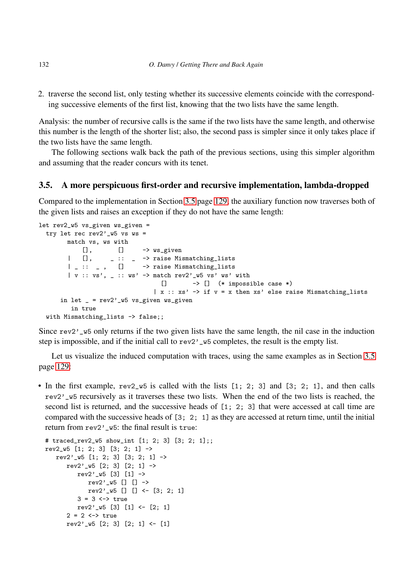2. traverse the second list, only testing whether its successive elements coincide with the corresponding successive elements of the first list, knowing that the two lists have the same length.

Analysis: the number of recursive calls is the same if the two lists have the same length, and otherwise this number is the length of the shorter list; also, the second pass is simpler since it only takes place if the two lists have the same length.

The following sections walk back the path of the previous sections, using this simpler algorithm and assuming that the reader concurs with its tenet.

# <span id="page-17-0"></span>3.5. A more perspicuous first-order and recursive implementation, lambda-dropped

Compared to the implementation in Section [3.5](#page-17-0) page [129,](#page-17-0) the auxiliary function now traverses both of the given lists and raises an exception if they do not have the same length:

```
let rev2_w5 vs_given ws_given =
  try let rec rev2' \overline{\ } w5 \overline{\ } ws =
          match vs, ws with
               [], [] - > ws_given
          | [], _ :: _ -> raise Mismatching_lists
          | \cdot | : : | \cdot | : | \cdot | -> raise Mismatching_lists
          | v :: v s', \_ :: w s' \rightarrow \text{match rev2'}_W5 v s' w s' with\begin{bmatrix} \end{bmatrix} -> \begin{bmatrix} \end{bmatrix} (* impossible case *)
                                         \vert x : x s' \rightarrow \text{if } v = x \text{ then } x s' \text{ else raise Mismatching_lists}in let = rev2' w5 vs_given ws_given
           in true
  with Mismatching_lists -> false;;
```
Since rev2'\_w5 only returns if the two given lists have the same length, the nil case in the induction step is impossible, and if the initial call to rev2'\_w5 completes, the result is the empty list.

Let us visualize the induced computation with traces, using the same examples as in Section [3.5](#page-17-0) page [129:](#page-17-0)

• In the first example, rev2\_w5 is called with the lists [1; 2; 3] and [3; 2; 1], and then calls rev2'\_w5 recursively as it traverses these two lists. When the end of the two lists is reached, the second list is returned, and the successive heads of [1; 2; 3] that were accessed at call time are compared with the successive heads of [3; 2; 1] as they are accessed at return time, until the initial return from rev2'\_w5: the final result is true:

```
# traced_rev2_w5 show_int [1; 2; 3] [3; 2; 1];;
rev2_w5 [1; 2; 3] [3; 2; 1] ->
   rev2'<sub>-</sub>v5 [1; 2; 3] [3; 2; 1] ->
       rev2'_w5 [2; 3] [2; 1] ->
           rev2' ,v5 [3] [1] \rightarrowrev2' \sqrt{5} \boxed{]} \boxed{]} ->
               rev2'_w5 [] [] <- [3; 2; 1]
           3 = 3 \leftrightarrow truerev2'_w5 [3] [1] <- [2; 1]
       2 = 2 \leftrightarrow truerev2'<sub>-</sub>w5 [2; 3] [2; 1] <- [1]
```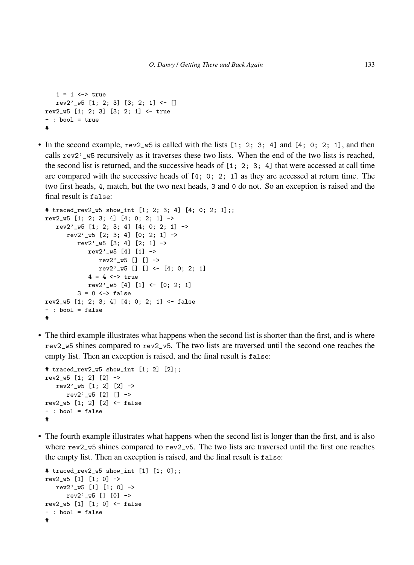```
1 = 1 \leftrightarrow truerev2'<sub>-</sub>v5 [1; 2; 3] [3; 2; 1] <- []
rev2_w5 [1; 2; 3] [3; 2; 1] <- true
- : bool = true
#
```
• In the second example,  $rev2_w5$  is called with the lists  $[1; 2; 3; 4]$  and  $[4; 0; 2; 1]$ , and then calls rev2'\_w5 recursively as it traverses these two lists. When the end of the two lists is reached, the second list is returned, and the successive heads of [1; 2; 3; 4] that were accessed at call time are compared with the successive heads of  $[4; 0; 2; 1]$  as they are accessed at return time. The two first heads, 4, match, but the two next heads, 3 and 0 do not. So an exception is raised and the final result is false:

```
# traced_rev2_w5 show_int [1; 2; 3; 4] [4; 0; 2; 1];;
rev2_w5 [1; 2; 3; 4] [4; 0; 2; 1] \rightarrowrev2'<sub>-</sub>w5 [1; 2; 3; 4] [4; 0; 2; 1] ->
       rev2'<sub>-</sub>v5<sup>[2; 3; 4] [0; 2; 1] -></sup>
          rev2'<sub>-</sub>w5 [3; 4] [2; 1] ->
              rev2' ,v5 [4] [1] \rightarrowrev2'_w5 [] [] ->
                 rev2'_w5 [] [] <- [4; 0; 2; 1]4 = 4 \leftrightarrow truerev2'_w5 [4] [1] <- [0; 2; 1]
          3 = 0 \iff falserev2_w5 [1; 2; 3; 4] [4; 0; 2; 1] <- false
- : bool = false
#
```
• The third example illustrates what happens when the second list is shorter than the first, and is where rev2\_w5 shines compared to rev2\_v5. The two lists are traversed until the second one reaches the empty list. Then an exception is raised, and the final result is false:

```
# traced_rev2_w5 show_int [1; 2] [2];;
rev2_w5 [1; 2] [2] \rightarrowrev2'<sub>-</sub>w5 [1; 2] [2] ->
       rev2' \sqrt{5} [2] [] ->
rev2_w5 [1; 2] [2] <- false
- : bool = false
#
```
• The fourth example illustrates what happens when the second list is longer than the first, and is also where  $rev2_w5$  shines compared to rev2\_v5. The two lists are traversed until the first one reaches the empty list. Then an exception is raised, and the final result is false:

```
# traced_rev2_w5 show_int [1] [1; 0];;
rev2_w5 [1] [1; 0] ->
   rev2' \sqrt{5} [1] [1; 0] ->
     rev2'_w5 [] [0] ->
rev2_w5 [1] [1; 0] <- false
- : bool = false
#
```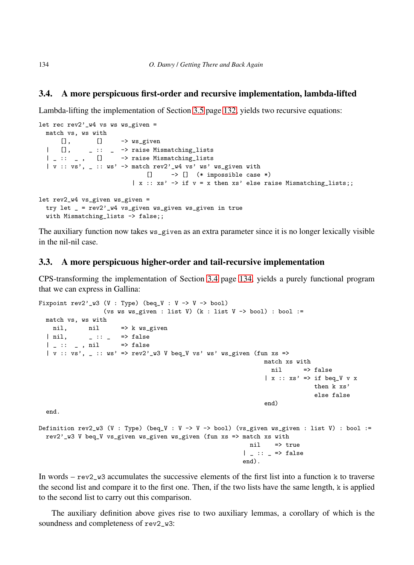#### <span id="page-19-1"></span>3.4. A more perspicuous first-order and recursive implementation, lambda-lifted

Lambda-lifting the implementation of Section [3.5](#page-17-0) page [132,](#page-17-0) yields two recursive equations:

```
let rec rev2' w4 vs ws ws given =
  match vs, ws with
      [], [] \rightarrow ws_given
  | [], _ :: _ -> raise Mismatching_lists
  | _ :: _ , [] -> raise Mismatching_lists
  | v :: v s', = :: w s' \rightarrow \text{match rev2'}_W4 v s' w s' w s_given with
                               [] \longrightarrow [] (* impossible case *)
                           |x| : x s' \rightarrow if v = x then xs' else raise Mismatching_list;let rev2_w4 vs_given ws_given =
  try let _ = rev2'_w4 vs_given ws_given ws_given in true
  with Mismatching_lists -> false;;
```
The auxiliary function now takes ws\_given as an extra parameter since it is no longer lexically visible in the nil-nil case.

#### <span id="page-19-0"></span>3.3. A more perspicuous higher-order and tail-recursive implementation

CPS-transforming the implementation of Section [3.4](#page-19-1) page [134,](#page-19-1) yields a purely functional program that we can express in Gallina:

```
Fixpoint rev2'<sub>-</sub>w3 (V : Type) (beq_V : V -> V -> bool)
                   (vs ws ws_given : list V) (k : list V -> bool) : bool :=
  match vs, ws with
   nil, nil => k ws_given
  | nil, \qquad \qquad :: _ => false
  | \angle :: \angle , nil => false
  | v : : vs', \_ : : ws' \implies rev2' w3 V beq_V vs' ws xs_given (fun xs =>
                                                                   match xs with
                                                                    nil => false
                                                                   \vert x :: xs' \Rightarrow if beg_V v xthen k xs'
                                                                                  else false
                                                                   end)
  end.
Definition rev2_w3 (V : Type) (beq_V : V -> V -> bool) (vs_given ws_given : list V) : bool :=
  rev2'_w3 V beq_V vs_given ws_given ws_given (fun xs => match xs with
                                                              nil => true
                                                             | \angle :: \angle => false
                                                             end).
```
In words –  $rev2_w3$  accumulates the successive elements of the first list into a function k to traverse the second list and compare it to the first one. Then, if the two lists have the same length,  $k$  is applied to the second list to carry out this comparison.

The auxiliary definition above gives rise to two auxiliary lemmas, a corollary of which is the soundness and completeness of rev2\_w3: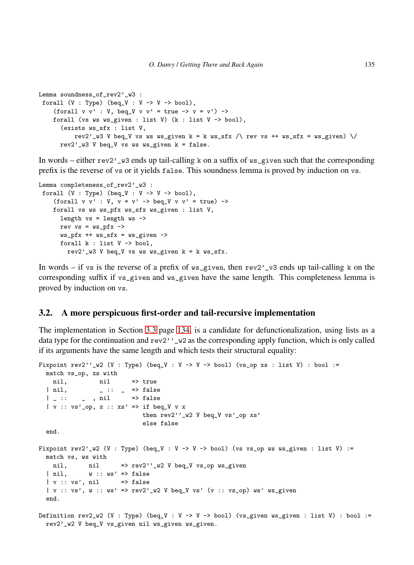```
Lemma soundness_of_rev2'_w3 :
 forall (V : Type) (beq_V : V -> V -> bool),
    (forall v v' : V, beq_V v v' = true \rightarrow v = v') \rightarrowforall (vs ws ws_given : list V) (k : list V -> bool),
       (exists ws_sfx : list V,
           rev2'_w3 V beq_V vs ws ws_given k = k ws_sfx /\ rev vs ++ ws_sfx = ws_given) \/
      rev2'<sub>-</sub>w3 V beq<sub>-</sub>V vs ws ws_given k = false.
```
In words – either rev2'\_w3 ends up tail-calling k on a suffix of ws\_given such that the corresponding prefix is the reverse of vs or it yields false. This soundness lemma is proved by induction on vs.

```
Lemma completeness_of_rev2'_w3 :
forall (V : Type) (beq_V : V -> V -> bool),
    (forall v v' : V, v = v' \rightarrow beq_V v v' = true) ->
    forall vs ws ws_pfx ws_sfx ws_given : list V,
      length vs = length ws ->
     rev vs = ws_pfx \rightarrowws_pfx ++ ws_sfx = ws_give ->
      forall k : list V -> bool,
        rev2'_w3 V beq_V vs ws ws_given k = k ws_sfx.
```
In words – if vs is the reverse of a prefix of  $\psi$ s given, then rev2'\_v3 ends up tail-calling k on the corresponding suffix if vs\_given and ws\_given have the same length. This completeness lemma is proved by induction on vs.

#### <span id="page-20-0"></span>3.2. A more perspicuous first-order and tail-recursive implementation

The implementation in Section [3.3](#page-19-0) page [134,](#page-19-0) is a candidate for defunctionalization, using lists as a data type for the continuation and  $rev2'$ ,  $\forall x \in \mathbb{R}$  as the corresponding apply function, which is only called if its arguments have the same length and which tests their structural equality:

```
Fixpoint rev2''_w2 (V : Type) (beq_V : V -> V -> bool) (vs_op xs : list V) : bool :=
  match vs_op, xs with
   nil, nil => true
  | nil, \qquad \qquad \_ :: \_ \qquad \Rightarrow \text{false}| \_ : : \_ , nil => false
  | v :: vs'_op, x :: xs' => if beq_V v x
                             then rev2''_w2 V beq_V vs'_op xs'
                              else false
  end.
Fixpoint rev2'_w2 (V : Type) (beq_V : V -> V -> bool) (vs vs_op ws ws_given : list V) :=
 match vs, ws with
   nil, nil => rev2''_w2 V beq_V vs_op ws_given
  \vert nil, w :: ws' \Rightarrow false| v : : vs', nil \longrightarrow false| v :: v s, w | :: w s' > rev2' w2 V beq_V vs' (v | :: v s_op) ws' ws_given
  end.
Definition rev2_w2 (V : Type) (beq_V : V -> V -> bool) (vs_given ws_given : list V) : bool :=
  rev2'_w2 V beq_V vs_given nil ws_given ws_given.
```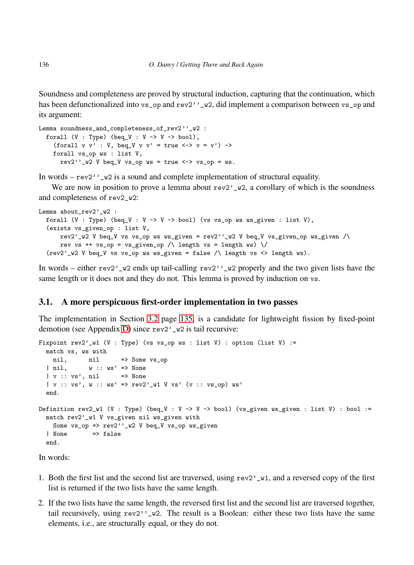Soundness and completeness are proved by structural induction, capturing that the continuation, which has been defunctionalized into vs\_op and rev2''\_w2, did implement a comparison between vs\_op and its argument:

```
Lemma soundness_and_completeness_of_rev2''_w2 :
 forall (V : Type) (beq_V : V -> V -> bool),
    (forall v v' : V, beg_V v v' = true \iff v = v') ->
   forall vs_op ws : list V,
     rev2''_w2 V beq_V vs_op ws = true <-> vs_op = ws.
```
In words –  $rev2'$ ,  $\forall$  is a sound and complete implementation of structural equality.

We are now in position to prove a lemma about  $rev2'_{\nu} \infty$ , a corollary of which is the soundness and completeness of rev2\_w2:

```
Lemma about_rev2'_w2 :
  forall (V : Type) (beq_V : V -> V -> bool) (vs vs_op ws ws_given : list V),
  (exists vs_given_op : list V,
      rev2'_w2 V beq_V vs vs_op ws ws_given = rev2', w2 V beq_V vs_given_op ws_given /\
      rev vs ++ vs_op = vs_given_op /\ length vs = length ws) \/
  (\text{rev2'}_w2 \vee \text{beg}_v \vee \text{vs}_o) ws ws_given = false \wedge length vs <> length ws).
```
In words – either rev2'\_w2 ends up tail-calling rev2''\_w2 properly and the two given lists have the same length or it does not and they do not. This lemma is proved by induction on vs.

# <span id="page-21-0"></span>3.1. A more perspicuous first-order implementation in two passes

The implementation in Section [3.2](#page-20-0) page [135,](#page-20-0) is a candidate for lightweight fission by fixed-point demotion (see Appendix [D\)](#page-59-0) since rev2'\_w2 is tail recursive:

```
Fixpoint rev2' V1 (V : Type) (vs vs_op ws : list V) : option (list V) :=
 match vs, ws with
  nil, nil => Some vs_op
  | nil, w :: ws' \Rightarrow None| v :: vs', nil => None
  | v :: v s', w :: ws' \implies rev2' w1 V v s' (v :: vs\_op) ws'end.
Definition rev2_w1 (V : Type) (beq_V : V -> V -> bool) (vs_given ws_given : list V) : bool :=
  match rev2'_w1 V vs_given nil ws_given with
    Some vs\_op \Rightarrow rev2''_w2 V beq_V vs_op ws_given
  | None => false
  end.
```
In words:

- 1. Both the first list and the second list are traversed, using  $rev2'_{\nu}$ , and a reversed copy of the first list is returned if the two lists have the same length.
- 2. If the two lists have the same length, the reversed first list and the second list are traversed together, tail recursively, using  $rev2$ <sup>,  $v_2$ </sup>, The result is a Boolean: either these two lists have the same elements, i.e., are structurally equal, or they do not.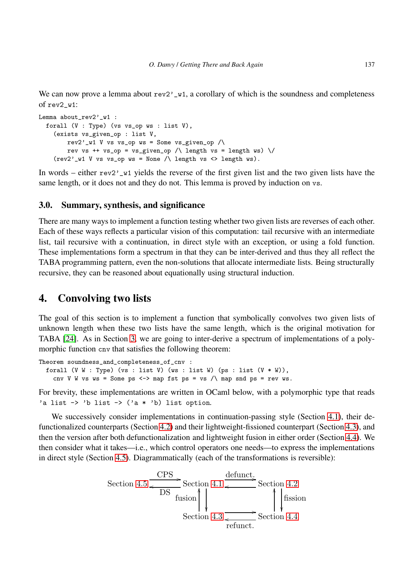We can now prove a lemma about  $rev2'$   $\forall$  at a corollary of which is the soundness and completeness of rev2\_w1:

```
Lemma about_rev2'_w1 :
 forall (V : Type) (vs vs_op ws : list V),
    (exists vs_given_op : list V,
        rev2'_w1 V vs vs_op ws = Some vs_given_op /\
        rev vs ++ vs_op = vs_given_op /\ length vs = length ws) \/
    (rev2'_w1 V vs vs\_op ws = None / \le length vs <b>length</b> ws).
```
In words – either rev2, w1 yields the reverse of the first given list and the two given lists have the same length, or it does not and they do not. This lemma is proved by induction on vs.

### 3.0. Summary, synthesis, and significance

There are many ways to implement a function testing whether two given lists are reverses of each other. Each of these ways reflects a particular vision of this computation: tail recursive with an intermediate list, tail recursive with a continuation, in direct style with an exception, or using a fold function. These implementations form a spectrum in that they can be inter-derived and thus they all reflect the TABA programming pattern, even the non-solutions that allocate intermediate lists. Being structurally recursive, they can be reasoned about equationally using structural induction.

# <span id="page-22-0"></span>4. Convolving two lists

The goal of this section is to implement a function that symbolically convolves two given lists of unknown length when these two lists have the same length, which is the original motivation for TABA [\[24\]](#page-53-1). As in Section [3,](#page-8-0) we are going to inter-derive a spectrum of implementations of a polymorphic function cnv that satisfies the following theorem:

```
Theorem soundness_and_completeness_of_cnv :
  forall (V W : Type) (vs : list V) (ws : list W) (ps : list (V * W)),
    cnv V W vs ws = Some ps \leftarrow> map fst ps = vs /\ map snd ps = rev ws.
```
For brevity, these implementations are written in OCaml below, with a polymorphic type that reads 'a list  $\rightarrow$  'b list  $\rightarrow$  ('a \* 'b) list option.

We successively consider implementations in continuation-passing style (Section [4.1\)](#page-23-0), their defunctionalized counterparts (Section [4.2\)](#page-24-0) and their lightweight-fissioned counterpart (Section [4.3\)](#page-25-0), and then the version after both defunctionalization and lightweight fusion in either order (Section [4.4\)](#page-27-0). We then consider what it takes—i.e., which control operators one needs—to express the implementations in direct style (Section [4.5\)](#page-28-0). Diagrammatically (each of the transformations is reversible):

Section 4.5 
$$
\frac{CPS}{DS}
$$
 Section 4.1  $\frac{\text{definition}}{\text{fusion}}$  Section 4.2  
Section 4.3  $\frac{\text{function}}{\text{return}}$  Section 4.4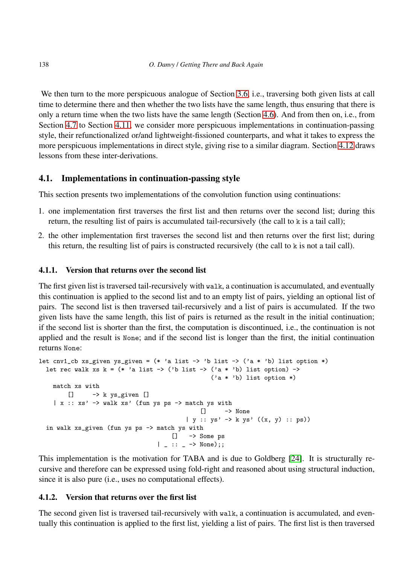We then turn to the more perspicuous analogue of Section [3.6,](#page-16-0) i.e., traversing both given lists at call time to determine there and then whether the two lists have the same length, thus ensuring that there is only a return time when the two lists have the same length (Section [4.6\)](#page-28-1). And from then on, i.e., from Section [4.7](#page-29-0) to Section [4.11,](#page-34-1) we consider more perspicuous implementations in continuation-passing style, their refunctionalized or/and lightweight-fissioned counterparts, and what it takes to express the more perspicuous implementations in direct style, giving rise to a similar diagram. Section [4.12](#page-34-2) draws lessons from these inter-derivations.

# <span id="page-23-0"></span>4.1. Implementations in continuation-passing style

This section presents two implementations of the convolution function using continuations:

- 1. one implementation first traverses the first list and then returns over the second list; during this return, the resulting list of pairs is accumulated tail-recursively (the call to k is a tail call);
- 2. the other implementation first traverses the second list and then returns over the first list; during this return, the resulting list of pairs is constructed recursively (the call to k is not a tail call).

# <span id="page-23-1"></span>4.1.1. Version that returns over the second list

The first given list is traversed tail-recursively with walk, a continuation is accumulated, and eventually this continuation is applied to the second list and to an empty list of pairs, yielding an optional list of pairs. The second list is then traversed tail-recursively and a list of pairs is accumulated. If the two given lists have the same length, this list of pairs is returned as the result in the initial continuation; if the second list is shorter than the first, the computation is discontinued, i.e., the continuation is not applied and the result is None; and if the second list is longer than the first, the initial continuation returns None:

```
let cnv1_cb xs_given ys_given = (* 'a list -> 'b list -> ('a * 'b) list option *)let rec walk xs k = (* \text{ 'a list -} > ( 'b list - } > ( 'a * 'b) list option ) - }('a * 'b) list option *)
   match xs with
       [] -> k ys_given []
    |x|: xs' -> walk xs' (fun ys ps -> match ys with
                                              [] -> None
                                         | y :: ys' \rightarrow k ys' ((x, y) :: ps))
 in walk xs_given (fun ys ps -> match ys with
                                      [] -> Some ps
                                  | _ :: _ -> None);;
```
This implementation is the motivation for TABA and is due to Goldberg [\[24\]](#page-53-1). It is structurally recursive and therefore can be expressed using fold-right and reasoned about using structural induction, since it is also pure (i.e., uses no computational effects).

## <span id="page-23-2"></span>4.1.2. Version that returns over the first list

The second given list is traversed tail-recursively with walk, a continuation is accumulated, and eventually this continuation is applied to the first list, yielding a list of pairs. The first list is then traversed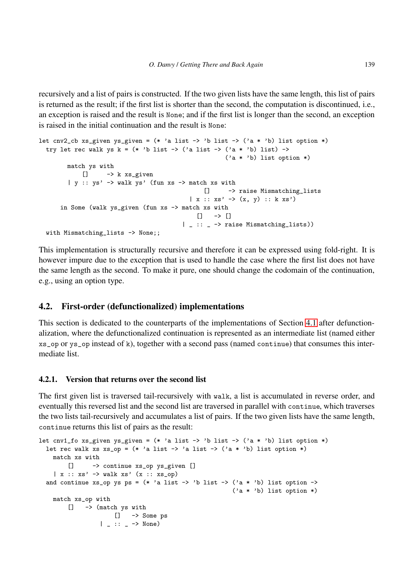recursively and a list of pairs is constructed. If the two given lists have the same length, this list of pairs is returned as the result; if the first list is shorter than the second, the computation is discontinued, i.e., an exception is raised and the result is None; and if the first list is longer than the second, an exception is raised in the initial continuation and the result is None:

```
let cnv2_cb xs_given ys_given = (* 'a list -> 'b list -> ('a * 'b) list option *)try let rec walk ys k = (* \n  'b \n  list -> ('a \n  list -> ('a * 'b) \n  list) ->('a * 'b) list option *)match ys with
           [] -> k xs_given
        | y :: ys' \rightarrow walk ys' (fun xs -> match xs with
                                                 [] -> raise Mismatching_lists
                                             | x :: xs' \rightarrow (x, y) :: k xs')in Some (walk ys_given (fun xs -> match xs with
                                             [] -> []
                                           | \therefore \Rightarrow raise Mismatching lists))
  with Mismatching_lists -> None;;
```
This implementation is structurally recursive and therefore it can be expressed using fold-right. It is however impure due to the exception that is used to handle the case where the first list does not have the same length as the second. To make it pure, one should change the codomain of the continuation, e.g., using an option type.

# <span id="page-24-0"></span>4.2. First-order (defunctionalized) implementations

This section is dedicated to the counterparts of the implementations of Section [4.1](#page-23-0) after defunctionalization, where the defunctionalized continuation is represented as an intermediate list (named either xs\_op or ys\_op instead of k), together with a second pass (named continue) that consumes this intermediate list.

## 4.2.1. Version that returns over the second list

The first given list is traversed tail-recursively with walk, a list is accumulated in reverse order, and eventually this reversed list and the second list are traversed in parallel with continue, which traverses the two lists tail-recursively and accumulates a list of pairs. If the two given lists have the same length, continue returns this list of pairs as the result:

```
let cnv1_fo xs_given ys_given = (* 'a list -> 'b list -> ('a * 'b) list option *)let rec walk xs xs\_op = (* 'a list -> 'a list -> ('a * 'b) list option *)match xs with
       [] -> continue xs_op ys_given []
    | x :: xs' \rightarrow walk xs' (x :: xs_op)and continue xs_op ys ps = (* 'a list -> 'b list -> ('a * 'b) list option ->('a * 'b) list option *)
    match xs_op with
        [] -> (match ys with
                     [] -> Some ps
                 | \_ : : \_ \rightarrow \mathbb{N}one)
```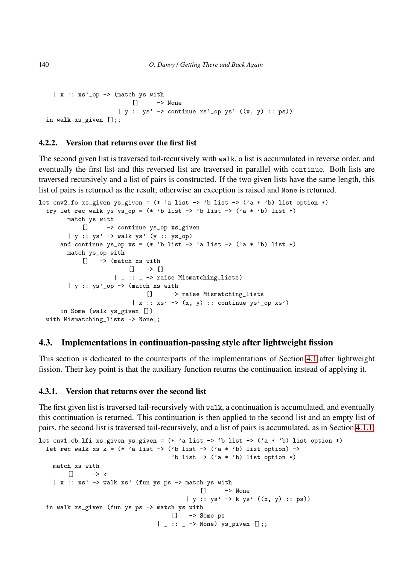```
|x|: xs'_op -> (match ys with
                          [] -> None
                      | y :: ys' \rightarrow \text{continue xs'}\_op ys' ((x, y) :: ps))in walk xs_given [];;
```
#### <span id="page-25-1"></span>4.2.2. Version that returns over the first list

The second given list is traversed tail-recursively with walk, a list is accumulated in reverse order, and eventually the first list and this reversed list are traversed in parallel with continue. Both lists are traversed recursively and a list of pairs is constructed. If the two given lists have the same length, this list of pairs is returned as the result; otherwise an exception is raised and None is returned.

```
let cnv2_fo xs_given ys_given = (* 'a list -> 'b list -> ('a * 'b) list option *)try let rec walk ys ys_op = (*) 'b list -> 'b list -> ('a * 'b) list *)
        match ys with
            [] -> continue ys_op xs_given
        | y :: ys' -> walk ys' (y :: ys_op)
      and continue ys_op xs = (* 'b list -> 'a list -> ('a * 'b) list *)match ys_op with
            [] -> (match xs with
                          [] \rightarrow []| _ :: _ -> raise Mismatching_lists)
        | y :: ys' \text{op} \rightarrow (match xs with
                               [] -> raise Mismatching_lists
                           | x :: x s' \rightarrow (x, y) :: continue y s' \circ y x s'in Some (walk ys_given [])
  with Mismatching_lists -> None;;
```
## <span id="page-25-0"></span>4.3. Implementations in continuation-passing style after lightweight fission

This section is dedicated to the counterparts of the implementations of Section [4.1](#page-23-0) after lightweight fission. Their key point is that the auxiliary function returns the continuation instead of applying it.

#### 4.3.1. Version that returns over the second list

The first given list is traversed tail-recursively with walk, a continuation is accumulated, and eventually this continuation is returned. This continuation is then applied to the second list and an empty list of pairs, the second list is traversed tail-recursively, and a list of pairs is accumulated, as in Section [4.1.1:](#page-23-1)

```
let cnv1_cb_lfi xs_given ys_given = (* 'a list -> 'b list -> ('a * 'b) list option *)let rec walk xs k = (* 'a list -> ('b list -> ('a * 'b) list option) ->'b list \rightarrow ('a * 'b) list option *)
   match xs with
       \Box \rightarrow k
    |x|: xs' -> walk xs' (fun ys ps -> match ys with
                                             [] -> None
                                         | y :: ys' -> k ys' ((x, y) :: ps))
 in walk xs_given (fun ys ps -> match ys with
                                     [] -> Some ps
                                 | _ :: _ -> None) ys_given [];;
```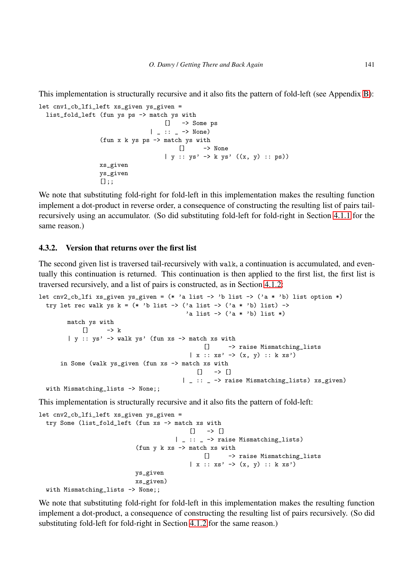This implementation is structurally recursive and it also fits the pattern of fold-left (see Appendix [B\)](#page-57-0):

```
let cnv1_cb_lfi_left xs_given ys_given =
 list_fold_left (fun ys ps -> match ys with
                                   [] -> Some ps
                               | _ :: _ -> None)
                 (fun x k ys ps -> match ys with
                                       [] -> None
                                    | y :: ys' \rightarrow kys' ((x, y) :: ps))xs_given
                 ys_given
                 [];;
```
We note that substituting fold-right for fold-left in this implementation makes the resulting function implement a dot-product in reverse order, a consequence of constructing the resulting list of pairs tailrecursively using an accumulator. (So did substituting fold-left for fold-right in Section [4.1.1](#page-23-1) for the same reason.)

#### <span id="page-26-0"></span>4.3.2. Version that returns over the first list

The second given list is traversed tail-recursively with walk, a continuation is accumulated, and eventually this continuation is returned. This continuation is then applied to the first list, the first list is traversed recursively, and a list of pairs is constructed, as in Section [4.1.2:](#page-23-2)

```
let cnv2_cb_lfi xs_given ys_given = (* 'a list -> 'b list -> ('a * 'b) list option *)try let rec walk ys k = (* 'b list -> ('a list -> ('a * 'b) list) ->'a list \rightarrow ('a * 'b) list *)
        match ys with
             \begin{bmatrix} 1 & - \end{bmatrix} k
         | y :: ys' \rightarrow walk ys' (fun xs \rightarrow match xs with
                                                   [] -> raise Mismatching_lists
                                               | x :: xs' -> (x, y) :: k xs')
      in Some (walk ys_given (fun xs -> match xs with
                                                 [] \rightarrow []| _ :: _ -> raise Mismatching_lists) xs_given)
  with Mismatching_lists -> None;;
```
This implementation is structurally recursive and it also fits the pattern of fold-left:

```
let cnv2_cb_lfi_left xs_given ys_given =
  try Some (list_fold_left (fun xs -> match xs with
                                              \Box \rightarrow \Box| _ :: _ -> raise Mismatching_lists)
                             (fun y k xs \rightarrow match xs with
                                                  [] -> raise Mismatching_lists
                                              | x :: xs' \rightarrow (x, y) :: k xs'ys_given
                             xs_given)
  with Mismatching_lists -> None;;
```
We note that substituting fold-right for fold-left in this implementation makes the resulting function implement a dot-product, a consequence of constructing the resulting list of pairs recursively. (So did substituting fold-left for fold-right in Section [4.1.2](#page-23-2) for the same reason.)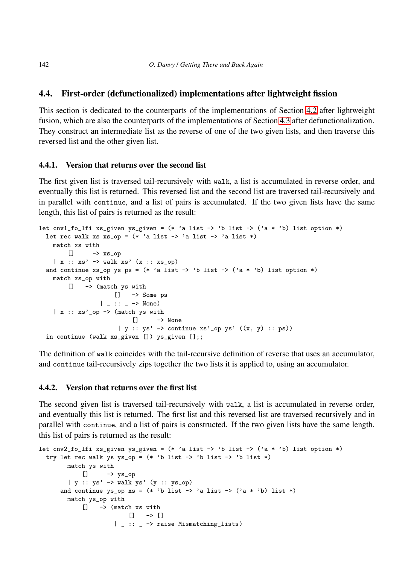# <span id="page-27-0"></span>4.4. First-order (defunctionalized) implementations after lightweight fission

This section is dedicated to the counterparts of the implementations of Section [4.2](#page-24-0) after lightweight fusion, which are also the counterparts of the implementations of Section [4.3](#page-25-0) after defunctionalization. They construct an intermediate list as the reverse of one of the two given lists, and then traverse this reversed list and the other given list.

#### 4.4.1. Version that returns over the second list

The first given list is traversed tail-recursively with walk, a list is accumulated in reverse order, and eventually this list is returned. This reversed list and the second list are traversed tail-recursively and in parallel with continue, and a list of pairs is accumulated. If the two given lists have the same length, this list of pairs is returned as the result:

```
let cnv1_fo_lfi xs_given ys_given = (* 'a list -> 'b list -> ('a * 'b) list option *)let rec walk xs xs\_op = (* 'a list -> 'a list -> 'a list *)match xs with
        \Box \rightarrow xs\_op| x :: xs' \rightarrow walk xs' (x :: xs_op)and continue xs_op ys ps = (* 'a list -> 'b list -> ('a * 'b) list option *)match xs_op with
        [] -> (match ys with
                    [] -> Some ps
                 | \therefore \Rightarrow None)
    |x|: xs'_op -> (match ys with
                           [] -> None
                       | y :: ys' \rightarrow \text{continue xs'}\_op ys' ((x, y) :: ps))in continue (walk xs_given []) ys_given [];;
```
The definition of walk coincides with the tail-recursive definition of reverse that uses an accumulator, and continue tail-recursively zips together the two lists it is applied to, using an accumulator.

### <span id="page-27-1"></span>4.4.2. Version that returns over the first list

The second given list is traversed tail-recursively with walk, a list is accumulated in reverse order, and eventually this list is returned. The first list and this reversed list are traversed recursively and in parallel with continue, and a list of pairs is constructed. If the two given lists have the same length, this list of pairs is returned as the result:

```
let cnv2_fo_lfi xs_given ys_given = (* 'a list -> 'b list -> ('a * 'b) list option *)try let rec walk ys ys_op = (* 'b list -> 'b list -> 'b list *)
       match ys with
           [] -> y_s_op
       | y :: ys' -> walk ys' (y :: ys_op)
     and continue ys_op xs = (* 'b list -> 'a list -> ('a * 'b) list *)match ys_op with
           [] -> (match xs with
                       [] -> []
                    | _ :: _ -> raise Mismatching_lists)
```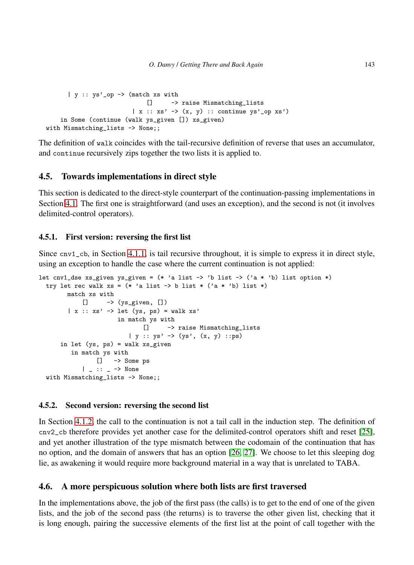```
| y :: ys'_op -> (match xs with
                             [] -> raise Mismatching_lists
                         |x|: xs' \rightarrow (x, y) :: continue ys' \no p xs')in Some (continue (walk ys_given []) xs_given)
with Mismatching_lists -> None;;
```
The definition of walk coincides with the tail-recursive definition of reverse that uses an accumulator, and continue recursively zips together the two lists it is applied to.

# <span id="page-28-0"></span>4.5. Towards implementations in direct style

This section is dedicated to the direct-style counterpart of the continuation-passing implementations in Section [4.1.](#page-23-0) The first one is straightforward (and uses an exception), and the second is not (it involves delimited-control operators).

#### <span id="page-28-2"></span>4.5.1. First version: reversing the first list

Since cnv1\_cb, in Section [4.1.1,](#page-23-1) is tail recursive throughout, it is simple to express it in direct style, using an exception to handle the case where the current continuation is not applied:

```
let cnv1_dse xs_given ys_given = (* 'a list -> 'b list -> ('a * 'b) list option *)try let rec walk xs = (* 'a list -> b list * ('a * 'b) list *)match xs with
           [] -> (ys_given, [])
        | x :: xs' \rightarrow let (ys, ps) = walk xs'in match ys with
                             [] -> raise Mismatching_lists
                         | y :: ys' \rightarrow (ys', (x, y) ::ps)in let (ys, ps) = walk xs_given
         in match ys with
                [] -> Some ps
            | \_ : : \_ -> None
 with Mismatching_lists -> None;;
```
#### <span id="page-28-3"></span>4.5.2. Second version: reversing the second list

In Section [4.1.2,](#page-23-2) the call to the continuation is not a tail call in the induction step. The definition of cnv2\_cb therefore provides yet another case for the delimited-control operators shift and reset [\[25\]](#page-53-2), and yet another illustration of the type mismatch between the codomain of the continuation that has no option, and the domain of answers that has an option [\[26,](#page-53-3) [27\]](#page-53-4). We choose to let this sleeping dog lie, as awakening it would require more background material in a way that is unrelated to TABA.

#### <span id="page-28-1"></span>4.6. A more perspicuous solution where both lists are first traversed

In the implementations above, the job of the first pass (the calls) is to get to the end of one of the given lists, and the job of the second pass (the returns) is to traverse the other given list, checking that it is long enough, pairing the successive elements of the first list at the point of call together with the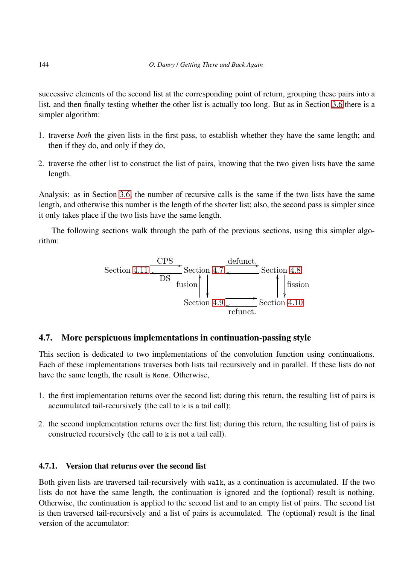successive elements of the second list at the corresponding point of return, grouping these pairs into a list, and then finally testing whether the other list is actually too long. But as in Section [3.6](#page-16-0) there is a simpler algorithm:

- 1. traverse *both* the given lists in the first pass, to establish whether they have the same length; and then if they do, and only if they do,
- 2. traverse the other list to construct the list of pairs, knowing that the two given lists have the same length.

Analysis: as in Section [3.6,](#page-16-0) the number of recursive calls is the same if the two lists have the same length, and otherwise this number is the length of the shorter list; also, the second pass is simpler since it only takes place if the two lists have the same length.

The following sections walk through the path of the previous sections, using this simpler algorithm:

Section 4.11 
$$
\frac{CPS}{DS}
$$
 Section 4.7  $\frac{\text{defunct.}}{\text{fusion}}$  Section 4.8  
Section 4.9  $\frac{\text{fusion}}{\text{refunct.}} \rightarrow \text{Section 4.10}$ 

# <span id="page-29-0"></span>4.7. More perspicuous implementations in continuation-passing style

This section is dedicated to two implementations of the convolution function using continuations. Each of these implementations traverses both lists tail recursively and in parallel. If these lists do not have the same length, the result is None. Otherwise,

- 1. the first implementation returns over the second list; during this return, the resulting list of pairs is accumulated tail-recursively (the call to k is a tail call);
- 2. the second implementation returns over the first list; during this return, the resulting list of pairs is constructed recursively (the call to k is not a tail call).

# 4.7.1. Version that returns over the second list

Both given lists are traversed tail-recursively with walk, as a continuation is accumulated. If the two lists do not have the same length, the continuation is ignored and the (optional) result is nothing. Otherwise, the continuation is applied to the second list and to an empty list of pairs. The second list is then traversed tail-recursively and a list of pairs is accumulated. The (optional) result is the final version of the accumulator: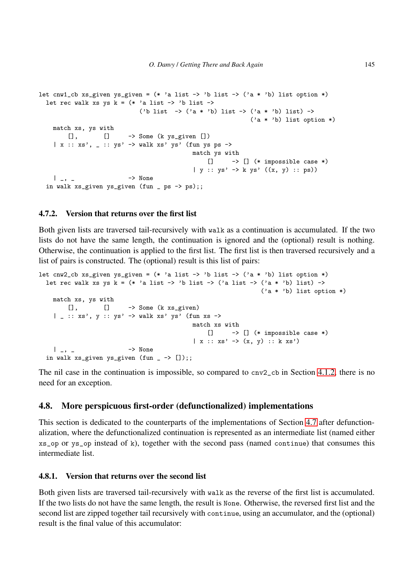```
let cnw1_cb xs_given ys_given = (* 'a list -> 'b list -> ('a * 'b) list option *)let rec walk xs ys k = (* \; 'a \; list \; -> \; 'b \; list \; ->('b list \rightarrow ('a * 'b) list \rightarrow ('a * 'b) list) \rightarrow('a * 'b) list option *)
    match xs, ys with
        [], [] - > Some (k ys_given [])
    \vert x : : xs', \bot :: ys' \rightarrow walk xs' ys' (fun ys ps ->
                                               match ys with
                                                    [] \rightarrow [] (* impossible case *)| y :: ys' \rightarrow k ys' ((x, y) :: ps))| _, _ -> None
  in walk xs_given ys_given (fun _ ps -> ps);;
```
#### 4.7.2. Version that returns over the first list

Both given lists are traversed tail-recursively with walk as a continuation is accumulated. If the two lists do not have the same length, the continuation is ignored and the (optional) result is nothing. Otherwise, the continuation is applied to the first list. The first list is then traversed recursively and a list of pairs is constructed. The (optional) result is this list of pairs:

```
let cnw2_cb xs_given ys_given = (* 'a list -> 'b list -> ('a * 'b) list option *)let rec walk xs ys k = (* \text{ a list } -> 'b \text{ list } -> ('a \text{ list } -> ('a * 'b) \text{ list}) ->('a * 'b) list option *)
    match xs, ys with
         [], [] - > Some (k xs_given)
    | \angle :: xs', y :: ys' -> walk xs' ys' (fun xs ->
                                                  match xs with
                                                      \begin{bmatrix} \end{bmatrix} -> \begin{bmatrix} \end{bmatrix} (* impossible case *)
                                                  | x :: xs' \rightarrow (x, y) :: k xs')| _, _ -> None
  in walk xs\_given ys_given (fun _ -> []);;
```
The nil case in the continuation is impossible, so compared to cnv2\_cb in Section [4.1.2,](#page-23-2) there is no need for an exception.

#### <span id="page-30-0"></span>4.8. More perspicuous first-order (defunctionalized) implementations

This section is dedicated to the counterparts of the implementations of Section [4.7](#page-29-0) after defunctionalization, where the defunctionalized continuation is represented as an intermediate list (named either xs\_op or ys\_op instead of k), together with the second pass (named continue) that consumes this intermediate list.

#### 4.8.1. Version that returns over the second list

Both given lists are traversed tail-recursively with walk as the reverse of the first list is accumulated. If the two lists do not have the same length, the result is None. Otherwise, the reversed first list and the second list are zipped together tail recursively with continue, using an accumulator, and the (optional) result is the final value of this accumulator: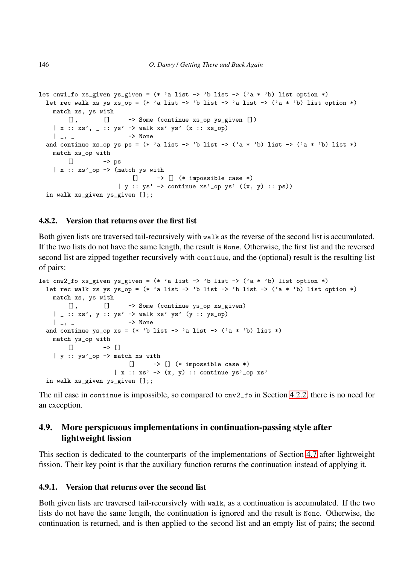```
let cnw1_fo xs_given ys_given = (* 'a list -> 'b list -> ('a * 'b) list option *)let rec walk xs ys xs_op = (* 'a list -> 'b list -> 'a list -> ('a * 'b) list option *)match xs, ys with
         [], [] -> Some (continue xs_op ys_given [])
    | x :: xs', - :: ys' \rightarrow walk xs' ys' (x :: xs_op)| _, _ - \rightarrow None
  and continue xs_op ys ps = (* 'a list \rightarrow 'b list \rightarrow ('a * 'b) list \rightarrow ('a * 'b) list *)match xs_op with
         \Box -> ps
    |x|: xs'_op -> (match ys with
                             \begin{bmatrix} \end{bmatrix} -> \begin{bmatrix} \end{bmatrix} (* impossible case *)
                         | y :: ys' \rightarrow \text{continue } xs' op ys' ((x, y) :: ps))in walk xs_given ys_given [];;
```
#### 4.8.2. Version that returns over the first list

Both given lists are traversed tail-recursively with walk as the reverse of the second list is accumulated. If the two lists do not have the same length, the result is None. Otherwise, the first list and the reversed second list are zipped together recursively with continue, and the (optional) result is the resulting list of pairs:

```
let cnw2_fo xs_given ys_given = (* 'a list -> 'b list -> ('a * 'b) list option *)
  let rec walk xs ys ys_op = (* 'a list \rightarrow 'b list \rightarrow 'b list \rightarrow ('a * 'b) list option *)match xs, ys with
        [], [] -> Some (continue ys_op xs_given)
    | _ :: xs', y :: ys' -> walk xs' ys' (y :: ys_op)
    | \rightarrow \sim None
  and continue ys_op xs = (* 'b list -> 'a list -> ('a * 'b) list *)match ys_op with
      \Box -> \Box| y :: ys'_op -> match xs with
                          [] \rightarrow [] (* impossible case *)
                     |x|: xs' \rightarrow (x, y) :: continue ys' \no p xs'in walk xs_given ys_given [];;
```
The nil case in continue is impossible, so compared to cnv2\_fo in Section [4.2.2,](#page-25-1) there is no need for an exception.

# <span id="page-31-0"></span>4.9. More perspicuous implementations in continuation-passing style after lightweight fission

This section is dedicated to the counterparts of the implementations of Section [4.7](#page-29-0) after lightweight fission. Their key point is that the auxiliary function returns the continuation instead of applying it.

### 4.9.1. Version that returns over the second list

Both given lists are traversed tail-recursively with walk, as a continuation is accumulated. If the two lists do not have the same length, the continuation is ignored and the result is None. Otherwise, the continuation is returned, and is then applied to the second list and an empty list of pairs; the second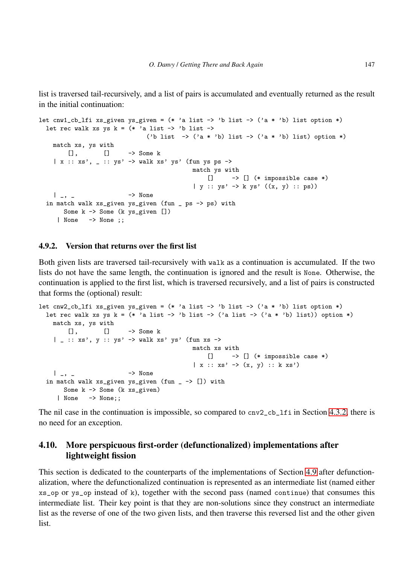list is traversed tail-recursively, and a list of pairs is accumulated and eventually returned as the result in the initial continuation:

```
let cnw1_cb_lfi xs_given ys_given = (* 'a list -> 'b list -> ('a * 'b) list option *)let rec walk xs ys k = (* \; 'a \; list \; \rightarrow \; 'b \; list \; \rightarrow \;('b list \rightarrow ('a * 'b) list \rightarrow ('a * 'b) list) option *)
    match xs, ys with<br>[], []
         [], [] -> Some k
     | x :: xs', \_ :: ys' \rightarrow walk xs' ys' (fun ys ps \rightarrow)match ys with
                                                          \begin{bmatrix} \end{bmatrix} -> \begin{bmatrix} \end{bmatrix} (* impossible case *)
                                                     | y :: ys' -> k ys' ((x, y) :: ps))
    | _{-}, _{-} \rightarrow None
  in match walk xs_given ys_given (fun _ ps -> ps) with
       Some k -> Some (k ys_given [])
      | None -> None ;;
```
#### 4.9.2. Version that returns over the first list

Both given lists are traversed tail-recursively with walk as a continuation is accumulated. If the two lists do not have the same length, the continuation is ignored and the result is None. Otherwise, the continuation is applied to the first list, which is traversed recursively, and a list of pairs is constructed that forms the (optional) result:

```
let cnw2_cb_lfi xs_given ys_given = (* 'a list -> 'b list -> ('a * 'b) list option *)let rec walk xs ys k = (* 2i 1ist -> 'b 1ist -> ('a 1ist -> ('a * 'b) 1ist)) option *)
    match xs, ys with
        [], [] -> Some k
    | _ :: xs', y :: ys' -> walk xs' ys' (fun xs ->
                                              match xs with
                                                   \begin{bmatrix} \end{bmatrix} -> \begin{bmatrix} \end{bmatrix} (* impossible case *)
                                               | x :: xs' \rightarrow (x, y) :: k xs'| \rightarrow \sim None
  in match walk xs\_given ys_given (fun - -> []) with
       Some k -> Some (k xs_given)
     | None -> None;;
```
The nil case in the continuation is impossible, so compared to  $cnv2_cb_1$  in Section [4.3.2,](#page-26-0) there is no need for an exception.

# <span id="page-32-0"></span>4.10. More perspicuous first-order (defunctionalized) implementations after lightweight fission

This section is dedicated to the counterparts of the implementations of Section [4.9](#page-31-0) after defunctionalization, where the defunctionalized continuation is represented as an intermediate list (named either xs\_op or ys\_op instead of k), together with the second pass (named continue) that consumes this intermediate list. Their key point is that they are non-solutions since they construct an intermediate list as the reverse of one of the two given lists, and then traverse this reversed list and the other given list.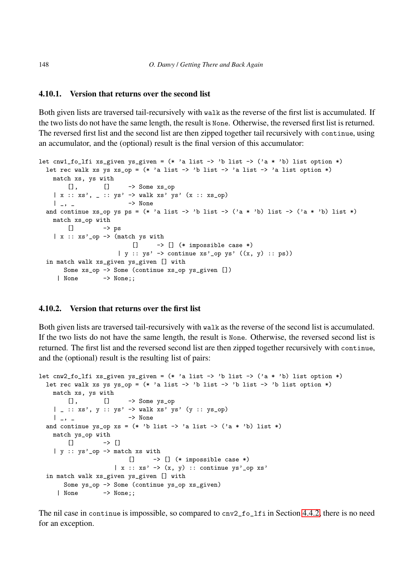#### 4.10.1. Version that returns over the second list

Both given lists are traversed tail-recursively with walk as the reverse of the first list is accumulated. If the two lists do not have the same length, the result is None. Otherwise, the reversed first list is returned. The reversed first list and the second list are then zipped together tail recursively with continue, using an accumulator, and the (optional) result is the final version of this accumulator:

```
let cnw1_fo_lfi xs_given ys_given = (* 'a list -> 'b list -> ('a * 'b) list option *)let rec walk xs ys xs\_op = (* a list -> 'b list -> 'a list -> 'a list option *)match xs, ys with
        [], [] - > Some xs_op
    | x :: xs', - :: ys' \rightarrow walk xs' ys' (x :: xs_op)| \quad | \quad | \quad | \quad |and continue xs_op ys ps = (* 'a list -> 'b list -> ('a * 'b) list -> ('a * 'b) list *)match xs_op with
        \Box -> ps
    |x|: xs'_op -> (match ys with
                            \begin{bmatrix} \end{bmatrix} -> \begin{bmatrix} \end{bmatrix} (* impossible case *)
                       | y :: ys' \rightarrow \text{continue xs'}\_op ys' ((x, y) :: ps))in match walk xs_given ys_given [] with
       Some xs_op -> Some (continue xs_op ys_given [])
     | None -> None;;
```
### 4.10.2. Version that returns over the first list

Both given lists are traversed tail-recursively with walk as the reverse of the second list is accumulated. If the two lists do not have the same length, the result is None. Otherwise, the reversed second list is returned. The first list and the reversed second list are then zipped together recursively with continue, and the (optional) result is the resulting list of pairs:

```
let cnw2_fo_lfi xs_given ys_given = (* 'a list -> 'b list -> ('a * 'b) list option *)let rec walk xs ys ys_op = (* 'a list -> 'b list -> 'b list -> 'b list option *)match xs, ys with
        \begin{bmatrix} 1 \end{bmatrix}, \begin{bmatrix} 1 \end{bmatrix} -> Some ys_op
    | _ :: xs', y :: ys' -> walk xs' ys' (y :: ys_op)
    | _, _ -> None
  and continue ys_op xs = (* 'b list -> 'a list -> ('a * 'b) list *)
    match ys_op with
       [] -> []
    | y :: ys'_op -> match xs with
                           \begin{bmatrix} \end{bmatrix} -> \begin{bmatrix} \end{bmatrix} (* impossible case *)
                       |x|: xs' \rightarrow (x, y) :: continue ys' \no p xs'in match walk xs_given ys_given [] with
       Some ys_op -> Some (continue ys_op xs_given)
     | None -> None;;
```
The nil case in continue is impossible, so compared to  $cnv2_fo_1fi$  in Section [4.4.2,](#page-27-1) there is no need for an exception.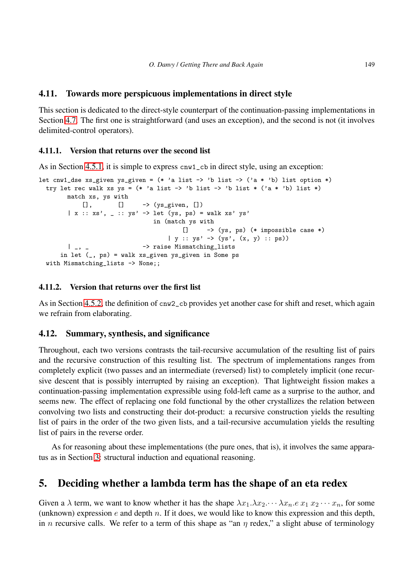# <span id="page-34-1"></span>4.11. Towards more perspicuous implementations in direct style

This section is dedicated to the direct-style counterpart of the continuation-passing implementations in Section [4.7.](#page-29-0) The first one is straightforward (and uses an exception), and the second is not (it involves delimited-control operators).

# 4.11.1. Version that returns over the second list

As in Section [4.5.1,](#page-28-2) it is simple to express cnw1\_cb in direct style, using an exception:

```
let cnw1_dse xs_given ys_given = (* 'a list -> 'b list -> ('a * 'b) list option *)try let rec walk xs ys = (* 'a list -> 'b list -> 'b list * ('a * 'b) list *)match xs, ys with
           [], [] - \rightarrow (ys_given, [])
        | x :: xs', - :: ys' \rightarrow let (ys, ps) = walk xs' ys'in (match ys with
                                        [] -> (ys, ps) (* impossible case *)
                                    | y :: ys' \rightarrow (ys', (x, y) :: ps))| _, _ - -> raise Mismatching_lists
     in let (_, ps) = walk xs_given ys_given in Some ps
 with Mismatching_lists -> None;;
```
# 4.11.2. Version that returns over the first list

As in Section [4.5.2,](#page-28-3) the definition of cnw2\_cb provides yet another case for shift and reset, which again we refrain from elaborating.

# <span id="page-34-2"></span>4.12. Summary, synthesis, and significance

Throughout, each two versions contrasts the tail-recursive accumulation of the resulting list of pairs and the recursive construction of this resulting list. The spectrum of implementations ranges from completely explicit (two passes and an intermediate (reversed) list) to completely implicit (one recursive descent that is possibly interrupted by raising an exception). That lightweight fission makes a continuation-passing implementation expressible using fold-left came as a surprise to the author, and seems new. The effect of replacing one fold functional by the other crystallizes the relation between convolving two lists and constructing their dot-product: a recursive construction yields the resulting list of pairs in the order of the two given lists, and a tail-recursive accumulation yields the resulting list of pairs in the reverse order.

As for reasoning about these implementations (the pure ones, that is), it involves the same apparatus as in Section [3:](#page-8-0) structural induction and equational reasoning.

# <span id="page-34-0"></span>5. Deciding whether a lambda term has the shape of an eta redex

Given a  $\lambda$  term, we want to know whether it has the shape  $\lambda x_1 \lambda x_2 \cdots \lambda x_n$ .  $e x_1 x_2 \cdots x_n$ , for some (unknown) expression  $e$  and depth  $n$ . If it does, we would like to know this expression and this depth, in n recursive calls. We refer to a term of this shape as "an  $\eta$  redex," a slight abuse of terminology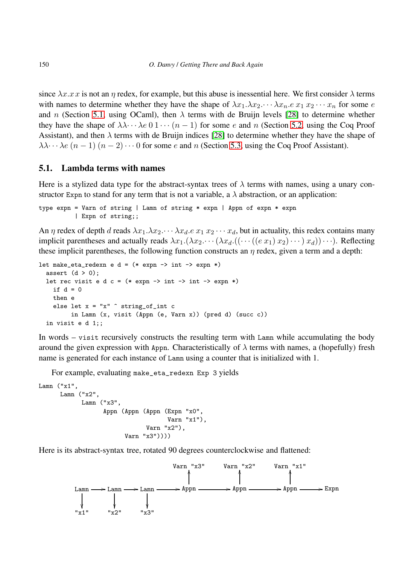since  $\lambda x.x\dot{x}$  is not an  $\eta$  redex, for example, but this abuse is inessential here. We first consider  $\lambda$  terms with names to determine whether they have the shape of  $\lambda x_1 \cdot \lambda x_2 \cdots \lambda x_n \cdot e \cdot x_1 \cdot x_2 \cdots x_n$  for some e and n (Section [5.1,](#page-35-0) using OCaml), then  $\lambda$  terms with de Bruijn levels [\[28\]](#page-53-5) to determine whether they have the shape of  $\lambda \lambda \cdots \lambda e \neq 0 \pmb{1} \cdots (n-1)$  for some e and n (Section [5.2,](#page-38-0) using the Coq Proof Assistant), and then  $\lambda$  terms with de Bruijn indices [\[28\]](#page-53-5) to determine whether they have the shape of  $\lambda \lambda \cdots \lambda e$   $(n-1)$   $(n-2) \cdots 0$  for some e and n (Section [5.3,](#page-39-0) using the Coq Proof Assistant).

## <span id="page-35-0"></span>5.1. Lambda terms with names

Here is a stylized data type for the abstract-syntax trees of  $\lambda$  terms with names, using a unary constructor Expn to stand for any term that is not a variable, a  $\lambda$  abstraction, or an application:

type expn = Varn of string | Lamn of string \* expn | Appn of expn \* expn | Expn of string;;

An  $\eta$  redex of depth d reads  $\lambda x_1 \cdot \lambda x_2 \cdot \cdot \cdot \lambda x_d \cdot e \cdot x_1 \cdot x_2 \cdot \cdot \cdot x_d$ , but in actuality, this redex contains many implicit parentheses and actually reads  $\lambda x_1 \cdot (\lambda x_2 \cdot \cdot \cdot (\lambda x_d \cdot ((\cdot \cdot ((e x_1) x_2) \cdot \cdot \cdot) x_d)) \cdot \cdot \cdot).$  Reflecting these implicit parentheses, the following function constructs an  $\eta$  redex, given a term and a depth:

```
let make_eta_redexn e d = (* expn \rightarrow int \rightarrow expn *)assert (d > 0);
  let rec visit e d c = (* \exp r \rightarrow int \rightarrow int \rightarrow \exp r \rightarrow )if d = 0then e
    else let x = "x" ^ string_of_int c
           in Lamn (x, visit (Appn (e, Varn x)) (pred d) (succ c))
  in visit e d 1;;
```
In words – visit recursively constructs the resulting term with Lamn while accumulating the body around the given expression with Appn. Characteristically of  $\lambda$  terms with names, a (hopefully) fresh name is generated for each instance of Lamn using a counter that is initialized with 1.

For example, evaluating make\_eta\_redexn Exp 3 yields

```
Lamn ("x1",
     Lamn ("x2",
            Lamn ("x3",
                  Appn (Appn (Appn (Expn "x0",
                                    Varn "x1"),
                               Varn "x2"),
                         Varn "x3"))))
```
Here is its abstract-syntax tree, rotated 90 degrees counterclockwise and flattened:

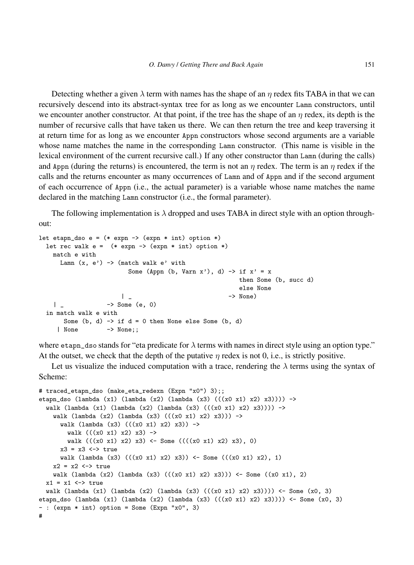Detecting whether a given  $\lambda$  term with names has the shape of an  $\eta$  redex fits TABA in that we can recursively descend into its abstract-syntax tree for as long as we encounter Lamn constructors, until we encounter another constructor. At that point, if the tree has the shape of an  $\eta$  redex, its depth is the number of recursive calls that have taken us there. We can then return the tree and keep traversing it at return time for as long as we encounter Appn constructors whose second arguments are a variable whose name matches the name in the corresponding Lamn constructor. (This name is visible in the lexical environment of the current recursive call.) If any other constructor than Lamn (during the calls) and Appn (during the returns) is encountered, the term is not an  $\eta$  redex. The term is an  $\eta$  redex if the calls and the returns encounter as many occurrences of Lamn and of Appn and if the second argument of each occurrence of Appn (i.e., the actual parameter) is a variable whose name matches the name declared in the matching Lamn constructor (i.e., the formal parameter).

The following implementation is  $\lambda$  dropped and uses TABA in direct style with an option throughout:

```
let etapn_dso e = (* expn -> (\text{expn } * \text{ int}) option *)let rec walk e = (* expn -> (expn * int) option *)
   match e with
     Lamn (x, e') \rightarrow (match walk e' with
                        Some (Appn (b, Varn x'), d) \rightarrow if x' = xthen Some (b, succ d)
                                                       else None
                      | _ -> None)
   | - > Some (e, 0)
 in match walk e with
      Some (b, d) \rightarrow if d = 0 then None else Some (b, d)| None -> None;;
```
where etapn\_dso stands for "eta predicate for  $\lambda$  terms with names in direct style using an option type." At the outset, we check that the depth of the putative  $\eta$  redex is not 0, i.e., is strictly positive.

Let us visualize the induced computation with a trace, rendering the  $\lambda$  terms using the syntax of Scheme:

```
# traced_etapn_dso (make_eta_redexn (Expn "x0") 3);;
etapn_dso (lambda (x1) (lambda (x2) (lambda (x3) (((x0 x1) x2) x3)))) ->
  walk (lambda (x1) (lambda (x2) (lambda (x3) ((x0 x1) x2) x3))) ->
    walk (lambda (x2) (lambda (x3) (((x0 x1) x2) x3)) ->
      walk (lambda (x3) (((x0 x1) x2) x3)) \rightarrowwalk ((x0 x1) x2) x3) ->
        walk (((x0 x1) x2) x3) \leftarrow Some (((x0 x1) x2) x3), 0)
     x3 = x3 \leftarrow true
     walk (lambda (x3) (((x0 x1) x2) x3)) <- Some (((x0 x1) x2), 1)
   x2 = x2 \iff truewalk (lambda (x2) (lambda (x3) (((x0 x1) x2) x3))) <- Some ((x0 x1), 2)
  x1 = x1 \leftrightarrow true
  walk (lambda (x1) (lambda (x2) (lambda (x3) (((x0 x1) x2) x3)))) <- Some (x0, 3)
etapn_dso (lambda (x1) (lambda (x2) (lambda (x3) (((x0 x1) x2) x3)))) <- Some (x0, 3)
- : (expn * int) option = Some (Expn "x0", 3)
#
```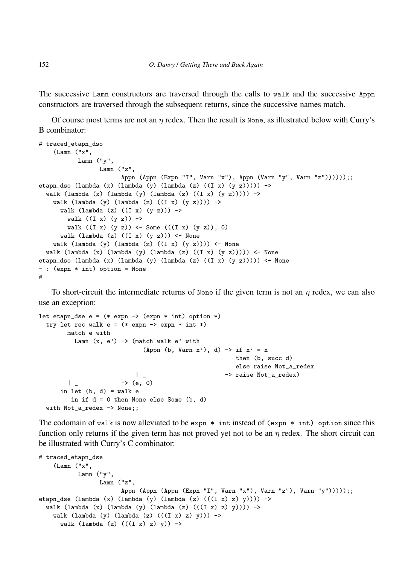The successive Lamn constructors are traversed through the calls to walk and the successive Appn constructors are traversed through the subsequent returns, since the successive names match.

Of course most terms are not an  $\eta$  redex. Then the result is None, as illustrated below with Curry's B combinator:

```
# traced_etapn_dso
    (Lamn ("x",
          Lamn ("y",
                 Lamn ("z",
                       Appn (Appn (Expn "I", Varn "x"), Appn (Varn "y", Varn "z"))))));;
etapn_dso (lambda (x) (lambda (y) (lambda (z) ((I x) (y z))))) ->
 walk (lambda (x) (lambda (y) (lambda (z) ((x)(y)(y))) ->
   walk (lambda (y) (lambda (z) ((I x) (y z)))) \rightarrowwalk (lambda (z) ((I x) (y z))) ->
       walk ((I x) (y z)) \rightarrowwalk ((I x) (y z)) <- Some (((I x) (y z)), 0)walk (lambda (z) ((I x) (y z))) <- None
   walk (lambda (y) (lambda (z) ((I x) (y z)))) <- None
 walk (lambda (x) (lambda (y) (lambda (z) ((I x) (y z)))) <- None
etapn_dso (lambda (x) (lambda (y) (lambda (z) ((I x) (y z))))) <- None
- : (expn * int) option = None
#
```
To short-circuit the intermediate returns of None if the given term is not an  $\eta$  redex, we can also use an exception:

```
let etapn_dse e = (* expn -> (\text{expn} * \text{int}) option *)try let rec walk e = (* \exp n -> \exp n * int *)match e with
          Lamn (x, e') \rightarrow (match walk e' with
                              (Appn (b, Varn x'), d) \rightarrow if x' = xthen (b, succ d)
                                                        else raise Not_a_redex
                           | _ -> raise Not_a_redex)
        | - \rightarrow (e, 0)
      in let (b, d) = walk ein if d = 0 then None else Some (b, d)with Not_a_redex -> None;;
```
The codomain of walk is now alleviated to be expn  $*$  intinstead of (expn  $*$  int) option since this function only returns if the given term has not proved yet not to be an  $\eta$  redex. The short circuit can be illustrated with Curry's C combinator:

```
# traced_etapn_dse
    (Lamn ("x",
           Lamn ("y",
                 Lamn ("z",
                       Appn (Appn (Appn (Expn "I", Varn "x"), Varn "z"), Varn "y")))));;
etapn_dse (lambda (x) (lambda (y) (lambda (z) (((I x) z) y)))) ->
  walk (lambda (x) (lambda (y) (lambda (z) (((I \ x) \ z) \ y)))) \rightarrowwalk (lambda (y) (lambda (z) ((I x) z) y)) ->
      walk (lambda (z) ((I x) z) y)) ->
```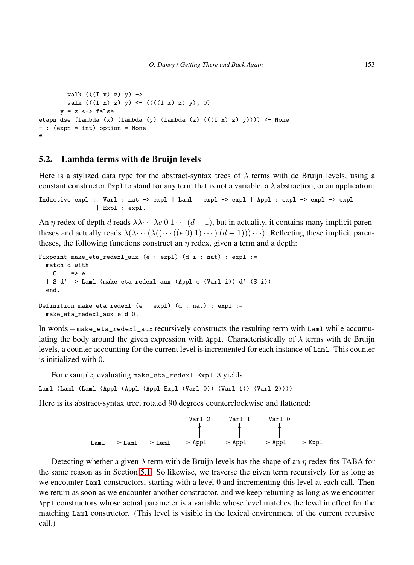```
walk (((I x) z) y) ->
       walk (((I x) z) y) \leftarrow (((I x) z) y), 0)
      y = z \iff falseetapn_dse (lambda (x) (lambda (y) (lambda (z) (((I x) z) y)))) <- None
- : (expn * int) option = None
#
```
#### <span id="page-38-0"></span>5.2. Lambda terms with de Bruijn levels

Here is a stylized data type for the abstract-syntax trees of  $\lambda$  terms with de Bruijn levels, using a constant constructor Expl to stand for any term that is not a variable, a  $\lambda$  abstraction, or an application:

```
Inductive expl := Varl : nat -> expl | Laml : expl -> expl | Appl : expl -> expl -> expl
                | Expl : expl.
```
An  $\eta$  redex of depth d reads  $\lambda \lambda \cdots \lambda e \neq 0 \pmod{1 \cdots (d-1)}$ , but in actuality, it contains many implicit parentheses and actually reads  $\lambda(\lambda \cdots (\ell(v))$  (d - 1))  $\cdots$ ) (d - 1))  $\cdots$ ). Reflecting these implicit parentheses, the following functions construct an  $\eta$  redex, given a term and a depth:

```
Fixpoint make_eta_redexl_aux (e : expl) (d i : nat) : expl :=
 match d with
   \bigcap => e
  | S d' => Laml (make_eta_redexl_aux (Appl e (Varl i)) d' (S i))
  end.
Definition make_eta_redexl (e : expl) (d : nat) : expl :=
  make_eta_redexl_aux e d 0.
```
In words – make\_eta\_redexl\_aux recursively constructs the resulting term with Laml while accumulating the body around the given expression with Appl. Characteristically of  $\lambda$  terms with de Bruijn levels, a counter accounting for the current level is incremented for each instance of Laml. This counter is initialized with 0.

For example, evaluating make\_eta\_redexl Expl 3 yields

Laml (Laml (Laml (Appl (Appl (Appl Expl (Varl 0)) (Varl 1)) (Varl 2))))

Here is its abstract-syntax tree, rotated 90 degrees counterclockwise and flattened:



Detecting whether a given  $\lambda$  term with de Bruijn levels has the shape of an  $\eta$  redex fits TABA for the same reason as in Section [5.1.](#page-35-0) So likewise, we traverse the given term recursively for as long as we encounter Laml constructors, starting with a level 0 and incrementing this level at each call. Then we return as soon as we encounter another constructor, and we keep returning as long as we encounter Appl constructors whose actual parameter is a variable whose level matches the level in effect for the matching Laml constructor. (This level is visible in the lexical environment of the current recursive call.)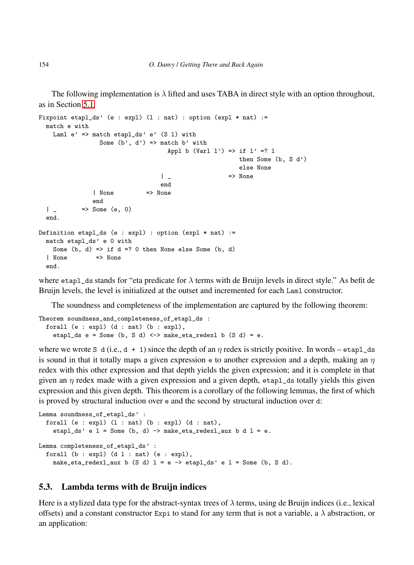The following implementation is  $\lambda$  lifted and uses TABA in direct style with an option throughout, as in Section [5.1:](#page-35-0)

```
Fixpoint etapl_ds' (e : expl) (1 : nat) : option (expl * nat) :=
  match e with
   Laml e' => match etapl_ds' e' (S 1) with
                Some (b', d') \implies match b' with
                                   Appl b (Varl 1') => if 1' =? 1
                                                      then Some (b, S d')
                                                      else None
                                 | _ => None
                                 end
              | None => None
              end
  \vert => Some (e, 0)
  end.
Definition etapl_ds (e : expl) : option (expl * nat) :=
 match etapl_ds' e 0 with
   Some (b, d) \Rightarrow if d = ? 0 then None else Some (b, d)| None => None
  end.
```
where etapl\_ds stands for "eta predicate for  $\lambda$  terms with de Bruijn levels in direct style." As befit de Bruijn levels, the level is initialized at the outset and incremented for each Laml constructor.

The soundness and completeness of the implementation are captured by the following theorem:

```
Theorem soundness_and_completeness_of_etapl_ds :
 forall (e : expl) (d : nat) (b : expl),
   etapl_ds e = Some (b, S d) <-> make_eta_redexl b (S d) = e.
```
where we wrote S d (i.e.,  $d + 1$ ) since the depth of an  $\eta$  redex is strictly positive. In words – etapl\_ds is sound in that it totally maps a given expression  $\epsilon$  to another expression and a depth, making an  $\eta$ redex with this other expression and that depth yields the given expression; and it is complete in that given an  $\eta$  redex made with a given expression and a given depth, etapl\_ds totally yields this given expression and this given depth. This theorem is a corollary of the following lemmas, the first of which is proved by structural induction over e and the second by structural induction over d:

```
Lemma soundness_of_etapl_ds' :
 forall (e : exp1) (1 : nat) (b : exp1) (d : nat),
   etapl_ds' e l = Some (b, d) -> make_eta_redexl_aux b d l = e.
Lemma completeness_of_etapl_ds' :
 forall (b : exp1) (d 1 : nat) (e : exp1),
   make_eta_redexl_aux b (S d) 1 = e \rightarrow etap1_ds' e 1 = Some (b, S d).
```
## <span id="page-39-0"></span>5.3. Lambda terms with de Bruijn indices

Here is a stylized data type for the abstract-syntax trees of  $\lambda$  terms, using de Bruijn indices (i.e., lexical offsets) and a constant constructor Expi to stand for any term that is not a variable, a  $\lambda$  abstraction, or an application: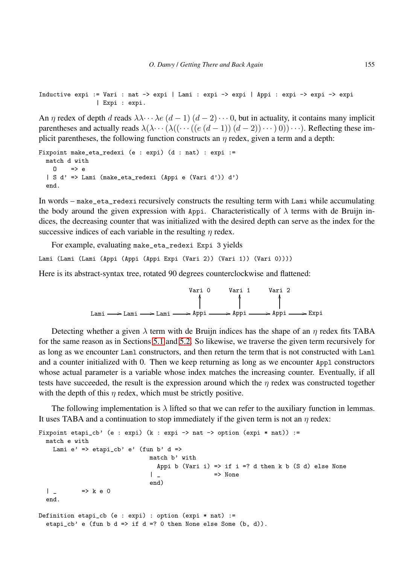```
Inductive expi := Vari : nat -> expi | Lami : expi -> expi | Appi : expi -> expi -> expi
                | Expi : expi.
```
An  $\eta$  redex of depth d reads  $\lambda \lambda \cdots \lambda e$   $(d-1)$   $(d-2) \cdots 0$ , but in actuality, it contains many implicit parentheses and actually reads  $\lambda(\lambda \cdots (\lambda((\cdots ((e(d-1))(d-2))\cdots) 0)) \cdots)$ . Reflecting these implicit parentheses, the following function constructs an  $\eta$  redex, given a term and a depth:

```
Fixpoint make_eta_redexi (e : expi) (d : nat) : expi :=
 match d with
   0 \implies e| S d' => Lami (make_eta_redexi (Appi e (Vari d')) d')
 end.
```
In words – make\_eta\_redexi recursively constructs the resulting term with Lami while accumulating the body around the given expression with Appi. Characteristically of  $\lambda$  terms with de Bruijn indices, the decreasing counter that was initialized with the desired depth can serve as the index for the successive indices of each variable in the resulting  $\eta$  redex.

For example, evaluating make\_eta\_redexi Expi 3 yields Lami (Lami (Lami (Appi (Appi (Appi Expi (Vari 2)) (Vari 1)) (Vari 0))))

Here is its abstract-syntax tree, rotated 90 degrees counterclockwise and flattened:



Detecting whether a given  $\lambda$  term with de Bruijn indices has the shape of an  $\eta$  redex fits TABA for the same reason as in Sections [5.1](#page-35-0) and [5.2.](#page-38-0) So likewise, we traverse the given term recursively for as long as we encounter Laml constructors, and then return the term that is not constructed with Laml and a counter initialized with 0. Then we keep returning as long as we encounter Appl constructors whose actual parameter is a variable whose index matches the increasing counter. Eventually, if all tests have succeeded, the result is the expression around which the  $\eta$  redex was constructed together with the depth of this  $\eta$  redex, which must be strictly positive.

The following implementation is  $\lambda$  lifted so that we can refer to the auxiliary function in lemmas. It uses TABA and a continuation to stop immediately if the given term is not an  $\eta$  redex:

```
Fixpoint etapi_cb' (e : expi) (k : expi -> nat -> option (expi * nat)) :=
  match e with
   Lami e' => etapi_cb' e' (fun b' d =>
                              match b' with
                                Appi b (Vari i) => if i =? d then k b (S d) else None
                              | _ => None
                              end)
  | _ = \rangle k e 0
  end.
Definition etapi_cb (e : expi) : option (expi * nat) :=
  etapi_cb' e (fun b d => if d =? 0 then None else Some (b, d)).
```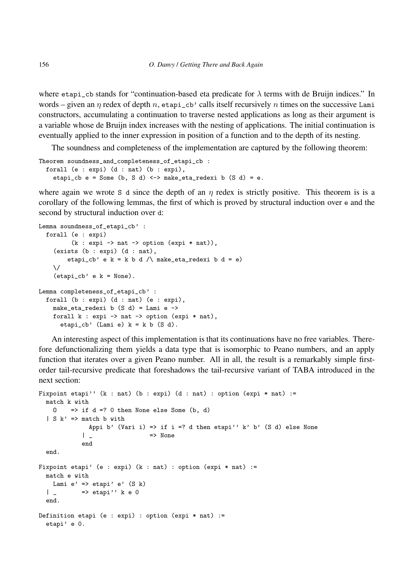where etapi\_cb stands for "continuation-based eta predicate for  $\lambda$  terms with de Bruijn indices." In words – given an  $\eta$  redex of depth n, etapi\_cb' calls itself recursively n times on the successive Lami constructors, accumulating a continuation to traverse nested applications as long as their argument is a variable whose de Bruijn index increases with the nesting of applications. The initial continuation is eventually applied to the inner expression in position of a function and to the depth of its nesting.

The soundness and completeness of the implementation are captured by the following theorem:

```
Theorem soundness_and_completeness_of_etapi_cb :
 forall (e : expi) (d : nat) (b : expi),
   etapi_cb e = Some (b, S d) <-> make_eta_redexi b (S d) = e.
```
where again we wrote S d since the depth of an  $\eta$  redex is strictly positive. This theorem is is a corollary of the following lemmas, the first of which is proved by structural induction over e and the second by structural induction over d:

```
Lemma soundness_of_etapi_cb' :
  forall (e : expi)
         (k : expi \rightarrow nat \rightarrow option (expi * nat)),(exists (b : expi) (d : nat),
        etapi_cb' e k = k b d / make_eta_redexi b d = e)
    \/
    (etapi_cb' e k = None).
Lemma completeness_of_etapi_cb' :
  forall (b : expi) (d : nat) (e : expi),
    make_eta_redexi b (S d) = Lami e ->
    forall k : expi \rightarrow nat \rightarrow option (expi * nat),etapi_cb' (Lami e) k = k b (S d).
```
An interesting aspect of this implementation is that its continuations have no free variables. Therefore defunctionalizing them yields a data type that is isomorphic to Peano numbers, and an apply function that iterates over a given Peano number. All in all, the result is a remarkably simple firstorder tail-recursive predicate that foreshadows the tail-recursive variant of TABA introduced in the next section:

```
Fixpoint etapi'' (k : nat) (b : expi) (d : nat) : option (expi * nat) :=
 match k with
   0 \implies if d =? 0 then None else Some (b, d)
  | S k' \Rightarrow match b with
             Appi b' (Vari i) => if i =? d then etapi'' k' b' (S d) else None
            | _ => None
            end
 end.
Fixpoint etapi' (e : expi) (k : nat) : option (expi * nat) :=
 match e with
  Lami e' => etapi' e' (S k)|\quad \quad \Rightarrow etapi'' k e 0
 end.
Definition etapi (e : expi) : option (expi * nat) :=
 etapi' e 0.
```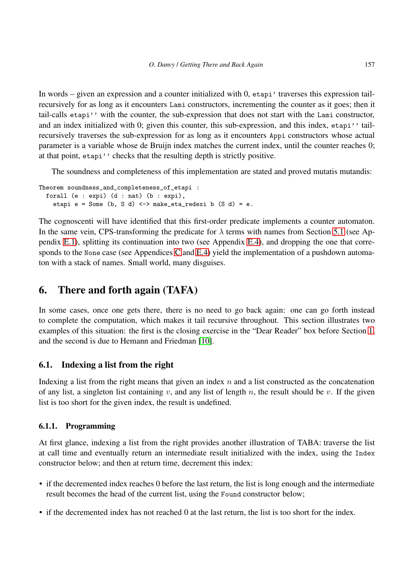In words – given an expression and a counter initialized with 0, etapi' traverses this expression tailrecursively for as long as it encounters Lami constructors, incrementing the counter as it goes; then it tail-calls etapi'' with the counter, the sub-expression that does not start with the Lami constructor, and an index initialized with 0; given this counter, this sub-expression, and this index, etapi'' tailrecursively traverses the sub-expression for as long as it encounters Appi constructors whose actual parameter is a variable whose de Bruijn index matches the current index, until the counter reaches 0; at that point, etapi'' checks that the resulting depth is strictly positive.

The soundness and completeness of this implementation are stated and proved mutatis mutandis:

```
Theorem soundness_and_completeness_of_etapi :
 forall (e : expi) (d : nat) (b : expi),
   etapi e = Some (b, S d) <-> make_eta_redexi b (S d) = e.
```
The cognoscenti will have identified that this first-order predicate implements a counter automaton. In the same vein, CPS-transforming the predicate for  $\lambda$  terms with names from Section [5.1](#page-35-0) (see Appendix [E.1\)](#page-62-1), splitting its continuation into two (see Appendix [E.4\)](#page-65-0), and dropping the one that corre-sponds to the None case (see Appendices [C](#page-58-0) and [E.4\)](#page-65-0) yield the implementation of a pushdown automaton with a stack of names. Small world, many disguises.

# <span id="page-42-0"></span>6. There and forth again (TAFA)

In some cases, once one gets there, there is no need to go back again: one can go forth instead to complete the computation, which makes it tail recursive throughout. This section illustrates two examples of this situation: the first is the closing exercise in the "Dear Reader" box before Section [1,](#page-2-0) and the second is due to Hemann and Friedman [\[10\]](#page-52-4).

# 6.1. Indexing a list from the right

Indexing a list from the right means that given an index  $n$  and a list constructed as the concatenation of any list, a singleton list containing v, and any list of length n, the result should be v. If the given list is too short for the given index, the result is undefined.

## <span id="page-42-1"></span>6.1.1. Programming

At first glance, indexing a list from the right provides another illustration of TABA: traverse the list at call time and eventually return an intermediate result initialized with the index, using the Index constructor below; and then at return time, decrement this index:

- if the decremented index reaches 0 before the last return, the list is long enough and the intermediate result becomes the head of the current list, using the Found constructor below;
- if the decremented index has not reached 0 at the last return, the list is too short for the index.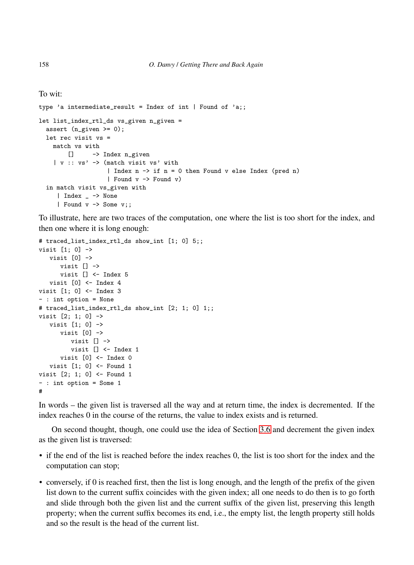To wit:

```
type 'a intermediate_result = Index of int | Found of 'a;;
let list_index_rtl_ds vs_given n_given =
 assert (n_given >= 0);
 let rec visit vs =
   match vs with
      [] -> Index n_given
    | v : : v s' \rightarrow (match visit vs' with
                   | Index n -> if n = 0 then Found v else Index (pred n)
                   | Found v -> Found v)
 in match visit vs_given with
     | Index _ -> None
     | Found v -> Some v;;
```
To illustrate, here are two traces of the computation, one where the list is too short for the index, and then one where it is long enough:

```
# traced_list_index_rtl_ds show_int [1; 0] 5;;
visit [1; 0] ->
  visit [0] ->
     visit [] ->
     visit [] <- Index 5
  visit [0] <- Index 4
visit [1; 0] <- Index 3
- : int option = None
# traced_list_index_rtl_ds show_int [2; 1; 0] 1;;
visit [2; 1; 0] ->
  visit [1; 0] ->
     visit [0] ->
        visit [] ->
        visit [] <- Index 1
      visit [0] <- Index 0
  visit [1; 0] <- Found 1
visit [2; 1; 0] <- Found 1
- : int option = Some 1
#
```
In words – the given list is traversed all the way and at return time, the index is decremented. If the index reaches 0 in the course of the returns, the value to index exists and is returned.

On second thought, though, one could use the idea of Section [3.6](#page-16-0) and decrement the given index as the given list is traversed:

- if the end of the list is reached before the index reaches 0, the list is too short for the index and the computation can stop;
- conversely, if 0 is reached first, then the list is long enough, and the length of the prefix of the given list down to the current suffix coincides with the given index; all one needs to do then is to go forth and slide through both the given list and the current suffix of the given list, preserving this length property; when the current suffix becomes its end, i.e., the empty list, the length property still holds and so the result is the head of the current list.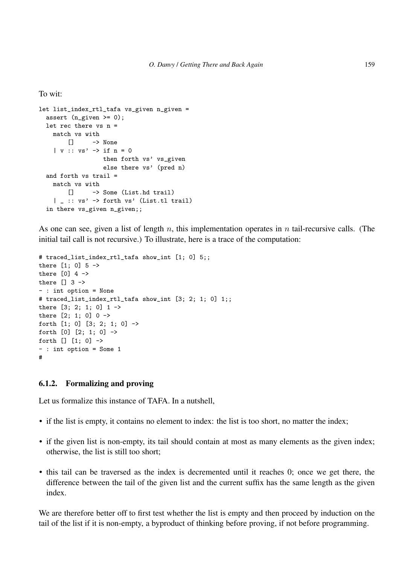#### To wit:

```
let list_index_rtl_tafa vs_given n_given =
 assert (n_given >= 0);
 let rec there vs n =
   match vs with
      [] -> None
   | v :: vs' \rightarrow if n = 0then forth vs' vs_given
                 else there vs' (pred n)
 and forth vs trail =
   match vs with
       [] -> Some (List.hd trail)
    | _ :: vs' -> forth vs' (List.tl trail)
 in there vs_given n_given;;
```
As one can see, given a list of length n, this implementation operates in n tail-recursive calls. (The initial tail call is not recursive.) To illustrate, here is a trace of the computation:

```
# traced_list_index_rtl_tafa show_int [1; 0] 5;;
there [1: 0] 5 ->
there \begin{bmatrix} 0 \\ 4 \end{bmatrix} 4 ->
there [] 3 \rightarrow- : int option = None
# traced_list_index_rtl_tafa show_int [3; 2; 1; 0] 1;;
there [3; 2; 1; 0] 1 ->
there [2; 1; 0] 0 ->
forth [1; 0] [3; 2; 1; 0] ->
forth [0] [2; 1; 0] ->
forth [] [1; 0] ->
- : int option = Some 1
#
```
#### <span id="page-44-0"></span>6.1.2. Formalizing and proving

Let us formalize this instance of TAFA. In a nutshell,

- if the list is empty, it contains no element to index: the list is too short, no matter the index;
- if the given list is non-empty, its tail should contain at most as many elements as the given index; otherwise, the list is still too short;
- this tail can be traversed as the index is decremented until it reaches 0; once we get there, the difference between the tail of the given list and the current suffix has the same length as the given index.

We are therefore better off to first test whether the list is empty and then proceed by induction on the tail of the list if it is non-empty, a byproduct of thinking before proving, if not before programming.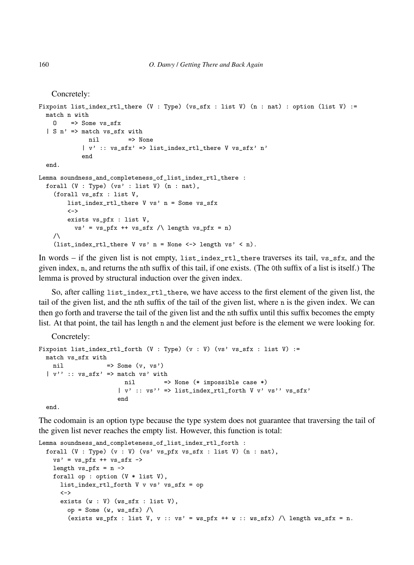```
Concretely:
```

```
Fixpoint list_index_rtl_there (V : Type) (vs_sfx : list V) (n : nat) : option (list V) :=
  match n with
    0 \implies Some vs\_sfx| S n' => match vs_sfx with
              nil => None
             | v' :: vs_sfx' => list_index_rtl_there V vs_sfx' n'
             end
  end.
Lemma soundness_and_completeness_of_list_index_rtl_there :
  forall (V : Type) (vs' : list V) (n : nat),
    (forall vs_sfx : list V,
        list index rtl there V vs' n = Some vs sfx
        \left\langle -\right\rangleexists vs_pfx : list V,
          vs' = vs_pfx ++ vs_sfx / \leq length vs_pfx = n)/\setminus(list_index_rtl_there V vs' n = None <-> length vs' < n).
```
In words – if the given list is not empty, list\_index\_rtl\_there traverses its tail, vs\_sfx, and the given index, n, and returns the nth suffix of this tail, if one exists. (The 0th suffix of a list is itself.) The lemma is proved by structural induction over the given index.

So, after calling list\_index\_rtl\_there, we have access to the first element of the given list, the tail of the given list, and the nth suffix of the tail of the given list, where n is the given index. We can then go forth and traverse the tail of the given list and the nth suffix until this suffix becomes the empty list. At that point, the tail has length n and the element just before is the element we were looking for.

Concretely:

```
Fixpoint list_index_rtl_forth (V : Type) (v : V) (vs' vs_sfx : list V) :=
 match vs_sfx with
   nil \Rightarrow Some (v, vs')| v'' : : vs\_sfx' > match vs' withnil => None (* impossible case *)
                     | v' :: vs'' => list_index_rtl_forth V v' vs'' vs_sfx'
                     end
```
end.

The codomain is an option type because the type system does not guarantee that traversing the tail of the given list never reaches the empty list. However, this function is total:

```
Lemma soundness_and_completeness_of_list_index_rtl_forth :
  forall (V : Type) (v : V) (vs' vs\_pfx vs\_sfx : list V) (n : nat),
    vs' = vs_pfx + vs_sfxlength vs\_pfx = n \rightarrowforall op : option (V * list V),
      list_index_rtl_forth V v vs' vs_sfx = op
      \left\langle -\right\rangleexists (w : V) (ws_sfx : list V),
        op = Some (w, ws\_sfx) /\
        (exists ws_pfx : list V, v : : vs' = ws_pfx ++ w : : ws_sfx) / length ws_sfx = n.
```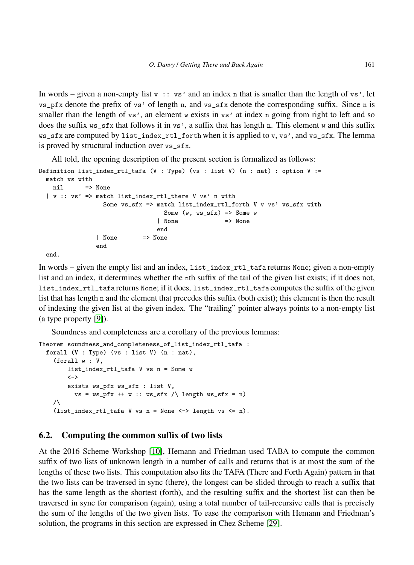In words – given a non-empty list  $v : : v s'$  and an index n that is smaller than the length of vs', let vs\_pfx denote the prefix of vs' of length n, and vs\_sfx denote the corresponding suffix. Since n is smaller than the length of vs<sup>'</sup>, an element w exists in vs' at index n going from right to left and so does the suffix ws\_sfx that follows it in vs', a suffix that has length n. This element w and this suffix ws\_sfx are computed by list\_index\_rtl\_forth when it is applied to v, vs', and vs\_sfx. The lemma is proved by structural induction over vs\_sfx.

All told, the opening description of the present section is formalized as follows:

```
Definition list_index_rtl_tafa (V : Type) (vs : list V) (n : nat) : option V :=
 match vs with
   nil => None
  | v :: vs' => match list_index_rtl_there V vs' n with
                 Some vs_sfx => match list_index_rtl_forth V v vs' vs_sfx with
                                 Some (w, ws_sfx) \Rightarrow Some w
                                | None => None
                               end
               | None => None
               end
 end.
```
In words – given the empty list and an index, list\_index\_rtl\_tafa returns None; given a non-empty list and an index, it determines whether the nth suffix of the tail of the given list exists; if it does not, list\_index\_rtl\_tafa returns None; if it does, list\_index\_rtl\_tafa computes the suffix of the given list that has length n and the element that precedes this suffix (both exist); this element is then the result of indexing the given list at the given index. The "trailing" pointer always points to a non-empty list (a type property [\[9\]](#page-52-3)).

Soundness and completeness are a corollary of the previous lemmas:

```
Theorem soundness_and_completeness_of_list_index_rtl_tafa :
  forall (V : Type) (vs : list V) (n : nat),
    (forall w : V,
         list_index_rtl_tafa V vs n = Some w
         \left\langle -\right\rangleexists ws_pfx ws_sfx : list V,
           vs = ws_pfx ++ w :: ws_sfx / \ \ length ws_sfx = n)/\setminus(list_index_rtl_tafa V vs n = None \leftarrow > length vs \leftarrow n).
```
## <span id="page-46-0"></span>6.2. Computing the common suffix of two lists

At the 2016 Scheme Workshop [\[10\]](#page-52-4), Hemann and Friedman used TABA to compute the common suffix of two lists of unknown length in a number of calls and returns that is at most the sum of the lengths of these two lists. This computation also fits the TAFA (There and Forth Again) pattern in that the two lists can be traversed in sync (there), the longest can be slided through to reach a suffix that has the same length as the shortest (forth), and the resulting suffix and the shortest list can then be traversed in sync for comparison (again), using a total number of tail-recursive calls that is precisely the sum of the lengths of the two given lists. To ease the comparison with Hemann and Friedman's solution, the programs in this section are expressed in Chez Scheme [\[29\]](#page-53-6).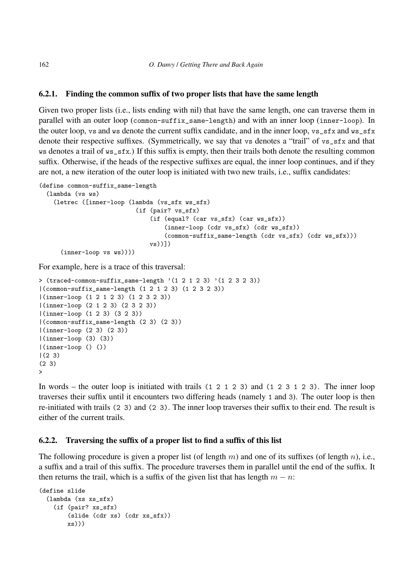## 6.2.1. Finding the common suffix of two proper lists that have the same length

Given two proper lists (i.e., lists ending with nil) that have the same length, one can traverse them in parallel with an outer loop (common-suffix\_same-length) and with an inner loop (inner-loop). In the outer loop, vs and ws denote the current suffix candidate, and in the inner loop, vs\_sfx and ws\_sfx denote their respective suffixes. (Symmetrically, we say that vs denotes a "trail" of vs\_sfx and that ws denotes a trail of ws\_sfx.) If this suffix is empty, then their trails both denote the resulting common suffix. Otherwise, if the heads of the respective suffixes are equal, the inner loop continues, and if they are not, a new iteration of the outer loop is initiated with two new trails, i.e., suffix candidates:

```
(define common-suffix_same-length
  (lambda (vs ws)
    (letrec ([inner-loop (lambda (vs_sfx ws_sfx)
                           (if (pair? vs_sfx)
                               (if (equal? (car vs_sfx) (car ws_sfx))
                                    (inner-loop (cdr vs_sfx) (cdr ws_sfx))
                                    (common-suffix_same-length (cdr vs_sfx) (cdr ws_sfx)))
                               vs))])
      (inner-loop vs ws))))
```
For example, here is a trace of this traversal:

```
> (traced-common-suffix_same-length '(1\ 2\ 1\ 2\ 3) '(1\ 2\ 3\ 2\ 3))|(common-suffix_same-length (1 2 1 2 3) (1 2 3 2 3))
|(inner-loop (1 2 1 2 3) (1 2 3 2 3))
|(inner-loop (2 1 2 3) (2 3 2 3))
|(inner-loop (1 2 3) (3 2 3))
|(common-suffix_same-length (2 3) (2 3))
|(inner-loop (2 3) (2 3))
|(inner-loop (3) (3))
|(inner-loop () ())
|(2 3)(2 3)
\overline{\phantom{a}}
```
In words – the outer loop is initiated with trails (1 2 1 2 3) and (1 2 3 1 2 3). The inner loop traverses their suffix until it encounters two differing heads (namely 1 and 3). The outer loop is then re-initiated with trails (2 3) and (2 3). The inner loop traverses their suffix to their end. The result is either of the current trails.

## 6.2.2. Traversing the suffix of a proper list to find a suffix of this list

The following procedure is given a proper list (of length m) and one of its suffixes (of length n), i.e., a suffix and a trail of this suffix. The procedure traverses them in parallel until the end of the suffix. It then returns the trail, which is a suffix of the given list that has length  $m - n$ :

```
(define slide
 (lambda (xs xs_sfx)
    (if (pair? xs_sfx)
        (slide (cdr xs) (cdr xs_sfx))
       xs)))
```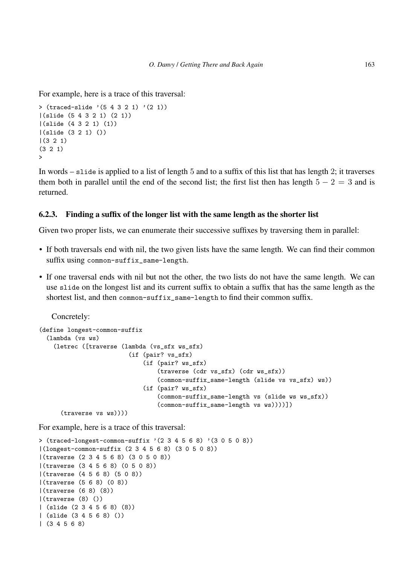For example, here is a trace of this traversal:

```
> (traced-slide (5 4 3 2 1) (2 1))
|(slide (5 4 3 2 1) (2 1))
|(slide (4 3 2 1) (1))
|(slide (3 2 1) ())
|(3 2 1)
(3 2 1)
\rightarrow
```
In words – slide is applied to a list of length 5 and to a suffix of this list that has length 2; it traverses them both in parallel until the end of the second list; the first list then has length  $5 - 2 = 3$  and is returned.

#### 6.2.3. Finding a suffix of the longer list with the same length as the shorter list

Given two proper lists, we can enumerate their successive suffixes by traversing them in parallel:

- If both traversals end with nil, the two given lists have the same length. We can find their common suffix using common-suffix\_same-length.
- If one traversal ends with nil but not the other, the two lists do not have the same length. We can use slide on the longest list and its current suffix to obtain a suffix that has the same length as the shortest list, and then common-suffix\_same-length to find their common suffix.

Concretely:

```
(define longest-common-suffix
  (lambda (vs ws)
    (letrec ([traverse (lambda (vs_sfx ws_sfx)
                         (if (pair? vs_sfx)
                             (if (pair? ws_sfx)
                                 (traverse (cdr vs_sfx) (cdr ws_sfx))
                                 (common-suffix_same-length (slide vs vs_sfx) ws))
                             (if (pair? ws_sfx)
                                 (common-suffix_same-length vs (slide ws ws_sfx))
                                 (common-suffix_same-length vs ws))))])
      (traverse vs ws))))
```
For example, here is a trace of this traversal:

```
> (traced-longest-common-suffix ' (2 3 4 5 6 8) ' (3 0 5 0 8))
|(longest-common-suffix (2 3 4 5 6 8) (3 0 5 0 8))
|(traverse (2 3 4 5 6 8) (3 0 5 0 8))
|(traverse (3 4 5 6 8) (0 5 0 8))
|(traverse (4 5 6 8) (5 0 8))
|(traverse (5 6 8) (0 8))
|(traverse (6 8) (8))
|(traverse (8) ())
| (slide (2 3 4 5 6 8) (8))
| (slide (3 4 5 6 8) ())
| (3 4 5 6 8)
```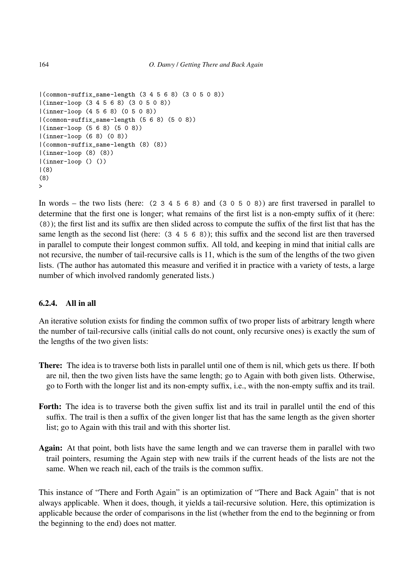```
|(common-suffix_same-length (3 4 5 6 8) (3 0 5 0 8))
|(inner-loop (3 4 5 6 8) (3 0 5 0 8))
|(inner-loop (4 5 6 8) (0 5 0 8))
|(common-suffix_same-length (5 6 8) (5 0 8))
|(inner-loop (5 6 8) (5 0 8))
|(inner-loop (6 8) (0 8))
|(common-suffix_same-length (8) (8))
|(inner-loop (8) (8))
|(inner-loop () ())
|(8)
(8)
\ddotmark
```
In words – the two lists (here:  $(2\ 3\ 4\ 5\ 6\ 8)$  and  $(3\ 0\ 5\ 0\ 8)$ ) are first traversed in parallel to determine that the first one is longer; what remains of the first list is a non-empty suffix of it (here: (8)); the first list and its suffix are then slided across to compute the suffix of the first list that has the same length as the second list (here: (3 4 5 6 8)); this suffix and the second list are then traversed in parallel to compute their longest common suffix. All told, and keeping in mind that initial calls are not recursive, the number of tail-recursive calls is 11, which is the sum of the lengths of the two given lists. (The author has automated this measure and verified it in practice with a variety of tests, a large number of which involved randomly generated lists.)

# 6.2.4. All in all

An iterative solution exists for finding the common suffix of two proper lists of arbitrary length where the number of tail-recursive calls (initial calls do not count, only recursive ones) is exactly the sum of the lengths of the two given lists:

- There: The idea is to traverse both lists in parallel until one of them is nil, which gets us there. If both are nil, then the two given lists have the same length; go to Again with both given lists. Otherwise, go to Forth with the longer list and its non-empty suffix, i.e., with the non-empty suffix and its trail.
- Forth: The idea is to traverse both the given suffix list and its trail in parallel until the end of this suffix. The trail is then a suffix of the given longer list that has the same length as the given shorter list; go to Again with this trail and with this shorter list.
- Again: At that point, both lists have the same length and we can traverse them in parallel with two trail pointers, resuming the Again step with new trails if the current heads of the lists are not the same. When we reach nil, each of the trails is the common suffix.

This instance of "There and Forth Again" is an optimization of "There and Back Again" that is not always applicable. When it does, though, it yields a tail-recursive solution. Here, this optimization is applicable because the order of comparisons in the list (whether from the end to the beginning or from the beginning to the end) does not matter.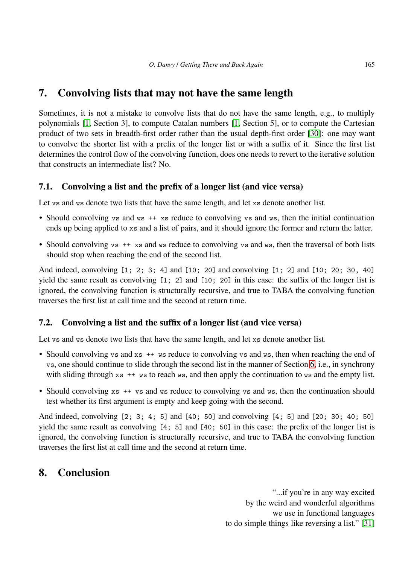# <span id="page-50-0"></span>7. Convolving lists that may not have the same length

Sometimes, it is not a mistake to convolve lists that do not have the same length, e.g., to multiply polynomials [\[1,](#page-51-0) Section 3], to compute Catalan numbers [\[1,](#page-51-0) Section 5], or to compute the Cartesian product of two sets in breadth-first order rather than the usual depth-first order [\[30\]](#page-53-7): one may want to convolve the shorter list with a prefix of the longer list or with a suffix of it. Since the first list determines the control flow of the convolving function, does one needs to revert to the iterative solution that constructs an intermediate list? No.

# 7.1. Convolving a list and the prefix of a longer list (and vice versa)

Let vs and ws denote two lists that have the same length, and let xs denote another list.

- Should convolving vs and ws  $++$  xs reduce to convolving vs and ws, then the initial continuation ends up being applied to xs and a list of pairs, and it should ignore the former and return the latter.
- Should convolving vs ++ xs and ws reduce to convolving vs and ws, then the traversal of both lists should stop when reaching the end of the second list.

And indeed, convolving [1; 2; 3; 4] and [10; 20] and convolving [1; 2] and [10; 20; 30, 40] yield the same result as convolving [1; 2] and [10; 20] in this case: the suffix of the longer list is ignored, the convolving function is structurally recursive, and true to TABA the convolving function traverses the first list at call time and the second at return time.

# 7.2. Convolving a list and the suffix of a longer list (and vice versa)

Let vs and ws denote two lists that have the same length, and let xs denote another list.

- Should convolving vs and xs ++ ws reduce to convolving vs and ws, then when reaching the end of vs, one should continue to slide through the second list in the manner of Section [6,](#page-42-0) i.e., in synchrony with sliding through xs  $++$  ws to reach ws, and then apply the continuation to ws and the empty list.
- Should convolving xs ++ vs and ws reduce to convolving vs and ws, then the continuation should test whether its first argument is empty and keep going with the second.

And indeed, convolving [2; 3; 4; 5] and [40; 50] and convolving [4; 5] and [20; 30; 40; 50] yield the same result as convolving [4; 5] and [40; 50] in this case: the prefix of the longer list is ignored, the convolving function is structurally recursive, and true to TABA the convolving function traverses the first list at call time and the second at return time.

# <span id="page-50-1"></span>8. Conclusion

"...if you're in any way excited by the weird and wonderful algorithms we use in functional languages to do simple things like reversing a list." [\[31\]](#page-53-8)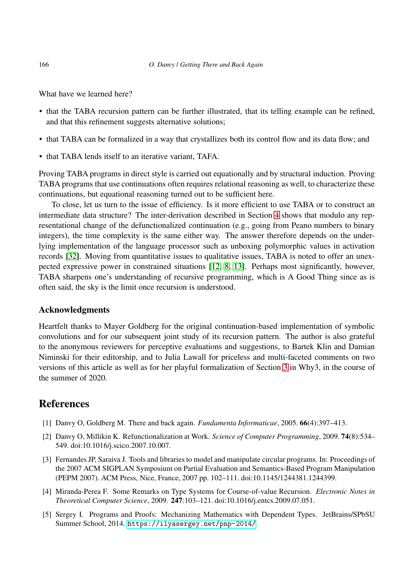What have we learned here?

- that the TABA recursion pattern can be further illustrated, that its telling example can be refined, and that this refinement suggests alternative solutions;
- that TABA can be formalized in a way that crystallizes both its control flow and its data flow; and
- that TABA lends itself to an iterative variant. TAFA.

Proving TABA programs in direct style is carried out equationally and by structural induction. Proving TABA programs that use continuations often requires relational reasoning as well, to characterize these continuations, but equational reasoning turned out to be sufficient here.

To close, let us turn to the issue of efficiency. Is it more efficient to use TABA or to construct an intermediate data structure? The inter-derivation described in Section [4](#page-22-0) shows that modulo any representational change of the defunctionalized continuation (e.g., going from Peano numbers to binary integers), the time complexity is the same either way. The answer therefore depends on the underlying implementation of the language processor such as unboxing polymorphic values in activation records [\[32\]](#page-53-9). Moving from quantitative issues to qualitative issues, TABA is noted to offer an unexpected expressive power in constrained situations [\[12,](#page-52-6) [8,](#page-52-2) [13\]](#page-52-7). Perhaps most significantly, however, TABA sharpens one's understanding of recursive programming, which is A Good Thing since as is often said, the sky is the limit once recursion is understood.

#### Acknowledgments

Heartfelt thanks to Mayer Goldberg for the original continuation-based implementation of symbolic convolutions and for our subsequent joint study of its recursion pattern. The author is also grateful to the anonymous reviewers for perceptive evaluations and suggestions, to Bartek Klin and Damian Niminski for their editorship, and to Julia Lawall for priceless and multi-faceted comments on two versions of this article as well as for her playful formalization of Section [3](#page-8-0) in Why3, in the course of the summer of 2020.

# <span id="page-51-0"></span>References

- <span id="page-51-1"></span>[1] Danvy O, Goldberg M. There and back again. *Fundamenta Informaticae*, 2005. 66(4):397–413.
- [2] Danvy O, Millikin K. Refunctionalization at Work. *Science of Computer Programming*, 2009. 74(8):534– 549. doi:10.1016/j.scico.2007.10.007.
- <span id="page-51-2"></span>[3] Fernandes JP, Saraiva J. Tools and libraries to model and manipulate circular programs. In: Proceedings of the 2007 ACM SIGPLAN Symposium on Partial Evaluation and Semantics-Based Program Manipulation (PEPM 2007). ACM Press, Nice, France, 2007 pp. 102–111. doi:10.1145/1244381.1244399.
- <span id="page-51-3"></span>[4] Miranda-Perea F. Some Remarks on Type Systems for Course-of-value Recursion. *Electronic Notes in Theoretical Computer Science*, 2009. 247:103–121. doi:10.1016/j.entcs.2009.07.051.
- <span id="page-51-4"></span>[5] Sergey I. Programs and Proofs: Mechanizing Mathematics with Dependent Types. JetBrains/SPbSU Summer School, 2014. <https://ilyasergey.net/pnp-2014/>.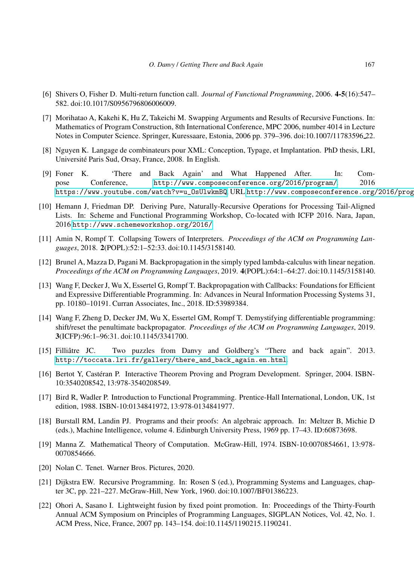- <span id="page-52-1"></span><span id="page-52-0"></span>[6] Shivers O, Fisher D. Multi-return function call. *Journal of Functional Programming*, 2006. 4-5(16):547– 582. doi:10.1017/S0956796806006009.
- [7] Morihatao A, Kakehi K, Hu Z, Takeichi M. Swapping Arguments and Results of Recursive Functions. In: Mathematics of Program Construction, 8th International Conference, MPC 2006, number 4014 in Lecture Notes in Computer Science. Springer, Kuressaare, Estonia, 2006 pp. 379–396. doi:10.1007/11783596 22.
- <span id="page-52-2"></span>[8] Nguyen K. Langage de combinateurs pour XML: Conception, Typage, et Implantation. PhD thesis, LRI, Université Paris Sud, Orsay, France, 2008. In English.
- <span id="page-52-3"></span>[9] Foner K. 'There and Back Again' and What Happened After. In: Compose Conference, <http://www.composeconference.org/2016/program/>. 2016 [https://www.youtube.com/watch?v=u\\_OsUlwkmBQ](https://www.youtube.com/watch?v=u_OsUlwkmBQ), URL <http://www.composeconference.org/2016/program/>.
- <span id="page-52-4"></span>[10] Hemann J, Friedman DP. Deriving Pure, Naturally-Recursive Operations for Processing Tail-Aligned Lists. In: Scheme and Functional Programming Workshop, Co-located with ICFP 2016. Nara, Japan, 2016 <http://www.schemeworkshop.org/2016/>.
- <span id="page-52-5"></span>[11] Amin N, Rompf T. Collapsing Towers of Interpreters. *Proceedings of the ACM on Programming Languages*, 2018. 2(POPL):52:1–52:33. doi:10.1145/3158140.
- <span id="page-52-6"></span>[12] Brunel A, Mazza D, Pagani M. Backpropagation in the simply typed lambda-calculus with linear negation. *Proceedings of the ACM on Programming Languages*, 2019. 4(POPL):64:1–64:27. doi:10.1145/3158140.
- <span id="page-52-7"></span>[13] Wang F, Decker J, Wu X, Essertel G, Rompf T. Backpropagation with Callbacks: Foundations for Efficient and Expressive Differentiable Programming. In: Advances in Neural Information Processing Systems 31, pp. 10180–10191. Curran Associates, Inc., 2018. ID:53989384.
- <span id="page-52-8"></span>[14] Wang F, Zheng D, Decker JM, Wu X, Essertel GM, Rompf T. Demystifying differentiable programming: shift/reset the penultimate backpropagator. *Proceedings of the ACM on Programming Languages*, 2019. 3(ICFP):96:1–96:31. doi:10.1145/3341700.
- <span id="page-52-9"></span>[15] Filliâtre JC. Two puzzles from Danvy and Goldberg's "There and back again". 2013. [http://toccata.lri.fr/gallery/there\\_and\\_back\\_again.en.html](http://toccata.lri.fr/gallery/there_and_back_again.en.html).
- <span id="page-52-10"></span>[16] Bertot Y, Castéran P. Interactive Theorem Proving and Program Development. Springer, 2004. ISBN-10:3540208542, 13:978-3540208549.
- <span id="page-52-11"></span>[17] Bird R, Wadler P. Introduction to Functional Programming. Prentice-Hall International, London, UK, 1st edition, 1988. ISBN-10:0134841972, 13:978-0134841977.
- <span id="page-52-12"></span>[18] Burstall RM, Landin PJ. Programs and their proofs: An algebraic approach. In: Meltzer B, Michie D (eds.), Machine Intelligence, volume 4. Edinburgh University Press, 1969 pp. 17–43. ID:60873698.
- <span id="page-52-14"></span><span id="page-52-13"></span>[19] Manna Z. Mathematical Theory of Computation. McGraw-Hill, 1974. ISBN-10:0070854661, 13:978- 0070854666.
- <span id="page-52-15"></span>[20] Nolan C. Tenet. Warner Bros. Pictures, 2020.
- [21] Dijkstra EW. Recursive Programming. In: Rosen S (ed.), Programming Systems and Languages, chapter 3C, pp. 221–227. McGraw-Hill, New York, 1960. doi:10.1007/BF01386223.
- <span id="page-52-16"></span>[22] Ohori A, Sasano I. Lightweight fusion by fixed point promotion. In: Proceedings of the Thirty-Fourth Annual ACM Symposium on Principles of Programming Languages, SIGPLAN Notices, Vol. 42, No. 1. ACM Press, Nice, France, 2007 pp. 143–154. doi:10.1145/1190215.1190241.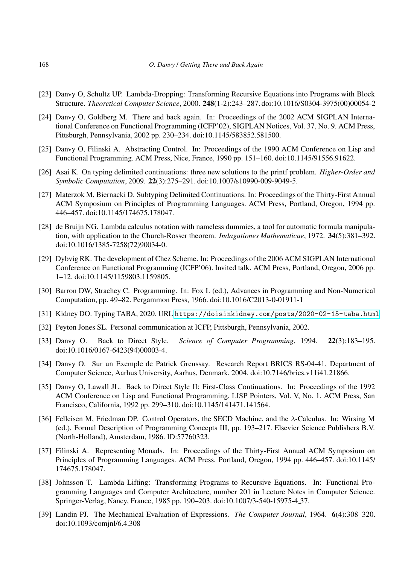- <span id="page-53-0"></span>[23] Danvy O, Schultz UP. Lambda-Dropping: Transforming Recursive Equations into Programs with Block Structure. *Theoretical Computer Science*, 2000. 248(1-2):243–287. doi:10.1016/S0304-3975(00)00054-2
- <span id="page-53-1"></span>[24] Danvy O, Goldberg M. There and back again. In: Proceedings of the 2002 ACM SIGPLAN International Conference on Functional Programming (ICFP'02), SIGPLAN Notices, Vol. 37, No. 9. ACM Press, Pittsburgh, Pennsylvania, 2002 pp. 230–234. doi:10.1145/583852.581500.
- <span id="page-53-3"></span><span id="page-53-2"></span>[25] Danvy O, Filinski A. Abstracting Control. In: Proceedings of the 1990 ACM Conference on Lisp and Functional Programming. ACM Press, Nice, France, 1990 pp. 151–160. doi:10.1145/91556.91622.
- <span id="page-53-4"></span>[26] Asai K. On typing delimited continuations: three new solutions to the printf problem. *Higher-Order and Symbolic Computation*, 2009. 22(3):275–291. doi:10.1007/s10990-009-9049-5.
- [27] Materzok M, Biernacki D. Subtyping Delimited Continuations. In: Proceedings of the Thirty-First Annual ACM Symposium on Principles of Programming Languages. ACM Press, Portland, Oregon, 1994 pp. 446–457. doi:10.1145/174675.178047.
- <span id="page-53-5"></span>[28] de Bruijn NG. Lambda calculus notation with nameless dummies, a tool for automatic formula manipulation, with application to the Church-Rosser theorem. *Indagationes Mathematicae*, 1972. 34(5):381–392. doi:10.1016/1385-7258(72)90034-0.
- <span id="page-53-6"></span>[29] Dybvig RK. The development of Chez Scheme. In: Proceedings of the 2006 ACM SIGPLAN International Conference on Functional Programming (ICFP'06). Invited talk. ACM Press, Portland, Oregon, 2006 pp. 1–12. doi:10.1145/1159803.1159805.
- <span id="page-53-7"></span>[30] Barron DW, Strachey C. Programming. In: Fox L (ed.), Advances in Programming and Non-Numerical Computation, pp. 49–82. Pergammon Press, 1966. doi:10.1016/C2013-0-01911-1
- <span id="page-53-9"></span><span id="page-53-8"></span>[31] Kidney DO. Typing TABA, 2020. URL <https://doisinkidney.com/posts/2020-02-15-taba.html>.
- <span id="page-53-13"></span>[32] Peyton Jones SL. Personal communication at ICFP, Pittsburgh, Pennsylvania, 2002.
- [33] Danvy O. Back to Direct Style. *Science of Computer Programming*, 1994. 22(3):183–195. doi:10.1016/0167-6423(94)00003-4.
- <span id="page-53-16"></span>[34] Danvy O. Sur un Exemple de Patrick Greussay. Research Report BRICS RS-04-41, Department of Computer Science, Aarhus University, Aarhus, Denmark, 2004. doi:10.7146/brics.v11i41.21866.
- <span id="page-53-14"></span>[35] Danvy O, Lawall JL. Back to Direct Style II: First-Class Continuations. In: Proceedings of the 1992 ACM Conference on Lisp and Functional Programming, LISP Pointers, Vol. V, No. 1. ACM Press, San Francisco, California, 1992 pp. 299–310. doi:10.1145/141471.141564.
- <span id="page-53-11"></span>[36] Felleisen M, Friedman DP. Control Operators, the SECD Machine, and the λ-Calculus. In: Wirsing M (ed.), Formal Description of Programming Concepts III, pp. 193–217. Elsevier Science Publishers B.V. (North-Holland), Amsterdam, 1986. ID:57760323.
- <span id="page-53-15"></span>[37] Filinski A. Representing Monads. In: Proceedings of the Thirty-First Annual ACM Symposium on Principles of Programming Languages. ACM Press, Portland, Oregon, 1994 pp. 446–457. doi:10.1145/ 174675.178047.
- <span id="page-53-12"></span>[38] Johnsson T. Lambda Lifting: Transforming Programs to Recursive Equations. In: Functional Programming Languages and Computer Architecture, number 201 in Lecture Notes in Computer Science. Springer-Verlag, Nancy, France, 1985 pp. 190–203. doi:10.1007/3-540-15975-4 37.
- <span id="page-53-10"></span>[39] Landin PJ. The Mechanical Evaluation of Expressions. *The Computer Journal*, 1964. 6(4):308–320. doi:10.1093/comjnl/6.4.308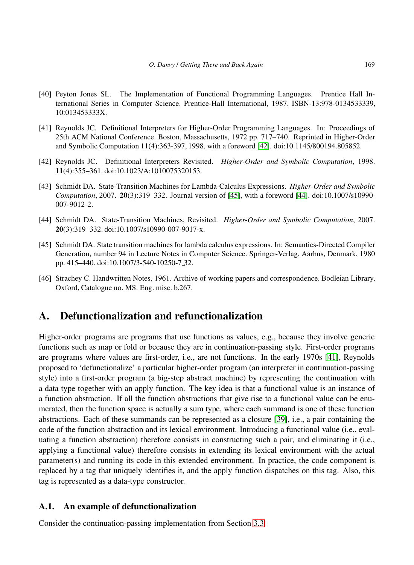- <span id="page-54-7"></span>[40] Peyton Jones SL. The Implementation of Functional Programming Languages. Prentice Hall International Series in Computer Science. Prentice-Hall International, 1987. ISBN-13:978-0134533339, 10:013453333X.
- <span id="page-54-4"></span>[41] Reynolds JC. Definitional Interpreters for Higher-Order Programming Languages. In: Proceedings of 25th ACM National Conference. Boston, Massachusetts, 1972 pp. 717–740. Reprinted in Higher-Order and Symbolic Computation 11(4):363-397, 1998, with a foreword [\[42\]](#page-54-1). doi:10.1145/800194.805852.
- <span id="page-54-1"></span>[42] Reynolds JC. Definitional Interpreters Revisited. *Higher-Order and Symbolic Computation*, 1998. 11(4):355–361. doi:10.1023/A:1010075320153.
- <span id="page-54-5"></span>[43] Schmidt DA. State-Transition Machines for Lambda-Calculus Expressions. *Higher-Order and Symbolic Computation*, 2007. 20(3):319–332. Journal version of [\[45\]](#page-54-2), with a foreword [\[44\]](#page-54-3). doi:10.1007/s10990- 007-9012-2.
- <span id="page-54-3"></span>[44] Schmidt DA. State-Transition Machines, Revisited. *Higher-Order and Symbolic Computation*, 2007. 20(3):319–332. doi:10.1007/s10990-007-9017-x.
- <span id="page-54-2"></span>[45] Schmidt DA. State transition machines for lambda calculus expressions. In: Semantics-Directed Compiler Generation, number 94 in Lecture Notes in Computer Science. Springer-Verlag, Aarhus, Denmark, 1980 pp. 415–440. doi:10.1007/3-540-10250-7 32.
- <span id="page-54-6"></span>[46] Strachey C. Handwritten Notes, 1961. Archive of working papers and correspondence. Bodleian Library, Oxford, Catalogue no. MS. Eng. misc. b.267.

# <span id="page-54-0"></span>A. Defunctionalization and refunctionalization

Higher-order programs are programs that use functions as values, e.g., because they involve generic functions such as map or fold or because they are in continuation-passing style. First-order programs are programs where values are first-order, i.e., are not functions. In the early 1970s [\[41\]](#page-54-4), Reynolds proposed to 'defunctionalize' a particular higher-order program (an interpreter in continuation-passing style) into a first-order program (a big-step abstract machine) by representing the continuation with a data type together with an apply function. The key idea is that a functional value is an instance of a function abstraction. If all the function abstractions that give rise to a functional value can be enumerated, then the function space is actually a sum type, where each summand is one of these function abstractions. Each of these summands can be represented as a closure [\[39\]](#page-53-10), i.e., a pair containing the code of the function abstraction and its lexical environment. Introducing a functional value (i.e., evaluating a function abstraction) therefore consists in constructing such a pair, and eliminating it (i.e., applying a functional value) therefore consists in extending its lexical environment with the actual parameter(s) and running its code in this extended environment. In practice, the code component is replaced by a tag that uniquely identifies it, and the apply function dispatches on this tag. Also, this tag is represented as a data-type constructor.

## A.1. An example of defunctionalization

Consider the continuation-passing implementation from Section [3.3:](#page-19-0)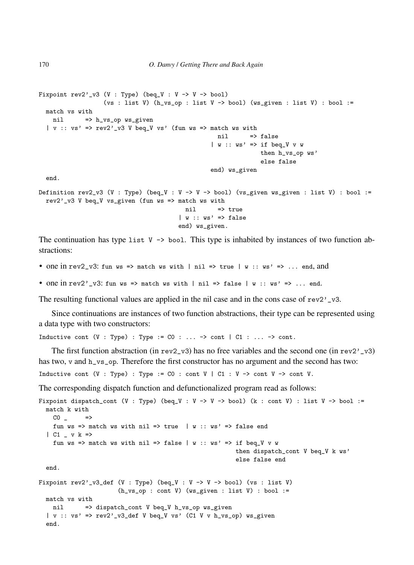```
Fixpoint rev2'_v3 (V : Type) (beq_V : V -> V -> bool)
                  (vs : list V) (h_{v}sg_{p} : list V \rightarrow bool) (ws_given : list V) : bool :=
 match vs with
   nil => h_vs_op ws_given
  | v :: v s' \implies rev2' v3 V beq_V vs' (fun ws => match ws with
                                                   nil => false
                                                  | w :: ws' \implies if beg_V wthen h_vs_op ws'
                                                                else false
                                                  end) ws_given
  end.
Definition rev2_v3 (V : Type) (beq_V : V -> V -> bool) (vs_given ws_given : list V) : bool :=
  rev2'_v3 V beq_V vs_given (fun ws => match ws with
                                         nil => true
                                        | w :: ws' \Rightarrow falseend) ws_given.
```
The continuation has type list  $V \rightarrow$  bool. This type is inhabited by instances of two function abstractions:

- one in rev2\_v3: fun ws => match ws with | nil => true | w :: ws' => ... end, and
- one in rev2'\_v3: fun ws => match ws with | nil => false | w :: ws' => ... end.

The resulting functional values are applied in the nil case and in the cons case of  $rev2'$ <sub>-</sub>v3.

Since continuations are instances of two function abstractions, their type can be represented using a data type with two constructors:

Inductive cont (V : Type) : Type :=  $CO : ... \rightarrow cont$  |  $C1 : ... \rightarrow cont$ .

The first function abstraction (in rev2\_v3) has no free variables and the second one (in rev2'\_v3) has two, v and h\_vs\_op. Therefore the first constructor has no argument and the second has two:

Inductive cont (V : Type) : Type :=  $CO$  : cont V |  $Cl$  : V -> cont V -> cont V.

The corresponding dispatch function and defunctionalized program read as follows:

```
Fixpoint dispatch_cont (V : Type) (beq_V : V -> V -> bool) (k : cont V) : list V -> bool :=
 match k with
   CO<sub>-</sub>fun ws => match ws with nil => true | w :: ws' => false end
  | C1 \sim v k =>
    fun ws => match ws with nil => false | w :: ws' => if beq_V v w
                                                         then dispatch_cont V beq_V k ws'
                                                         else false end
  end.
Fixpoint rev2'_v3_def (V : Type) (beq_V : V -> V -> bool) (vs : list V)
                      (h_v s \circ p : cont V) (ws_given : list V) : bool :=
 match vs with
   nil => dispatch_cont V beq_V h_vs_op ws_given
  | v :: v s' \implies rev2'.v3\_def V beg_V vs' (C1 V v h_v s_o) w s_given
  end.
```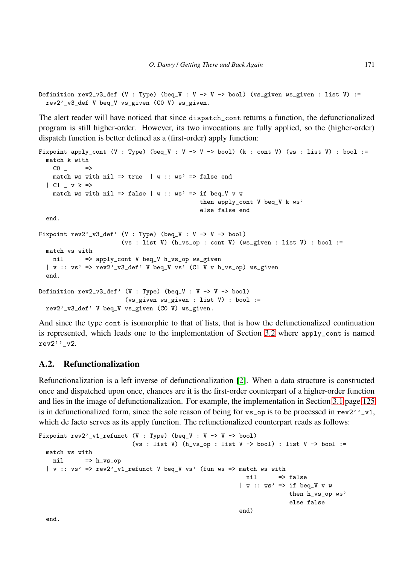Definition  $rev2_v3_def (V : Type)$  (beq\_V : V -> V -> bool) (vs\_given ws\_given : list V) := rev2'\_v3\_def V beq\_V vs\_given (C0 V) ws\_given.

The alert reader will have noticed that since dispatch\_cont returns a function, the defunctionalized program is still higher-order. However, its two invocations are fully applied, so the (higher-order) dispatch function is better defined as a (first-order) apply function:

```
Fixpoint apply_cont (V : Type) (beq_V : V -> V -> bool) (k : cont V) (ws : list V) : bool :=
 match k with
   CO \Rightarrowmatch ws with nil => true | w :: ws' => false end
  | C1 _ v k =>
    match ws with nil => false | w :: ws' => if beq_V v w
                                             then apply_cont V beq_V k ws'
                                              else false end
  end.
Fixpoint rev2'_v3_def' (V : Type) (beq_V : V -> V -> bool)
                       (vs : list V) (h_v s_op : cont V) (ws_given : list V) : bool :=
 match vs with
   nil => apply_cont V beq_V h_vs_op ws_given
  | v :: v s' \implies rev2'_v3_def' V beq_V vs' (C1 V v h_vs_op) ws_given
  end.
Definition rev2_v3_def' (V : Type) (beq_V : V -> V -> bool)
                        (vs_given ws_given : list V) : bool :=
 rev2'_v3_def' V beq_V vs_given (C0 V) ws_given.
```
And since the type cont is isomorphic to that of lists, that is how the defunctionalized continuation is represented, which leads one to the implementation of Section [3.2](#page-20-0) where apply\_cont is named rev2''\_v2.

# <span id="page-56-0"></span>A.2. Refunctionalization

Refunctionalization is a left inverse of defunctionalization [\[2\]](#page-51-1). When a data structure is constructed once and dispatched upon once, chances are it is the first-order counterpart of a higher-order function and lies in the image of defunctionalization. For example, the implementation in Section [3.1](#page-21-0) page [125](#page-21-0) is in defunctionalized form, since the sole reason of being for  $vs\_op$  is to be processed in  $rev2'$ ,  $vt$ , which de facto serves as its apply function. The refunctionalized counterpart reads as follows:

```
Fixpoint rev2'_v1_refunct (V : Type) (beq_V : V -> V -> bool)
                            (vs : list V) (h_v s_o p : list V \rightarrow bool) : list V -> bool :=
 match vs with
    ni1 \Rightarrow h_{vs\_op}| v : v s' \implies rev2' v1 refunct V beg V vs' (fun ws => match ws with
                                                               nil => false
                                                             | w :: ws' \implies if beg_V v wthen h_vs_op ws'
                                                                            else false
                                                             end)
```
end.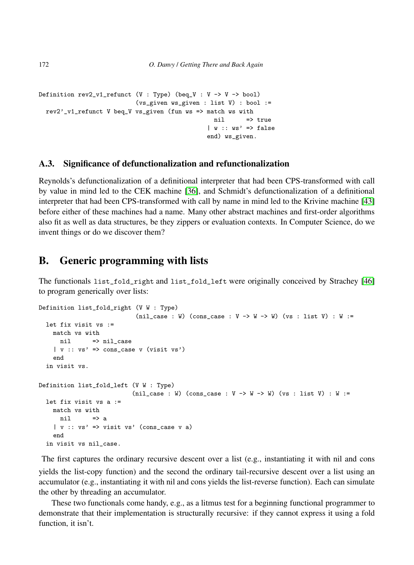```
Definition rev2_v1_refunct (V : Type) (beq_V : V -> V -> bool)
                           (vs_given ws_given : list V) : bool :=
 rev2'_v1_refunct V beq_V vs_given (fun ws => match ws with
                                                  ni1 => true
                                                | w :: ws' \Rightarrow falseend) ws_given.
```
#### A.3. Significance of defunctionalization and refunctionalization

Reynolds's defunctionalization of a definitional interpreter that had been CPS-transformed with call by value in mind led to the CEK machine [\[36\]](#page-53-11), and Schmidt's defunctionalization of a definitional interpreter that had been CPS-transformed with call by name in mind led to the Krivine machine [\[43\]](#page-54-5) before either of these machines had a name. Many other abstract machines and first-order algorithms also fit as well as data structures, be they zippers or evaluation contexts. In Computer Science, do we invent things or do we discover them?

# <span id="page-57-0"></span>B. Generic programming with lists

The functionals list\_fold\_right and list\_fold\_left were originally conceived by Strachey [\[46\]](#page-54-6) to program generically over lists:

```
Definition list_fold_right (V W : Type)
                             (nil_case : W) (cons_case : V -> W -> W) (vs : list V) : W :=
  let fix visit vs :=
   match vs with
     nil => nil case
    | v : : vs' \implies \text{cons\_case } v \text{ (visit vs')}end
  in visit vs.
Definition list_fold_left (V W : Type)
                            (nil_case : W) (cons_case : V -> W -> W) (vs : list V) : W :=
  let fix visit vs a :=
    match vs with
      nil \Rightarrow a
    | v : : vs' \implies visit vs' (cons\_case \ v a)end
  in visit vs nil_case.
```
The first captures the ordinary recursive descent over a list (e.g., instantiating it with nil and cons yields the list-copy function) and the second the ordinary tail-recursive descent over a list using an accumulator (e.g., instantiating it with nil and cons yields the list-reverse function). Each can simulate the other by threading an accumulator.

These two functionals come handy, e.g., as a litmus test for a beginning functional programmer to demonstrate that their implementation is structurally recursive: if they cannot express it using a fold function, it isn't.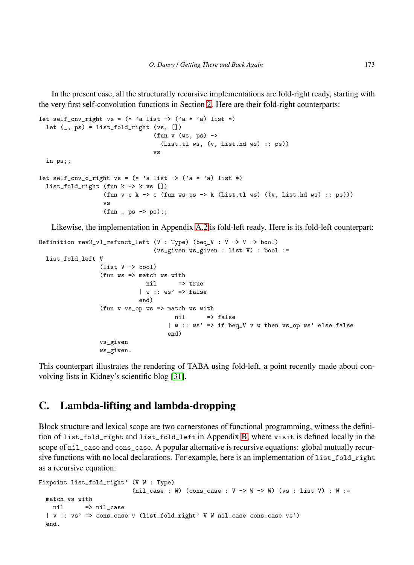In the present case, all the structurally recursive implementations are fold-right ready, starting with the very first self-convolution functions in Section [2.](#page-3-0) Here are their fold-right counterparts:

```
let self_cnv_right vs = (* 'a list -> ('a * 'a) list *)let (\_) ps) = list_fold_right (vs, [])
                                   (fun v (ws, ps) ->
                                     (List.tl ws, (v, List.hd ws) :: ps))
                                   vs
  in ps;;
let self_cnv_c_right vs = (* 'a list -> ('a * 'a) list *)list_fold\_right (fun k \rightarrow k vs [])
                    (fun v c k \rightarrow c (fun ws ps \rightarrow k (List.tl ws) ((v, List.hd ws) :: ps)))vs
                    (fun - ps - > ps);;
```
Likewise, the implementation in Appendix [A.2](#page-56-0) is fold-left ready. Here is its fold-left counterpart:

```
Definition rev2_v1_refunct_lefunct (V : Type) (beq_V : V -> V -> bool)
                                 (vs_given ws_given : list V) : bool :=
 list_fold_left V
                 (list V \rightarrow bool)(fun ws => match ws with
                              nil => true
                             | w : : ws' \implies falseend)
                 (fun v vs_op ws => match ws with
                                      nil => false
                                     | w :: ws' => if beq_V v w then vs_op ws' else false
                                     end)
                 vs_given
                 ws_given.
```
This counterpart illustrates the rendering of TABA using fold-left, a point recently made about convolving lists in Kidney's scientific blog [\[31\]](#page-53-8).

# <span id="page-58-0"></span>C. Lambda-lifting and lambda-dropping

Block structure and lexical scope are two cornerstones of functional programming, witness the definition of list\_fold\_right and list\_fold\_left in Appendix [B,](#page-57-0) where visit is defined locally in the scope of nil\_case and cons\_case. A popular alternative is recursive equations: global mutually recursive functions with no local declarations. For example, here is an implementation of list\_fold\_right as a recursive equation:

```
Fixpoint list_fold_right' (V W : Type)
                         (nil_case : W) (cons_case : V -> W -> W) (vs : list V) : W :=
 match vs with
   nil => nil_case
  | v :: vs' => cons_case v (list_fold_right' V W nil_case cons_case vs')
 end.
```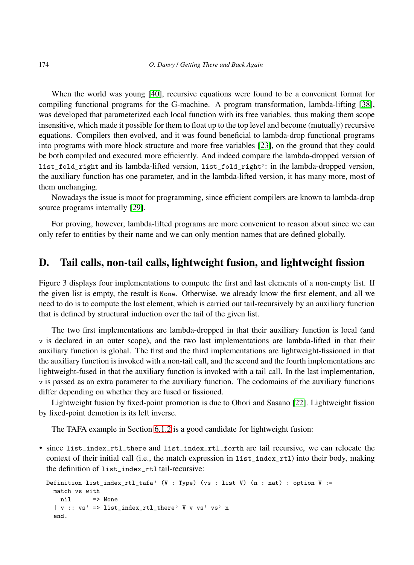When the world was young [\[40\]](#page-54-7), recursive equations were found to be a convenient format for compiling functional programs for the G-machine. A program transformation, lambda-lifting [\[38\]](#page-53-12), was developed that parameterized each local function with its free variables, thus making them scope insensitive, which made it possible for them to float up to the top level and become (mutually) recursive equations. Compilers then evolved, and it was found beneficial to lambda-drop functional programs into programs with more block structure and more free variables [\[23\]](#page-53-0), on the ground that they could be both compiled and executed more efficiently. And indeed compare the lambda-dropped version of list\_fold\_right and its lambda-lifted version, list\_fold\_right': in the lambda-dropped version, the auxiliary function has one parameter, and in the lambda-lifted version, it has many more, most of them unchanging.

Nowadays the issue is moot for programming, since efficient compilers are known to lambda-drop source programs internally [\[29\]](#page-53-6).

For proving, however, lambda-lifted programs are more convenient to reason about since we can only refer to entities by their name and we can only mention names that are defined globally.

# <span id="page-59-0"></span>D. Tail calls, non-tail calls, lightweight fusion, and lightweight fission

Figure 3 displays four implementations to compute the first and last elements of a non-empty list. If the given list is empty, the result is None. Otherwise, we already know the first element, and all we need to do is to compute the last element, which is carried out tail-recursively by an auxiliary function that is defined by structural induction over the tail of the given list.

The two first implementations are lambda-dropped in that their auxiliary function is local (and v is declared in an outer scope), and the two last implementations are lambda-lifted in that their auxiliary function is global. The first and the third implementations are lightweight-fissioned in that the auxiliary function is invoked with a non-tail call, and the second and the fourth implementations are lightweight-fused in that the auxiliary function is invoked with a tail call. In the last implementation, v is passed as an extra parameter to the auxiliary function. The codomains of the auxiliary functions differ depending on whether they are fused or fissioned.

Lightweight fusion by fixed-point promotion is due to Ohori and Sasano [\[22\]](#page-52-16). Lightweight fission by fixed-point demotion is its left inverse.

The TAFA example in Section [6.1.2](#page-44-0) is a good candidate for lightweight fusion:

• since list\_index\_rtl\_there and list\_index\_rtl\_forth are tail recursive, we can relocate the context of their initial call (i.e., the match expression in list\_index\_rtl) into their body, making the definition of list\_index\_rtl tail-recursive:

```
Definition list_index_rtl_tafa' (V : Type) (vs : list V) (n : nat) : option V :=
 match vs with
   nil => None
  | v :: vs' => list_index_rtl_there' V v vs' vs' n
  end.
```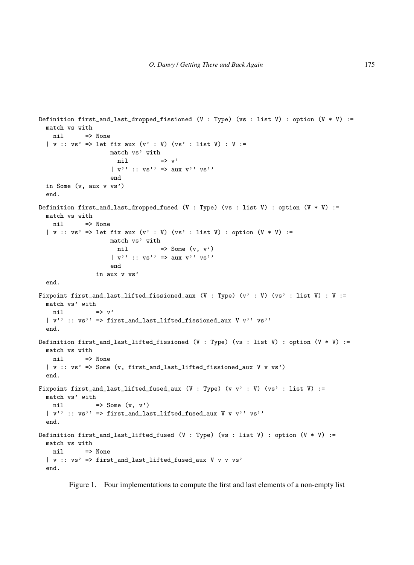```
Definition first_and_last_dropped_fissioned (V : Type) (vs : list V) : option (V * V) :=
 match vs with
   nil => None
  | v :: v s' \implies let fix aux (v' : V) (vs' : list V) : V :=match vs' with
                      nil \Rightarrow v'
                    | v'': v s'' \implies aux v'' v s''end
  in Some (v, aux v vs')
  end.
Definition first_and_last_dropped_fused (V : Type) (vs : list V) : option (V * V) :=
 match vs with
   nil => None
  | v :: v s' \Rightarrow let fix aux (v' : V) (vs' : list V) : option (V * V) :=
                    match vs' with
                      nil \Rightarrow Some (v, v')| v'': v s'' \implies aux v'' v s''end
                in aux v vs'
  end.
Fixpoint first_and_last_lifted_fissioned_aux (V : Type) (v' : V) (vs' : list V) : V :=
 match vs' with
   nil \Rightarrow v'
  | v'' : : v s'' > first_and_last_lifted_fissioned_aux V v'' vs''end.
Definition first_and_last_lifted_fissioned (V : Type) (vs : list V) : option (V * V) :=
 match vs with
   nil => None
  | v :: vs' => Some (v, first_and_last_lifted_fissioned_aux V v vs')
  end.
Fixpoint first_and_last_lifted_fused_aux (V : Type) (v v' : V) (vs' : list V) :=
 match vs' with
   nil \Rightarrow Some (v, v')| v'' :: vs'' => first_and_last_lifted_fused_aux V v v'' vs''
  end.
Definition first_and_last_lifted_fused (V : Type) (vs : list V) : option (V * V) :=
 match vs with
   nil => None
  | v :: v s' \Rightarrow first\_and\_last\_lifted\_fused\_aux V v v vs'end.
```
Figure 1. Four implementations to compute the first and last elements of a non-empty list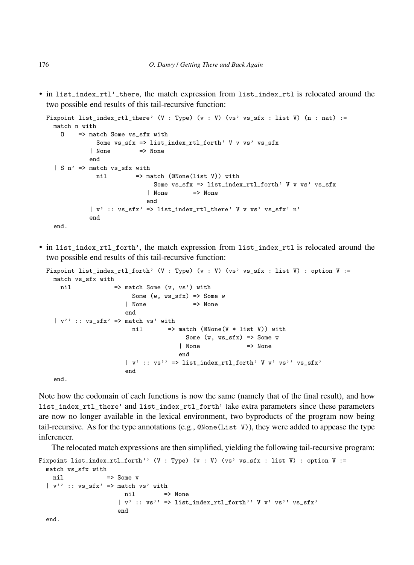• in list\_index\_rtl'\_there, the match expression from list\_index\_rtl is relocated around the two possible end results of this tail-recursive function:

```
Fixpoint list_index_rtl_there' (V : Type) (v : V) (vs' vs_sfx : list V) (n : nat) :=
 match n with
    O => match Some vs_sfx with
             Some vs_sfx => list_index_rtl_forth' V v vs' vs_sfx
            | None => None
            end
  | S n' \Rightarrow match vs sfx with
              nil => match (@None(list V)) with
                              Some vs\_sfx => list_index_rtl_forth' V v vs' vs\_sfx| None => None
                            end
            | v' : : v s_s f x' \implies list_index_rtl_there' V v vs' vs_sfx' n'
            end
  end.
```
• in list\_index\_rtl\_forth', the match expression from list\_index\_rtl is relocated around the two possible end results of this tail-recursive function:

```
Fixpoint list_index_rtl_forth' (V : Type) (v : V) (vs' vs_sfx : list V) : option V :=
 match vs_sfx with
   nil \Rightarrow match Some (v, vs') with
                        Some (w, ws_sfx) \Rightarrow Some w
                       | None \Rightarrow None
                      end
  | v'' : : vs\_sfx' > match vs' withnil \Rightarrow match (@None(V * list V)) with
                                        Some (w, ws_sfx) \Rightarrow Some w
                                      | None => None
                                      end
                       | v' : : v s'' > list_index_rtl_forth' V v' vs'' vs_s f x'end
  end.
```
Note how the codomain of each functions is now the same (namely that of the final result), and how list\_index\_rtl\_there' and list\_index\_rtl\_forth' take extra parameters since these parameters are now no longer available in the lexical environment, two byproducts of the program now being tail-recursive. As for the type annotations (e.g.,  $\mathbb{Q}$  None(List V)), they were added to appease the type inferencer.

The relocated match expressions are then simplified, yielding the following tail-recursive program:

```
Fixpoint list_index_rtl_forth'' (V : Type) (v : V) (vs' vs_sfx : list V) : option V :=
 match vs_sfx with
   nil => Some v
  | v'' : : vs\_sfx' > match vs' withnil => None
                    | v' : : v s'' > list_index_rtl_forth'' V v' vs'' vs_sfx'
                    end
 end.
```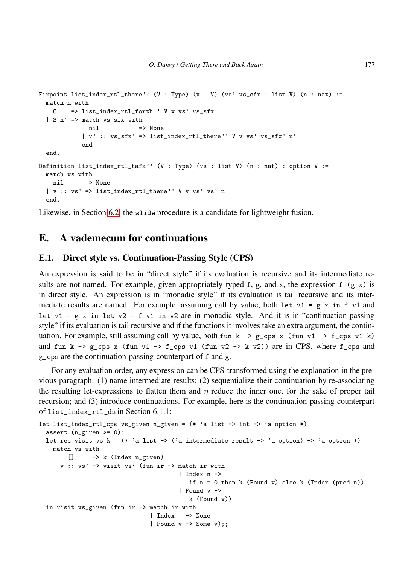```
Fixpoint list_index_rtl_there'' (V : Type) (v : V) (vs' vs_sfx : list V) (n : nat) :=
  match n with
   O => list_index_rtl_forth'' V v vs' vs_sfx
  | S n' => match vs_sfx with
            nil => None
           | v' :: vs_sfx' => list_index_rtl_there'' V v vs' vs_sfx' n'
           end
  end.
Definition list_index_rtl_tafa'' (V : Type) (vs : list V) (n : nat) : option V :=
  match vs with
   nil => None
  | v :: vs' => list_index_rtl_there'' V v vs' vs' n
  end.
```
<span id="page-62-0"></span>Likewise, in Section [6.2,](#page-46-0) the slide procedure is a candidate for lightweight fusion.

# <span id="page-62-1"></span>E. A vademecum for continuations

## E.1. Direct style vs. Continuation-Passing Style (CPS)

An expression is said to be in "direct style" if its evaluation is recursive and its intermediate results are not named. For example, given appropriately typed f, g, and x, the expression f (g x) is in direct style. An expression is in "monadic style" if its evaluation is tail recursive and its intermediate results are named. For example, assuming call by value, both let  $v1 = g \times in f \times 1$  and let  $v1 = g x$  in let  $v2 = f v1$  in  $v2$  are in monadic style. And it is in "continuation-passing style" if its evaluation is tail recursive and if the functions it involves take an extra argument, the continuation. For example, still assuming call by value, both fun k  $\rightarrow$  g\_cps x (fun v1  $\rightarrow$  f\_cps v1 k) and fun k  $\rightarrow$  g\_cps x (fun v1  $\rightarrow$  f\_cps v1 (fun v2  $\rightarrow$  k v2)) are in CPS, where f\_cps and g\_cps are the continuation-passing counterpart of f and g.

For any evaluation order, any expression can be CPS-transformed using the explanation in the previous paragraph: (1) name intermediate results; (2) sequentialize their continuation by re-associating the resulting let-expressions to flatten them and  $\eta$  reduce the inner one, for the sake of proper tail recursion; and (3) introduce continuations. For example, here is the continuation-passing counterpart of list\_index\_rtl\_ds in Section [6.1.1:](#page-42-1)

```
let list_index_rtl_cps vs_given n_given = (* 'a list \rightarrow int \rightarrow 'a option *)assert (n_given >= 0);
 let rec visit vs k = (* 'a list -> ('a intermediate\_result -> 'a option) -> 'a option *)match vs with
       [] -> k (Index n_given)
    | v :: vs' -> visit vs' (fun ir -> match ir with
                                         | Index n ->
                                            if n = 0 then k (Found v) else k (Index (pred n))
                                         | Found v ->
                                            k (Found v))
  in visit vs_given (fun ir -> match ir with
                                 | Index _ -> None
                                 | Found v \rightarrow Some v);;
```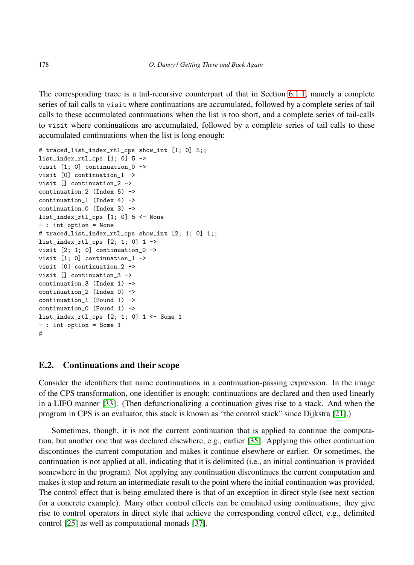The corresponding trace is a tail-recursive counterpart of that in Section [6.1.1,](#page-42-1) namely a complete series of tail calls to visit where continuations are accumulated, followed by a complete series of tail calls to these accumulated continuations when the list is too short, and a complete series of tail-calls to visit where continuations are accumulated, followed by a complete series of tail calls to these accumulated continuations when the list is long enough:

```
# traced_list_index_rtl_cps show_int [1; 0] 5;;
list_index_rt1_cps [1; 0] 5 -\ranglevisit [1; 0] continuation_0 ->
visit [0] continuation_1 ->
visit [] continuation_2 ->
continuation_2 (Index 5) ->
continuation_1 (Index 4) ->
continuation_0 (Index 3) ->
list_index_rtl_cps [1; 0] 5 <- None
- : int option = None
# traced_list_index_rtl_cps show_int [2; 1; 0] 1;;
list_index_rtl_cps [2; 1; 0] 1 ->
visit [2; 1; 0] continuation_0 ->
visit [1; 0] continuation_1 ->
visit [0] continuation_2 ->
visit [] continuation_3 ->
continuation_3 (Index 1) ->
continuation 2 (Index 0) \rightarrowcontinuation_1 (Found 1) ->
continuation_0 (Found 1) ->
list_index_rt1_cps [2; 1; 0] 1 \leftarrow Some 1
- : int option = Some 1
#
```
#### E.2. Continuations and their scope

Consider the identifiers that name continuations in a continuation-passing expression. In the image of the CPS transformation, one identifier is enough: continuations are declared and then used linearly in a LIFO manner [\[33\]](#page-53-13). (Then defunctionalizing a continuation gives rise to a stack. And when the program in CPS is an evaluator, this stack is known as "the control stack" since Dijkstra [\[21\]](#page-52-15).)

Sometimes, though, it is not the current continuation that is applied to continue the computation, but another one that was declared elsewhere, e.g., earlier [\[35\]](#page-53-14). Applying this other continuation discontinues the current computation and makes it continue elsewhere or earlier. Or sometimes, the continuation is not applied at all, indicating that it is delimited (i.e., an initial continuation is provided somewhere in the program). Not applying any continuation discontinues the current computation and makes it stop and return an intermediate result to the point where the initial continuation was provided. The control effect that is being emulated there is that of an exception in direct style (see next section for a concrete example). Many other control effects can be emulated using continuations; they give rise to control operators in direct style that achieve the corresponding control effect, e.g., delimited control [\[25\]](#page-53-2) as well as computational monads [\[37\]](#page-53-15).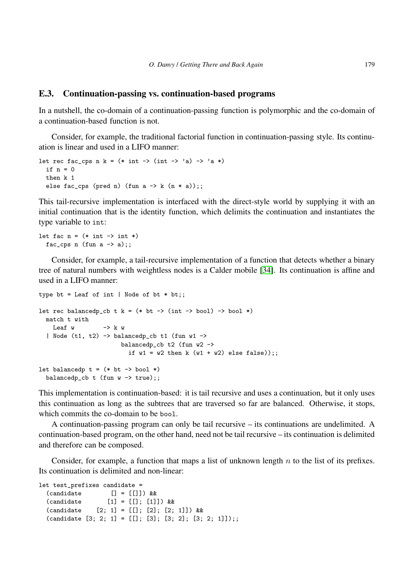#### E.3. Continuation-passing vs. continuation-based programs

In a nutshell, the co-domain of a continuation-passing function is polymorphic and the co-domain of a continuation-based function is not.

Consider, for example, the traditional factorial function in continuation-passing style. Its continuation is linear and used in a LIFO manner:

```
let rec fac_cps n k = (* int -> (int -> 'a) -> 'a *')if n = 0then k 1
  else fac_cps (pred n) (fun a \rightarrow k (n * a));;
```
This tail-recursive implementation is interfaced with the direct-style world by supplying it with an initial continuation that is the identity function, which delimits the continuation and instantiates the type variable to int:

```
let fac n = (* int -> int *)fac_cps n (fun a \rightarrow a);;
```
Consider, for example, a tail-recursive implementation of a function that detects whether a binary tree of natural numbers with weightless nodes is a Calder mobile [\[34\]](#page-53-16). Its continuation is affine and used in a LIFO manner:

```
type bt = Leaf of int | Node of bt * bt;;
let rec balancedp_cb t k = (* bt \rightarrow (int \rightarrow bool) \rightarrow bool *)match t with
    Leaf w \rightarrow k w| Node (t1, t2) -> balancedp_cb t1 (fun w1 ->
                         balancedp_cb t2 (fun w2 ->
                            if w1 = w2 then k (w1 + w2) else false));;
let balancedp t = (* bt -> bool (*)balancedp_cb t (fun w \rightarrow true);;
```
This implementation is continuation-based: it is tail recursive and uses a continuation, but it only uses this continuation as long as the subtrees that are traversed so far are balanced. Otherwise, it stops, which commits the co-domain to be bool.

A continuation-passing program can only be tail recursive – its continuations are undelimited. A continuation-based program, on the other hand, need not be tail recursive – its continuation is delimited and therefore can be composed.

Consider, for example, a function that maps a list of unknown length  $n$  to the list of its prefixes. Its continuation is delimited and non-linear:

```
let test_prefixes candidate =
  \text{(candidate} \qquad \qquad \text{[]} = \text{[]} \qquad \text{&} \& \qquad \text{&}(candidate [1] = [[]; [1]]) &&
  (candidate [2; 1] = [[]; [2]; [2; 1]]) & &
  (candidate [3; 2; 1] = [[]; [3]; [3; 2]; [3; 2; 1]]);
```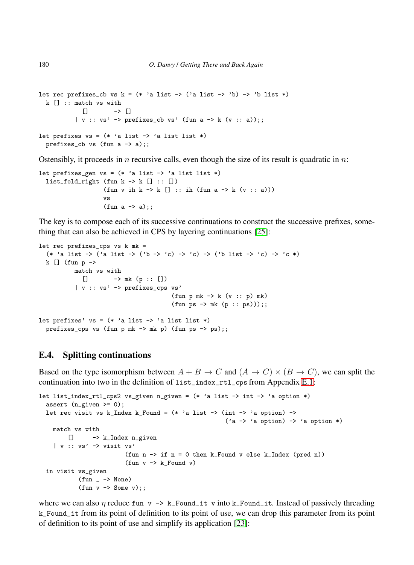```
let rec prefixes_cb vs k = (* 'a list -> ('a list -> 'b) -> 'b list *)k [] :: match vs with
            \Box -> \Box| v :: vs' \rightarrow prefixes\_cb vs' (fun a \rightarrow k (v :: a));;let prefixes vs = (* 'a list -> 'a list list *)prefixes_cb vs (fun a -> a);;
```
Ostensibly, it proceeds in n recursive calls, even though the size of its result is quadratic in  $n$ .

```
let prefixes_gen vs = (* 'a list -> 'a list list *)list_fold\_right (fun k \rightarrow k [] :: [])
                      (fun v ih k \rightarrow k [] :: ih (fun a \rightarrow k (v :: a)))
                      vs
                      (fun a \rightarrow a);;
```
The key is to compose each of its successive continuations to construct the successive prefixes, something that can also be achieved in CPS by layering continuations [\[25\]](#page-53-2):

```
let rec prefixes_cps vs k mk =
  (* 'a list -> ('a list -> ('b -> 'c) -> 'c) -> ('b list -> 'c) -> 'c *)
  k [] (fun p \rightarrowmatch vs with
             [ ] \longrightarrow m k (p : : [] )| v :: vs' -> prefixes_cps vs'
                                           (fun p mk \rightarrow k (v :: p) mk)
                                           (fun ps \rightarrow mk (p :: ps)));let prefixes' vs = (* 'a list -> 'a list list *)
  prefixes_cps vs (fun p mk \rightarrow mk p) (fun ps \rightarrow ps);;
```
# <span id="page-65-0"></span>E.4. Splitting continuations

Based on the type isomorphism between  $A + B \to C$  and  $(A \to C) \times (B \to C)$ , we can split the continuation into two in the definition of list\_index\_rtl\_cps from Appendix [E.1:](#page-62-1)

```
let list_index_rtl_cps2 vs_given n_given = (* 'a list \rightarrow int \rightarrow 'a option *)
  assert (n_given >= 0);
  let rec visit vs k_Index k_Found = (* 'a list -> (int -> 'a option) ->('a \rightarrow 'a option) \rightarrow 'a option *)
    match vs with
        [] -> k_Index n_given
    | v :: vs' -> visit vs'
                           (fun n -> if n = 0 then k_Found v else k_Index (pred n))
                           (fun v \rightarrow k_Found v)in visit vs_given
            (fun - > None)(fun v \rightarrow Some v);;
```
where we can also  $\eta$  reduce fun v  $\rightarrow$  k\_Found\_it v into k\_Found\_it. Instead of passively threading k\_Found\_it from its point of definition to its point of use, we can drop this parameter from its point of definition to its point of use and simplify its application [\[23\]](#page-53-0):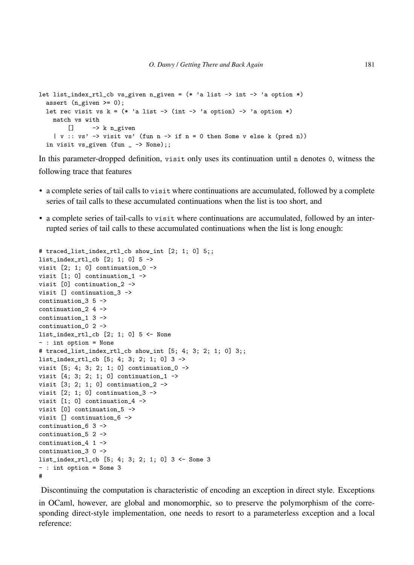```
let list_index_rtl_cb vs_given n_given = (* 'a list -> int -> 'a option *)
  assert (n_given >= 0);
  let rec visit vs k = (* \text{ a list } -> (int -> 'a option) -> 'a option *)match vs with
       \Box -> k n_given
    | v :: vs' -> visit vs' (fun n -> if n = 0 then Some v else k (pred n))
  in visit vs_given (fun - \rightarrow None);;
```
In this parameter-dropped definition, visit only uses its continuation until n denotes 0, witness the following trace that features

- a complete series of tail calls to visit where continuations are accumulated, followed by a complete series of tail calls to these accumulated continuations when the list is too short, and
- a complete series of tail-calls to visit where continuations are accumulated, followed by an interrupted series of tail calls to these accumulated continuations when the list is long enough:

```
# traced_list_index_rtl_cb show_int [2; 1; 0] 5;;
list_index_rtl_cb [2; 1; 0] 5 ->
visit [2; 1; 0] continuation 0 \rightarrowvisit [1; 0] continuation_1 ->
visit [0] continuation_2 ->
visit [] continuation_3 ->
continuation_3 5 ->
continuation 2 4 \rightarrowcontinuation_1 3 ->
continuation 0 2 ->
list_index_rtl_cb [2; 1; 0] 5 <- None
- : int option = None
# traced_list_index_rtl_cb show_int [5; 4; 3; 2; 1; 0] 3;;
list_index_rtl_cb [5; 4; 3; 2; 1; 0] 3 ->
visit [5; 4; 3; 2; 1; 0] continuation_0 ->
visit [4; 3; 2; 1; 0] continuation_1 ->
visit [3; 2; 1; 0] continuation_2 ->
visit [2; 1; 0] continuation_3 ->
visit [1; 0] continuation 4 \rightarrowvisit [0] continuation_5 ->
visit [] continuation_6 ->
continuation_6 3 ->
continuation_5 2 ->
continuation_4 1 ->
continuation_3 0 ->
list_index_rtl_cb [5; 4; 3; 2; 1; 0] 3 <- Some 3
- : int option = Some 3
#
```
Discontinuing the computation is characteristic of encoding an exception in direct style. Exceptions in OCaml, however, are global and monomorphic, so to preserve the polymorphism of the corresponding direct-style implementation, one needs to resort to a parameterless exception and a local reference: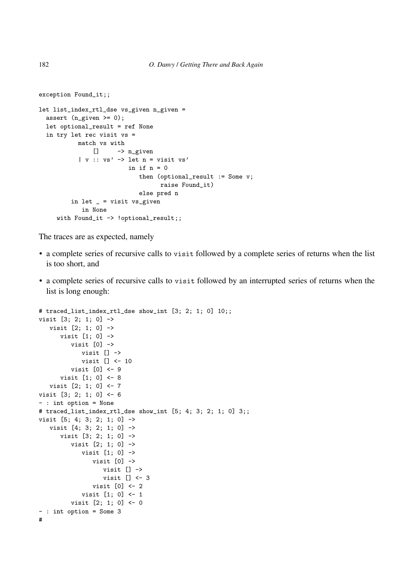```
exception Found_it;;
let list_index_rtl_dse vs_given n_given =
  assert (n_given >= 0);
  let optional_result = ref None
  in try let rec visit vs =
           match vs with
               [] \rightarrow n_given
           | v :: v s' \rightarrow let n = visit vs'
                          in if n = 0then (optional_result := Some v;
                                   raise Found_it)
                             else pred n
         in let _ = visit vs_given
            in None
     with Found_it -> !optional_result;;
```
The traces are as expected, namely

- a complete series of recursive calls to visit followed by a complete series of returns when the list is too short, and
- a complete series of recursive calls to visit followed by an interrupted series of returns when the list is long enough:

```
# traced_list_index_rtl_dse show_int [3; 2; 1; 0] 10;;
visit [3; 2; 1; 0] ->
   visit [2; 1; 0] ->
      visit [1; 0] ->
         visit [0] ->
            visit [] ->
            visit [] <- 10
         visit [0] <- 9
      visit [1; 0] <- 8
  visit [2; 1; 0] <- 7
visit [3; 2; 1; 0] <- 6
- : int option = None
# traced_list_index_rtl_dse show_int [5; 4; 3; 2; 1; 0] 3;;
visit [5; 4; 3; 2; 1; 0] ->
  visit [4; 3; 2; 1; 0] ->
      visit [3; 2; 1; 0] ->
         visit [2; 1; 0] ->
            visit [1; 0] ->
               visit [0] ->
                  visit [] ->
                  visit [] <- 3
               visit [0] <- 2
            visit [1; 0] <- 1
         visit [2; 1; 0] <- 0
- : int option = Some 3
#
```